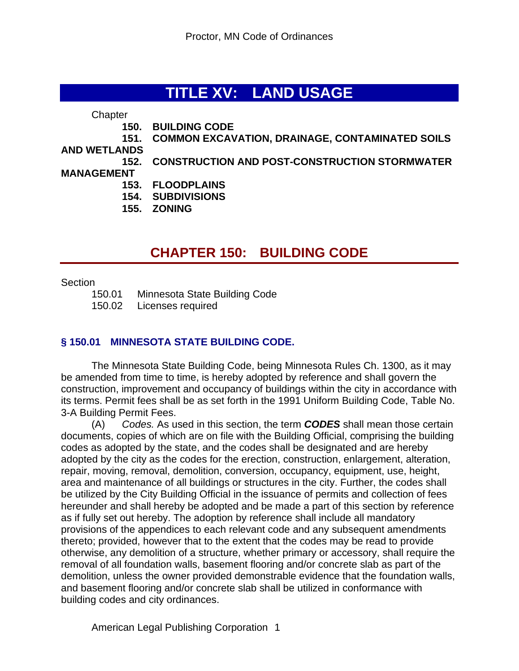# **TITLE XV: LAND USAGE**

**Chapter** 

- **150. BUILDING CODE**
- **151. COMMON EXCAVATION, DRAINAGE, CONTAMINATED SOILS**

**AND WETLANDS**

**152. CONSTRUCTION AND POST-CONSTRUCTION STORMWATER** 

#### **MANAGEMENT**

- **153. FLOODPLAINS**
- **154. SUBDIVISIONS**
- **155. ZONING**

# **CHAPTER 150: BUILDING CODE**

#### **Section**

150.01 Minnesota State Building Code 150.02 Licenses required

#### **§ 150.01 MINNESOTA STATE BUILDING CODE.**

The Minnesota State Building Code, being Minnesota Rules Ch. 1300, as it may be amended from time to time, is hereby adopted by reference and shall govern the construction, improvement and occupancy of buildings within the city in accordance with its terms. Permit fees shall be as set forth in the 1991 Uniform Building Code, Table No. 3-A Building Permit Fees.

(A) *Codes.* As used in this section, the term *CODES* shall mean those certain documents, copies of which are on file with the Building Official, comprising the building codes as adopted by the state, and the codes shall be designated and are hereby adopted by the city as the codes for the erection, construction, enlargement, alteration, repair, moving, removal, demolition, conversion, occupancy, equipment, use, height, area and maintenance of all buildings or structures in the city. Further, the codes shall be utilized by the City Building Official in the issuance of permits and collection of fees hereunder and shall hereby be adopted and be made a part of this section by reference as if fully set out hereby. The adoption by reference shall include all mandatory provisions of the appendices to each relevant code and any subsequent amendments thereto; provided, however that to the extent that the codes may be read to provide otherwise, any demolition of a structure, whether primary or accessory, shall require the removal of all foundation walls, basement flooring and/or concrete slab as part of the demolition, unless the owner provided demonstrable evidence that the foundation walls, and basement flooring and/or concrete slab shall be utilized in conformance with building codes and city ordinances.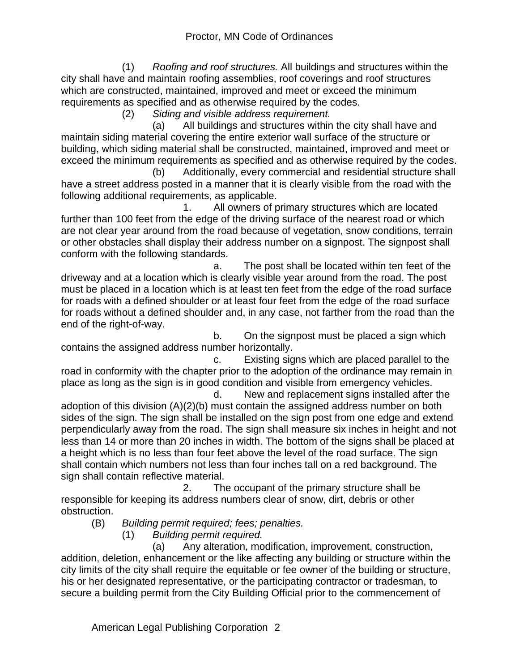(1) *Roofing and roof structures.* All buildings and structures within the city shall have and maintain roofing assemblies, roof coverings and roof structures which are constructed, maintained, improved and meet or exceed the minimum requirements as specified and as otherwise required by the codes.

(2) *Siding and visible address requirement.*

 (a) All buildings and structures within the city shall have and maintain siding material covering the entire exterior wall surface of the structure or building, which siding material shall be constructed, maintained, improved and meet or exceed the minimum requirements as specified and as otherwise required by the codes.

 (b) Additionally, every commercial and residential structure shall have a street address posted in a manner that it is clearly visible from the road with the following additional requirements, as applicable.

 1. All owners of primary structures which are located further than 100 feet from the edge of the driving surface of the nearest road or which are not clear year around from the road because of vegetation, snow conditions, terrain or other obstacles shall display their address number on a signpost. The signpost shall conform with the following standards.

 a. The post shall be located within ten feet of the driveway and at a location which is clearly visible year around from the road. The post must be placed in a location which is at least ten feet from the edge of the road surface for roads with a defined shoulder or at least four feet from the edge of the road surface for roads without a defined shoulder and, in any case, not farther from the road than the end of the right-of-way.

 b. On the signpost must be placed a sign which contains the assigned address number horizontally.

 c. Existing signs which are placed parallel to the road in conformity with the chapter prior to the adoption of the ordinance may remain in place as long as the sign is in good condition and visible from emergency vehicles.

 d. New and replacement signs installed after the adoption of this division (A)(2)(b) must contain the assigned address number on both sides of the sign. The sign shall be installed on the sign post from one edge and extend perpendicularly away from the road. The sign shall measure six inches in height and not less than 14 or more than 20 inches in width. The bottom of the signs shall be placed at a height which is no less than four feet above the level of the road surface. The sign shall contain which numbers not less than four inches tall on a red background. The sign shall contain reflective material.

 2. The occupant of the primary structure shall be responsible for keeping its address numbers clear of snow, dirt, debris or other obstruction.

(B) *Building permit required; fees; penalties.*

(1) *Building permit required.*

 (a) Any alteration, modification, improvement, construction, addition, deletion, enhancement or the like affecting any building or structure within the city limits of the city shall require the equitable or fee owner of the building or structure, his or her designated representative, or the participating contractor or tradesman, to secure a building permit from the City Building Official prior to the commencement of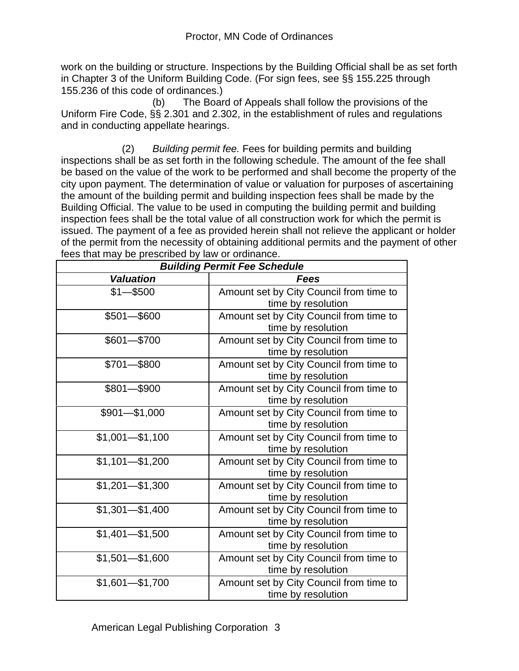work on the building or structure. Inspections by the Building Official shall be as set forth in Chapter 3 of the Uniform Building Code. (For sign fees, see §§ 155.225 through 155.236 of this code of ordinances.)

 (b) The Board of Appeals shall follow the provisions of the Uniform Fire Code, §§ 2.301 and 2.302, in the establishment of rules and regulations and in conducting appellate hearings.

 (2) *Building permit fee.* Fees for building permits and building inspections shall be as set forth in the following schedule. The amount of the fee shall be based on the value of the work to be performed and shall become the property of the city upon payment. The determination of value or valuation for purposes of ascertaining the amount of the building permit and building inspection fees shall be made by the Building Official. The value to be used in computing the building permit and building inspection fees shall be the total value of all construction work for which the permit is issued. The payment of a fee as provided herein shall not relieve the applicant or holder of the permit from the necessity of obtaining additional permits and the payment of other fees that may be prescribed by law or ordinance.

| was may be procombed by law or cramatico.<br><b>Building Permit Fee Schedule</b> |                                         |  |  |  |  |
|----------------------------------------------------------------------------------|-----------------------------------------|--|--|--|--|
| <b>Valuation</b>                                                                 | Fees                                    |  |  |  |  |
| $$1 - $500$                                                                      | Amount set by City Council from time to |  |  |  |  |
|                                                                                  | time by resolution                      |  |  |  |  |
| $$501 - $600$                                                                    | Amount set by City Council from time to |  |  |  |  |
|                                                                                  | time by resolution                      |  |  |  |  |
| $$601 - $700$                                                                    | Amount set by City Council from time to |  |  |  |  |
|                                                                                  | time by resolution                      |  |  |  |  |
| $$701 - $800$                                                                    | Amount set by City Council from time to |  |  |  |  |
|                                                                                  | time by resolution                      |  |  |  |  |
| $$801 - $900$                                                                    | Amount set by City Council from time to |  |  |  |  |
|                                                                                  | time by resolution                      |  |  |  |  |
| $$901 - $1,000$                                                                  | Amount set by City Council from time to |  |  |  |  |
|                                                                                  | time by resolution                      |  |  |  |  |
| $$1,001 - $1,100$                                                                | Amount set by City Council from time to |  |  |  |  |
|                                                                                  | time by resolution                      |  |  |  |  |
| $$1,101 - $1,200$                                                                | Amount set by City Council from time to |  |  |  |  |
|                                                                                  | time by resolution                      |  |  |  |  |
| $$1,201 - $1,300$                                                                | Amount set by City Council from time to |  |  |  |  |
|                                                                                  | time by resolution                      |  |  |  |  |
| $$1,301 - $1,400$                                                                | Amount set by City Council from time to |  |  |  |  |
|                                                                                  | time by resolution                      |  |  |  |  |
| $$1,401 - $1,500$                                                                | Amount set by City Council from time to |  |  |  |  |
|                                                                                  | time by resolution                      |  |  |  |  |
| $$1,501 - $1,600$                                                                | Amount set by City Council from time to |  |  |  |  |
|                                                                                  | time by resolution                      |  |  |  |  |
| $$1,601 - $1,700$                                                                | Amount set by City Council from time to |  |  |  |  |
|                                                                                  | time by resolution                      |  |  |  |  |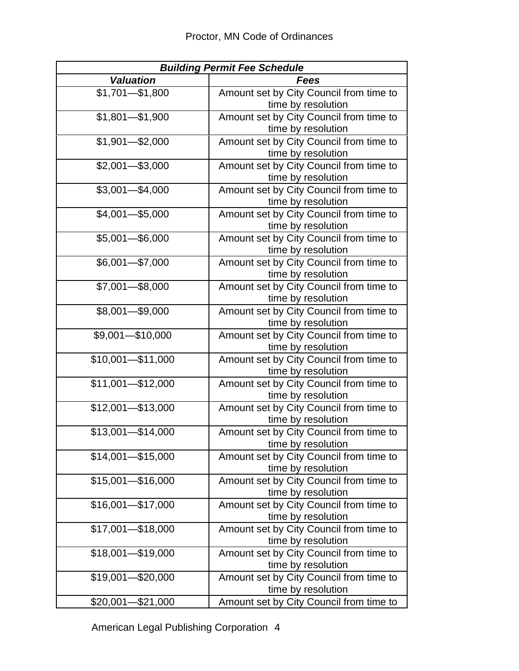| <b>Building Permit Fee Schedule</b> |                                                               |  |  |  |  |
|-------------------------------------|---------------------------------------------------------------|--|--|--|--|
| <b>Valuation</b>                    | Fees                                                          |  |  |  |  |
| $$1,701 - $1,800$                   | Amount set by City Council from time to                       |  |  |  |  |
|                                     | time by resolution                                            |  |  |  |  |
| $$1,801 - $1,900$                   | Amount set by City Council from time to                       |  |  |  |  |
|                                     | time by resolution                                            |  |  |  |  |
| $$1,901 - $2,000$                   | Amount set by City Council from time to                       |  |  |  |  |
|                                     | time by resolution                                            |  |  |  |  |
| $$2,001 - $3,000$                   | Amount set by City Council from time to                       |  |  |  |  |
|                                     | time by resolution                                            |  |  |  |  |
| $$3,001 - $4,000$                   | Amount set by City Council from time to                       |  |  |  |  |
|                                     | time by resolution                                            |  |  |  |  |
| $$4,001 - $5,000$                   | Amount set by City Council from time to                       |  |  |  |  |
|                                     | time by resolution                                            |  |  |  |  |
| $$5,001 - $6,000$                   | Amount set by City Council from time to                       |  |  |  |  |
|                                     | time by resolution                                            |  |  |  |  |
| $$6,001 - $7,000$                   | Amount set by City Council from time to                       |  |  |  |  |
|                                     | time by resolution                                            |  |  |  |  |
| $$7,001 - $8,000$                   | Amount set by City Council from time to                       |  |  |  |  |
|                                     | time by resolution                                            |  |  |  |  |
| $$8,001 - $9,000$                   | Amount set by City Council from time to                       |  |  |  |  |
|                                     | time by resolution                                            |  |  |  |  |
| $$9,001 - $10,000$                  | Amount set by City Council from time to                       |  |  |  |  |
|                                     | time by resolution                                            |  |  |  |  |
| $$10,001 - $11,000$                 | Amount set by City Council from time to                       |  |  |  |  |
|                                     | time by resolution                                            |  |  |  |  |
| \$11,001-\$12,000                   | Amount set by City Council from time to                       |  |  |  |  |
|                                     | time by resolution                                            |  |  |  |  |
| \$12,001-\$13,000                   | Amount set by City Council from time to                       |  |  |  |  |
|                                     | time by resolution                                            |  |  |  |  |
| $$13,001 - $14,000$                 | Amount set by City Council from time to                       |  |  |  |  |
|                                     | time by resolution                                            |  |  |  |  |
| $$14,001 - $15,000$                 | Amount set by City Council from time to                       |  |  |  |  |
| $$15,001 - $16,000$                 | time by resolution                                            |  |  |  |  |
|                                     | Amount set by City Council from time to<br>time by resolution |  |  |  |  |
| $$16,001 - $17,000$                 | Amount set by City Council from time to                       |  |  |  |  |
|                                     | time by resolution                                            |  |  |  |  |
| $$17,001 - $18,000$                 | Amount set by City Council from time to                       |  |  |  |  |
|                                     | time by resolution                                            |  |  |  |  |
| $$18,001 - $19,000$                 | Amount set by City Council from time to                       |  |  |  |  |
|                                     | time by resolution                                            |  |  |  |  |
| \$19,001-\$20,000                   | Amount set by City Council from time to                       |  |  |  |  |
|                                     | time by resolution                                            |  |  |  |  |
| $$20,001 - $21,000$                 | Amount set by City Council from time to                       |  |  |  |  |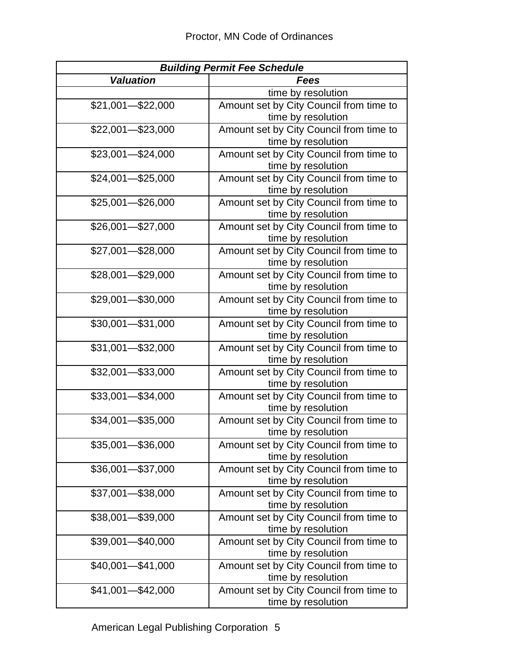| <b>Building Permit Fee Schedule</b> |                                                               |  |  |  |  |
|-------------------------------------|---------------------------------------------------------------|--|--|--|--|
| <b>Valuation</b>                    | Fees                                                          |  |  |  |  |
|                                     | time by resolution                                            |  |  |  |  |
| $$21,001 - $22,000$                 | Amount set by City Council from time to                       |  |  |  |  |
|                                     | time by resolution                                            |  |  |  |  |
| $$22,001 - $23,000$                 | Amount set by City Council from time to                       |  |  |  |  |
|                                     | time by resolution                                            |  |  |  |  |
| $$23,001 - $24,000$                 | Amount set by City Council from time to                       |  |  |  |  |
|                                     | time by resolution                                            |  |  |  |  |
| $$24,001 - $25,000$                 | Amount set by City Council from time to                       |  |  |  |  |
|                                     | time by resolution                                            |  |  |  |  |
| $$25,001 - $26,000$                 | Amount set by City Council from time to                       |  |  |  |  |
|                                     | time by resolution                                            |  |  |  |  |
| $$26,001 - $27,000$                 | Amount set by City Council from time to                       |  |  |  |  |
|                                     | time by resolution                                            |  |  |  |  |
| $$27,001 - $28,000$                 | Amount set by City Council from time to                       |  |  |  |  |
|                                     | time by resolution                                            |  |  |  |  |
| \$28,001-\$29,000                   | Amount set by City Council from time to                       |  |  |  |  |
|                                     | time by resolution                                            |  |  |  |  |
| $$29,001 - $30,000$                 | Amount set by City Council from time to                       |  |  |  |  |
|                                     | time by resolution                                            |  |  |  |  |
| $$30,001 - $31,000$                 | Amount set by City Council from time to                       |  |  |  |  |
| \$31,001-\$32,000                   | time by resolution<br>Amount set by City Council from time to |  |  |  |  |
|                                     | time by resolution                                            |  |  |  |  |
| $$32,001 - $33,000$                 | Amount set by City Council from time to                       |  |  |  |  |
|                                     | time by resolution                                            |  |  |  |  |
| $$33,001 - $34,000$                 | Amount set by City Council from time to                       |  |  |  |  |
|                                     | time by resolution                                            |  |  |  |  |
| \$34,001-\$35,000                   | Amount set by City Council from time to                       |  |  |  |  |
|                                     | time by resolution                                            |  |  |  |  |
| \$35,001-\$36,000                   | Amount set by City Council from time to                       |  |  |  |  |
|                                     | time by resolution                                            |  |  |  |  |
| $$36,001 - $37,000$                 | Amount set by City Council from time to                       |  |  |  |  |
|                                     | time by resolution                                            |  |  |  |  |
| \$37,001-\$38,000                   | Amount set by City Council from time to                       |  |  |  |  |
|                                     | time by resolution                                            |  |  |  |  |
| \$38,001-\$39,000                   | Amount set by City Council from time to                       |  |  |  |  |
|                                     | time by resolution                                            |  |  |  |  |
| \$39,001-\$40,000                   | Amount set by City Council from time to                       |  |  |  |  |
|                                     | time by resolution                                            |  |  |  |  |
| $$40,001 - $41,000$                 | Amount set by City Council from time to                       |  |  |  |  |
|                                     | time by resolution                                            |  |  |  |  |
| $$41,001 - $42,000$                 | Amount set by City Council from time to                       |  |  |  |  |
|                                     | time by resolution                                            |  |  |  |  |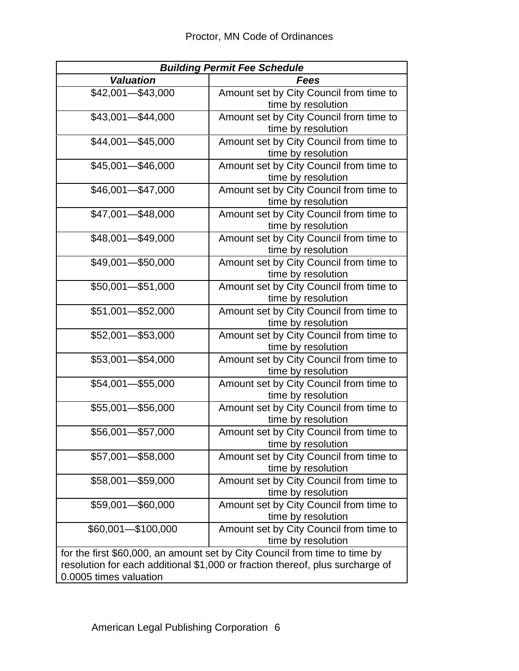| <b>Building Permit Fee Schedule</b>                                           |                                         |  |  |  |  |
|-------------------------------------------------------------------------------|-----------------------------------------|--|--|--|--|
| <b>Valuation</b>                                                              | <b>Fees</b>                             |  |  |  |  |
| \$42,001-\$43,000                                                             | Amount set by City Council from time to |  |  |  |  |
|                                                                               | time by resolution                      |  |  |  |  |
| $$43,001 - $44,000$                                                           | Amount set by City Council from time to |  |  |  |  |
|                                                                               | time by resolution                      |  |  |  |  |
| $$44,001 - $45,000$                                                           | Amount set by City Council from time to |  |  |  |  |
|                                                                               | time by resolution                      |  |  |  |  |
| \$45,001-\$46,000                                                             | Amount set by City Council from time to |  |  |  |  |
|                                                                               | time by resolution                      |  |  |  |  |
| \$46,001-\$47,000                                                             | Amount set by City Council from time to |  |  |  |  |
|                                                                               | time by resolution                      |  |  |  |  |
| $$47,001 - $48,000$                                                           | Amount set by City Council from time to |  |  |  |  |
|                                                                               | time by resolution                      |  |  |  |  |
| \$48,001-\$49,000                                                             | Amount set by City Council from time to |  |  |  |  |
|                                                                               | time by resolution                      |  |  |  |  |
| $$49,001 - $50,000$                                                           | Amount set by City Council from time to |  |  |  |  |
|                                                                               | time by resolution                      |  |  |  |  |
| \$50,001-\$51,000                                                             | Amount set by City Council from time to |  |  |  |  |
|                                                                               | time by resolution                      |  |  |  |  |
| $$51,001 - $52,000$                                                           | Amount set by City Council from time to |  |  |  |  |
|                                                                               | time by resolution                      |  |  |  |  |
| $$52,001 - $53,000$                                                           | Amount set by City Council from time to |  |  |  |  |
|                                                                               | time by resolution                      |  |  |  |  |
| $$53,001 - $54,000$                                                           | Amount set by City Council from time to |  |  |  |  |
|                                                                               | time by resolution                      |  |  |  |  |
| $$54,001 - $55,000$                                                           | Amount set by City Council from time to |  |  |  |  |
|                                                                               | time by resolution                      |  |  |  |  |
| \$55,001-\$56,000                                                             | Amount set by City Council from time to |  |  |  |  |
|                                                                               | time by resolution                      |  |  |  |  |
| \$56,001-\$57,000                                                             | Amount set by City Council from time to |  |  |  |  |
|                                                                               | time by resolution                      |  |  |  |  |
| \$57,001-\$58,000                                                             | Amount set by City Council from time to |  |  |  |  |
|                                                                               | time by resolution                      |  |  |  |  |
| $$58,001 - $59,000$                                                           | Amount set by City Council from time to |  |  |  |  |
|                                                                               | time by resolution                      |  |  |  |  |
| \$59,001-\$60,000                                                             | Amount set by City Council from time to |  |  |  |  |
|                                                                               | time by resolution                      |  |  |  |  |
| \$60,001-\$100,000                                                            | Amount set by City Council from time to |  |  |  |  |
|                                                                               | time by resolution                      |  |  |  |  |
| for the first \$60,000, an amount set by City Council from time to time by    |                                         |  |  |  |  |
| resolution for each additional \$1,000 or fraction thereof, plus surcharge of |                                         |  |  |  |  |
| 0.0005 times valuation                                                        |                                         |  |  |  |  |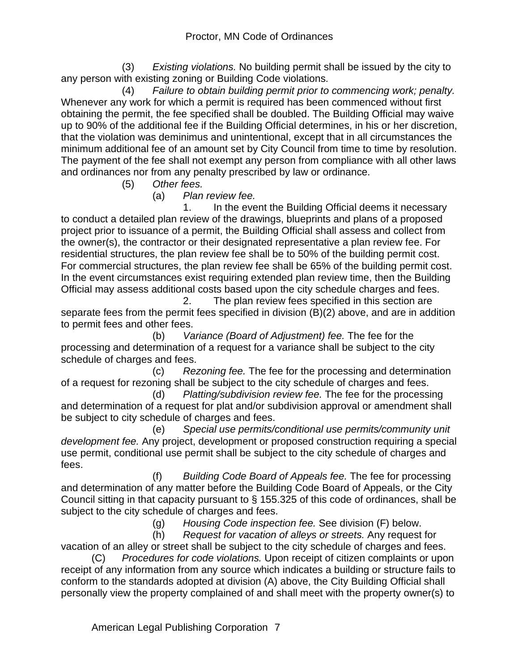(3) *Existing violations.* No building permit shall be issued by the city to any person with existing zoning or Building Code violations.

 (4) *Failure to obtain building permit prior to commencing work; penalty.* Whenever any work for which a permit is required has been commenced without first obtaining the permit, the fee specified shall be doubled. The Building Official may waive up to 90% of the additional fee if the Building Official determines, in his or her discretion, that the violation was deminimus and unintentional, except that in all circumstances the minimum additional fee of an amount set by City Council from time to time by resolution. The payment of the fee shall not exempt any person from compliance with all other laws and ordinances nor from any penalty prescribed by law or ordinance.

(5) *Other fees.*

(a) *Plan review fee.*

 1. In the event the Building Official deems it necessary to conduct a detailed plan review of the drawings, blueprints and plans of a proposed project prior to issuance of a permit, the Building Official shall assess and collect from the owner(s), the contractor or their designated representative a plan review fee. For residential structures, the plan review fee shall be to 50% of the building permit cost. For commercial structures, the plan review fee shall be 65% of the building permit cost. In the event circumstances exist requiring extended plan review time, then the Building Official may assess additional costs based upon the city schedule charges and fees.

 2. The plan review fees specified in this section are separate fees from the permit fees specified in division (B)(2) above, and are in addition to permit fees and other fees.

 (b) *Variance (Board of Adjustment) fee.* The fee for the processing and determination of a request for a variance shall be subject to the city schedule of charges and fees.

 (c) *Rezoning fee.* The fee for the processing and determination of a request for rezoning shall be subject to the city schedule of charges and fees.

 (d) *Platting/subdivision review fee.* The fee for the processing and determination of a request for plat and/or subdivision approval or amendment shall be subject to city schedule of charges and fees.

 (e) *Special use permits/conditional use permits/community unit development fee.* Any project, development or proposed construction requiring a special use permit, conditional use permit shall be subject to the city schedule of charges and fees.

 (f) *Building Code Board of Appeals fee.* The fee for processing and determination of any matter before the Building Code Board of Appeals, or the City Council sitting in that capacity pursuant to § 155.325 of this code of ordinances, shall be subject to the city schedule of charges and fees.

(g) *Housing Code inspection fee.* See division (F) below.

 (h) *Request for vacation of alleys or streets.* Any request for vacation of an alley or street shall be subject to the city schedule of charges and fees.

(C) *Procedures for code violations.* Upon receipt of citizen complaints or upon receipt of any information from any source which indicates a building or structure fails to conform to the standards adopted at division (A) above, the City Building Official shall personally view the property complained of and shall meet with the property owner(s) to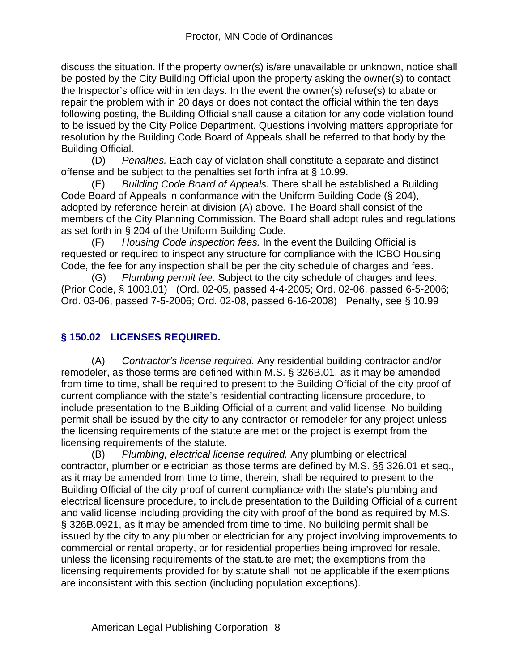discuss the situation. If the property owner(s) is/are unavailable or unknown, notice shall be posted by the City Building Official upon the property asking the owner(s) to contact the Inspector's office within ten days. In the event the owner(s) refuse(s) to abate or repair the problem with in 20 days or does not contact the official within the ten days following posting, the Building Official shall cause a citation for any code violation found to be issued by the City Police Department. Questions involving matters appropriate for resolution by the Building Code Board of Appeals shall be referred to that body by the Building Official.

(D) *Penalties.* Each day of violation shall constitute a separate and distinct offense and be subject to the penalties set forth infra at § 10.99.

(E) *Building Code Board of Appeals.* There shall be established a Building Code Board of Appeals in conformance with the Uniform Building Code (§ 204), adopted by reference herein at division (A) above. The Board shall consist of the members of the City Planning Commission. The Board shall adopt rules and regulations as set forth in § 204 of the Uniform Building Code.

(F) *Housing Code inspection fees.* In the event the Building Official is requested or required to inspect any structure for compliance with the ICBO Housing Code, the fee for any inspection shall be per the city schedule of charges and fees.

(G) *Plumbing permit fee.* Subject to the city schedule of charges and fees. (Prior Code, § 1003.01) (Ord. 02-05, passed 4-4-2005; Ord. 02-06, passed 6-5-2006; Ord. 03-06, passed 7-5-2006; Ord. 02-08, passed 6-16-2008) Penalty, see § 10.99

# **§ 150.02 LICENSES REQUIRED.**

(A) *Contractor's license required.* Any residential building contractor and/or remodeler, as those terms are defined within M.S. § 326B.01, as it may be amended from time to time, shall be required to present to the Building Official of the city proof of current compliance with the state's residential contracting licensure procedure, to include presentation to the Building Official of a current and valid license. No building permit shall be issued by the city to any contractor or remodeler for any project unless the licensing requirements of the statute are met or the project is exempt from the licensing requirements of the statute.

(B) *Plumbing, electrical license required.* Any plumbing or electrical contractor, plumber or electrician as those terms are defined by M.S. §§ 326.01 et seq., as it may be amended from time to time, therein, shall be required to present to the Building Official of the city proof of current compliance with the state's plumbing and electrical licensure procedure, to include presentation to the Building Official of a current and valid license including providing the city with proof of the bond as required by M.S. § 326B.0921, as it may be amended from time to time. No building permit shall be issued by the city to any plumber or electrician for any project involving improvements to commercial or rental property, or for residential properties being improved for resale, unless the licensing requirements of the statute are met; the exemptions from the licensing requirements provided for by statute shall not be applicable if the exemptions are inconsistent with this section (including population exceptions).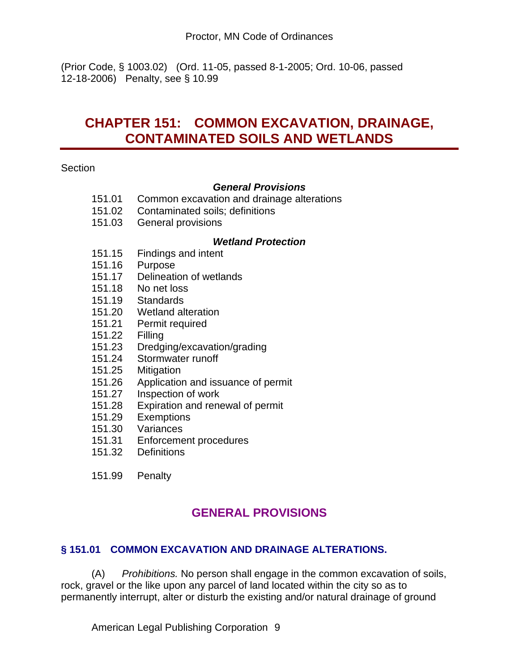(Prior Code, § 1003.02) (Ord. 11-05, passed 8-1-2005; Ord. 10-06, passed 12-18-2006) Penalty, see § 10.99

# **CHAPTER 151: COMMON EXCAVATION, DRAINAGE, CONTAMINATED SOILS AND WETLANDS**

**Section** 

#### *General Provisions*

- 151.01 Common excavation and drainage alterations
- 151.02 Contaminated soils; definitions
- 151.03 General provisions

#### *Wetland Protection*

- 151.15 Findings and intent
- 151.16 Purpose
- 151.17 Delineation of wetlands
- 151.18 No net loss
- 
- 151.19 Standards<br>151.20 Wetland alt Wetland alteration
- 151.21 Permit required
- 151.22 Filling
- 151.23 Dredging/excavation/grading
- 151.24 Stormwater runoff
- 151.25 Mitigation
- 151.26 Application and issuance of permit<br>151.27 Inspection of work
- Inspection of work
- 151.28 Expiration and renewal of permit
- 151.29 Exemptions
- 151.30 Variances
- 151.31 Enforcement procedures
- 151.32 Definitions
- 151.99 Penalty

# **GENERAL PROVISIONS**

# **§ 151.01 COMMON EXCAVATION AND DRAINAGE ALTERATIONS.**

(A) *Prohibitions.* No person shall engage in the common excavation of soils, rock, gravel or the like upon any parcel of land located within the city so as to permanently interrupt, alter or disturb the existing and/or natural drainage of ground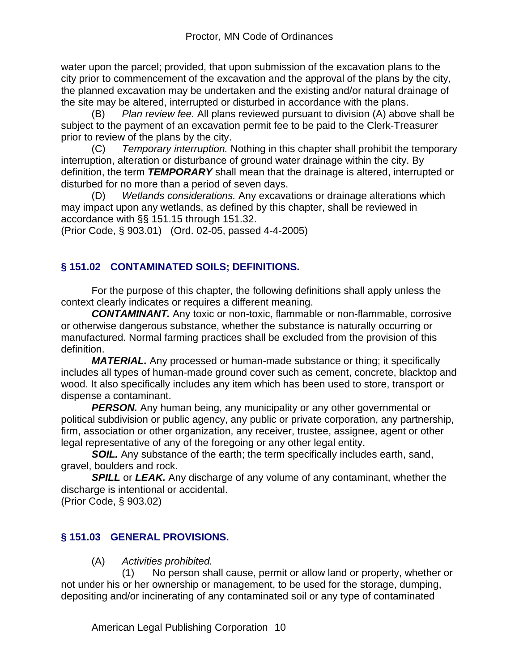water upon the parcel; provided, that upon submission of the excavation plans to the city prior to commencement of the excavation and the approval of the plans by the city, the planned excavation may be undertaken and the existing and/or natural drainage of the site may be altered, interrupted or disturbed in accordance with the plans.

(B) *Plan review fee.* All plans reviewed pursuant to division (A) above shall be subject to the payment of an excavation permit fee to be paid to the Clerk-Treasurer prior to review of the plans by the city.

(C) *Temporary interruption.* Nothing in this chapter shall prohibit the temporary interruption, alteration or disturbance of ground water drainage within the city. By definition, the term *TEMPORARY* shall mean that the drainage is altered, interrupted or disturbed for no more than a period of seven days.

(D) *Wetlands considerations.* Any excavations or drainage alterations which may impact upon any wetlands, as defined by this chapter, shall be reviewed in accordance with §§ 151.15 through 151.32.

(Prior Code, § 903.01) (Ord. 02-05, passed 4-4-2005)

# **§ 151.02 CONTAMINATED SOILS; DEFINITIONS.**

For the purpose of this chapter, the following definitions shall apply unless the context clearly indicates or requires a different meaning.

*CONTAMINANT.* Any toxic or non-toxic, flammable or non-flammable, corrosive or otherwise dangerous substance, whether the substance is naturally occurring or manufactured. Normal farming practices shall be excluded from the provision of this definition.

*MATERIAL.* Any processed or human-made substance or thing; it specifically includes all types of human-made ground cover such as cement, concrete, blacktop and wood. It also specifically includes any item which has been used to store, transport or dispense a contaminant.

**PERSON.** Any human being, any municipality or any other governmental or political subdivision or public agency, any public or private corporation, any partnership, firm, association or other organization, any receiver, trustee, assignee, agent or other legal representative of any of the foregoing or any other legal entity.

*SOIL.* Any substance of the earth; the term specifically includes earth, sand, gravel, boulders and rock.

**SPILL** or **LEAK.** Any discharge of any volume of any contaminant, whether the discharge is intentional or accidental.

(Prior Code, § 903.02)

# **§ 151.03 GENERAL PROVISIONS.**

(A) *Activities prohibited.*

 (1) No person shall cause, permit or allow land or property, whether or not under his or her ownership or management, to be used for the storage, dumping, depositing and/or incinerating of any contaminated soil or any type of contaminated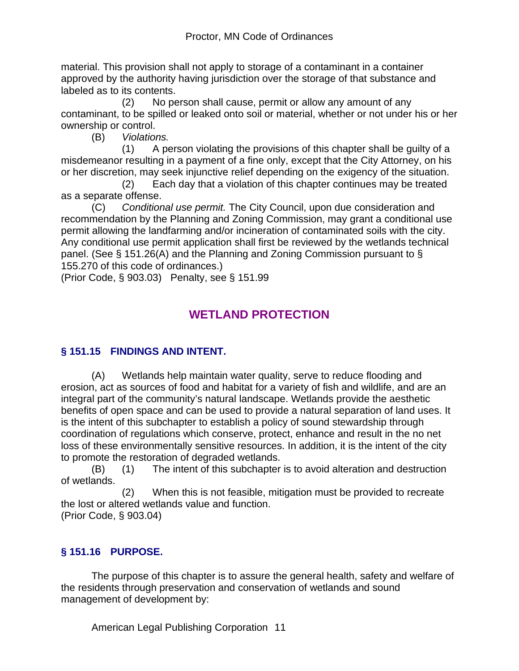material. This provision shall not apply to storage of a contaminant in a container approved by the authority having jurisdiction over the storage of that substance and labeled as to its contents.

 (2) No person shall cause, permit or allow any amount of any contaminant, to be spilled or leaked onto soil or material, whether or not under his or her ownership or control.

(B) *Violations.*

 (1) A person violating the provisions of this chapter shall be guilty of a misdemeanor resulting in a payment of a fine only, except that the City Attorney, on his or her discretion, may seek injunctive relief depending on the exigency of the situation.

 (2) Each day that a violation of this chapter continues may be treated as a separate offense.

(C) *Conditional use permit.* The City Council, upon due consideration and recommendation by the Planning and Zoning Commission, may grant a conditional use permit allowing the landfarming and/or incineration of contaminated soils with the city. Any conditional use permit application shall first be reviewed by the wetlands technical panel. (See § 151.26(A) and the Planning and Zoning Commission pursuant to § 155.270 of this code of ordinances.)

(Prior Code, § 903.03) Penalty, see § 151.99

# **WETLAND PROTECTION**

# **§ 151.15 FINDINGS AND INTENT.**

(A) Wetlands help maintain water quality, serve to reduce flooding and erosion, act as sources of food and habitat for a variety of fish and wildlife, and are an integral part of the community's natural landscape. Wetlands provide the aesthetic benefits of open space and can be used to provide a natural separation of land uses. It is the intent of this subchapter to establish a policy of sound stewardship through coordination of regulations which conserve, protect, enhance and result in the no net loss of these environmentally sensitive resources. In addition, it is the intent of the city to promote the restoration of degraded wetlands.

(B) (1) The intent of this subchapter is to avoid alteration and destruction of wetlands.

 (2) When this is not feasible, mitigation must be provided to recreate the lost or altered wetlands value and function.

(Prior Code, § 903.04)

# **§ 151.16 PURPOSE.**

The purpose of this chapter is to assure the general health, safety and welfare of the residents through preservation and conservation of wetlands and sound management of development by: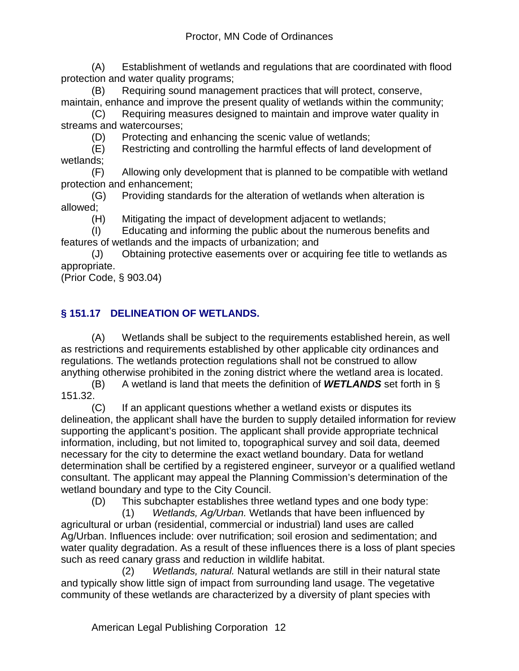(A) Establishment of wetlands and regulations that are coordinated with flood protection and water quality programs;

(B) Requiring sound management practices that will protect, conserve, maintain, enhance and improve the present quality of wetlands within the community;

(C) Requiring measures designed to maintain and improve water quality in streams and watercourses;

(D) Protecting and enhancing the scenic value of wetlands;

(E) Restricting and controlling the harmful effects of land development of wetlands;

(F) Allowing only development that is planned to be compatible with wetland protection and enhancement;

(G) Providing standards for the alteration of wetlands when alteration is allowed;

(H) Mitigating the impact of development adjacent to wetlands;

(I) Educating and informing the public about the numerous benefits and features of wetlands and the impacts of urbanization; and

(J) Obtaining protective easements over or acquiring fee title to wetlands as appropriate.

(Prior Code, § 903.04)

# **§ 151.17 DELINEATION OF WETLANDS.**

(A) Wetlands shall be subject to the requirements established herein, as well as restrictions and requirements established by other applicable city ordinances and regulations. The wetlands protection regulations shall not be construed to allow anything otherwise prohibited in the zoning district where the wetland area is located.

(B) A wetland is land that meets the definition of *WETLANDS* set forth in § 151.32.

(C) If an applicant questions whether a wetland exists or disputes its delineation, the applicant shall have the burden to supply detailed information for review supporting the applicant's position. The applicant shall provide appropriate technical information, including, but not limited to, topographical survey and soil data, deemed necessary for the city to determine the exact wetland boundary. Data for wetland determination shall be certified by a registered engineer, surveyor or a qualified wetland consultant. The applicant may appeal the Planning Commission's determination of the wetland boundary and type to the City Council.

(D) This subchapter establishes three wetland types and one body type:

 (1) *Wetlands, Ag/Urban.* Wetlands that have been influenced by agricultural or urban (residential, commercial or industrial) land uses are called Ag/Urban. Influences include: over nutrification; soil erosion and sedimentation; and water quality degradation. As a result of these influences there is a loss of plant species such as reed canary grass and reduction in wildlife habitat.

 (2) *Wetlands, natural.* Natural wetlands are still in their natural state and typically show little sign of impact from surrounding land usage. The vegetative community of these wetlands are characterized by a diversity of plant species with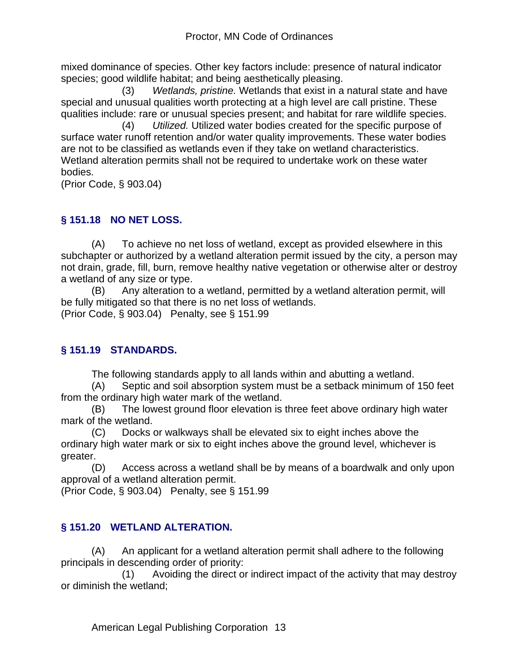mixed dominance of species. Other key factors include: presence of natural indicator species; good wildlife habitat; and being aesthetically pleasing.

 (3) *Wetlands, pristine.* Wetlands that exist in a natural state and have special and unusual qualities worth protecting at a high level are call pristine. These qualities include: rare or unusual species present; and habitat for rare wildlife species.

 (4) *Utilized.* Utilized water bodies created for the specific purpose of surface water runoff retention and/or water quality improvements. These water bodies are not to be classified as wetlands even if they take on wetland characteristics. Wetland alteration permits shall not be required to undertake work on these water bodies.

(Prior Code, § 903.04)

# **§ 151.18 NO NET LOSS.**

(A) To achieve no net loss of wetland, except as provided elsewhere in this subchapter or authorized by a wetland alteration permit issued by the city, a person may not drain, grade, fill, burn, remove healthy native vegetation or otherwise alter or destroy a wetland of any size or type.

(B) Any alteration to a wetland, permitted by a wetland alteration permit, will be fully mitigated so that there is no net loss of wetlands. (Prior Code, § 903.04) Penalty, see § 151.99

# **§ 151.19 STANDARDS.**

The following standards apply to all lands within and abutting a wetland.

(A) Septic and soil absorption system must be a setback minimum of 150 feet from the ordinary high water mark of the wetland.

(B) The lowest ground floor elevation is three feet above ordinary high water mark of the wetland.

(C) Docks or walkways shall be elevated six to eight inches above the ordinary high water mark or six to eight inches above the ground level, whichever is greater.

(D) Access across a wetland shall be by means of a boardwalk and only upon approval of a wetland alteration permit.

(Prior Code, § 903.04) Penalty, see § 151.99

# **§ 151.20 WETLAND ALTERATION.**

(A) An applicant for a wetland alteration permit shall adhere to the following principals in descending order of priority:

 (1) Avoiding the direct or indirect impact of the activity that may destroy or diminish the wetland;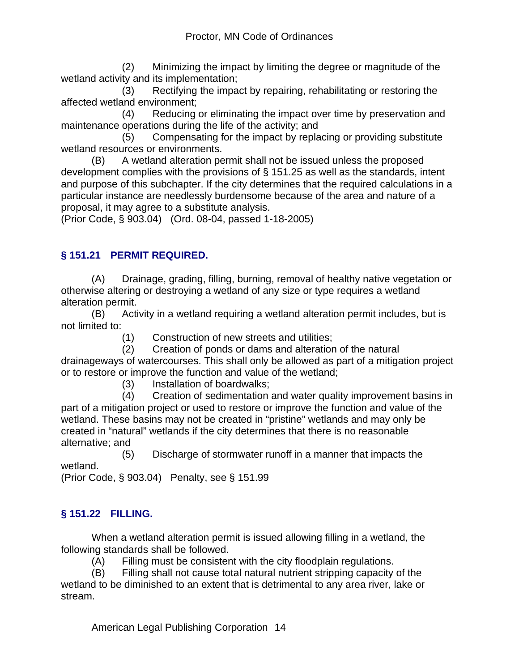(2) Minimizing the impact by limiting the degree or magnitude of the wetland activity and its implementation;

 (3) Rectifying the impact by repairing, rehabilitating or restoring the affected wetland environment;

 (4) Reducing or eliminating the impact over time by preservation and maintenance operations during the life of the activity; and

 (5) Compensating for the impact by replacing or providing substitute wetland resources or environments.

(B) A wetland alteration permit shall not be issued unless the proposed development complies with the provisions of § 151.25 as well as the standards, intent and purpose of this subchapter. If the city determines that the required calculations in a particular instance are needlessly burdensome because of the area and nature of a proposal, it may agree to a substitute analysis.

(Prior Code, § 903.04) (Ord. 08-04, passed 1-18-2005)

# **§ 151.21 PERMIT REQUIRED.**

(A) Drainage, grading, filling, burning, removal of healthy native vegetation or otherwise altering or destroying a wetland of any size or type requires a wetland alteration permit.

(B) Activity in a wetland requiring a wetland alteration permit includes, but is not limited to:

(1) Construction of new streets and utilities;

 (2) Creation of ponds or dams and alteration of the natural drainageways of watercourses. This shall only be allowed as part of a mitigation project or to restore or improve the function and value of the wetland;

(3) Installation of boardwalks;

 (4) Creation of sedimentation and water quality improvement basins in part of a mitigation project or used to restore or improve the function and value of the wetland. These basins may not be created in "pristine" wetlands and may only be created in "natural" wetlands if the city determines that there is no reasonable alternative; and

 (5) Discharge of stormwater runoff in a manner that impacts the wetland.

(Prior Code, § 903.04) Penalty, see § 151.99

# **§ 151.22 FILLING.**

When a wetland alteration permit is issued allowing filling in a wetland, the following standards shall be followed.

(A) Filling must be consistent with the city floodplain regulations.

(B) Filling shall not cause total natural nutrient stripping capacity of the wetland to be diminished to an extent that is detrimental to any area river, lake or stream.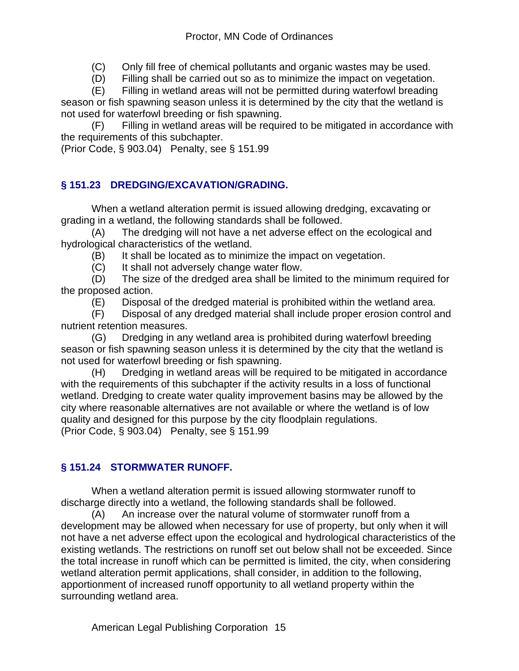(C) Only fill free of chemical pollutants and organic wastes may be used.

(D) Filling shall be carried out so as to minimize the impact on vegetation.

(E) Filling in wetland areas will not be permitted during waterfowl breading season or fish spawning season unless it is determined by the city that the wetland is not used for waterfowl breeding or fish spawning.

(F) Filling in wetland areas will be required to be mitigated in accordance with the requirements of this subchapter.

(Prior Code, § 903.04) Penalty, see § 151.99

# **§ 151.23 DREDGING/EXCAVATION/GRADING.**

When a wetland alteration permit is issued allowing dredging, excavating or grading in a wetland, the following standards shall be followed.

(A) The dredging will not have a net adverse effect on the ecological and hydrological characteristics of the wetland.

(B) It shall be located as to minimize the impact on vegetation.

(C) It shall not adversely change water flow.

(D) The size of the dredged area shall be limited to the minimum required for the proposed action.

(E) Disposal of the dredged material is prohibited within the wetland area.

(F) Disposal of any dredged material shall include proper erosion control and nutrient retention measures.

(G) Dredging in any wetland area is prohibited during waterfowl breeding season or fish spawning season unless it is determined by the city that the wetland is not used for waterfowl breeding or fish spawning.

(H) Dredging in wetland areas will be required to be mitigated in accordance with the requirements of this subchapter if the activity results in a loss of functional wetland. Dredging to create water quality improvement basins may be allowed by the city where reasonable alternatives are not available or where the wetland is of low quality and designed for this purpose by the city floodplain regulations. (Prior Code, § 903.04) Penalty, see § 151.99

# **§ 151.24 STORMWATER RUNOFF.**

When a wetland alteration permit is issued allowing stormwater runoff to discharge directly into a wetland, the following standards shall be followed.

(A) An increase over the natural volume of stormwater runoff from a development may be allowed when necessary for use of property, but only when it will not have a net adverse effect upon the ecological and hydrological characteristics of the existing wetlands. The restrictions on runoff set out below shall not be exceeded. Since the total increase in runoff which can be permitted is limited, the city, when considering wetland alteration permit applications, shall consider, in addition to the following, apportionment of increased runoff opportunity to all wetland property within the surrounding wetland area.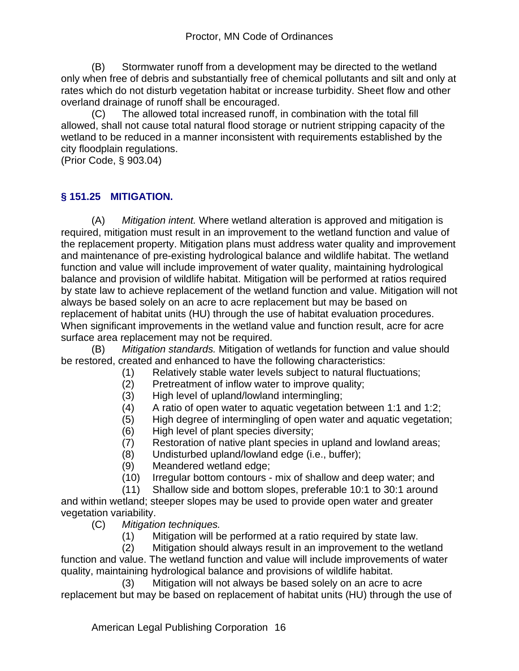(B) Stormwater runoff from a development may be directed to the wetland only when free of debris and substantially free of chemical pollutants and silt and only at rates which do not disturb vegetation habitat or increase turbidity. Sheet flow and other overland drainage of runoff shall be encouraged.

(C) The allowed total increased runoff, in combination with the total fill allowed, shall not cause total natural flood storage or nutrient stripping capacity of the wetland to be reduced in a manner inconsistent with requirements established by the city floodplain regulations.

(Prior Code, § 903.04)

## **§ 151.25 MITIGATION.**

(A) *Mitigation intent.* Where wetland alteration is approved and mitigation is required, mitigation must result in an improvement to the wetland function and value of the replacement property. Mitigation plans must address water quality and improvement and maintenance of pre-existing hydrological balance and wildlife habitat. The wetland function and value will include improvement of water quality, maintaining hydrological balance and provision of wildlife habitat. Mitigation will be performed at ratios required by state law to achieve replacement of the wetland function and value. Mitigation will not always be based solely on an acre to acre replacement but may be based on replacement of habitat units (HU) through the use of habitat evaluation procedures. When significant improvements in the wetland value and function result, acre for acre surface area replacement may not be required.

(B) *Mitigation standards.* Mitigation of wetlands for function and value should be restored, created and enhanced to have the following characteristics:

- (1) Relatively stable water levels subject to natural fluctuations;
- (2) Pretreatment of inflow water to improve quality;
- (3) High level of upland/lowland intermingling;
- (4) A ratio of open water to aquatic vegetation between 1:1 and 1:2;
- (5) High degree of intermingling of open water and aquatic vegetation;
- (6) High level of plant species diversity;
- (7) Restoration of native plant species in upland and lowland areas;
- (8) Undisturbed upland/lowland edge (i.e., buffer);
- (9) Meandered wetland edge;
- (10) Irregular bottom contours mix of shallow and deep water; and

 (11) Shallow side and bottom slopes, preferable 10:1 to 30:1 around and within wetland; steeper slopes may be used to provide open water and greater vegetation variability.

- (C) *Mitigation techniques.*
	- (1) Mitigation will be performed at a ratio required by state law.

 (2) Mitigation should always result in an improvement to the wetland function and value. The wetland function and value will include improvements of water quality, maintaining hydrological balance and provisions of wildlife habitat.

 (3) Mitigation will not always be based solely on an acre to acre replacement but may be based on replacement of habitat units (HU) through the use of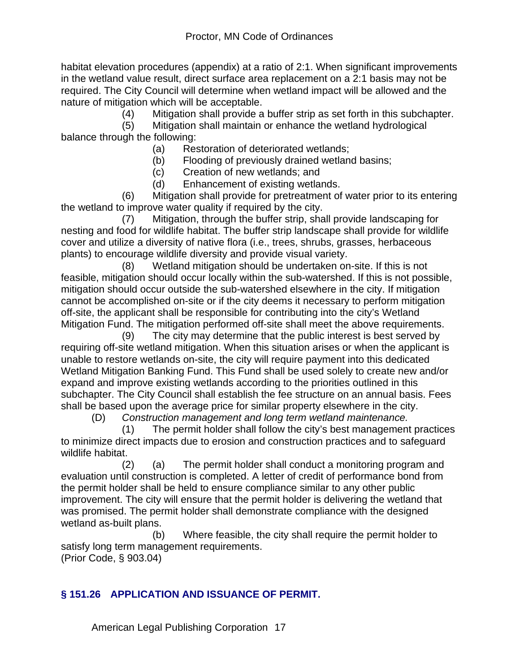habitat elevation procedures (appendix) at a ratio of 2:1. When significant improvements in the wetland value result, direct surface area replacement on a 2:1 basis may not be required. The City Council will determine when wetland impact will be allowed and the nature of mitigation which will be acceptable.

(4) Mitigation shall provide a buffer strip as set forth in this subchapter.

 (5) Mitigation shall maintain or enhance the wetland hydrological balance through the following:

- (a) Restoration of deteriorated wetlands;
- (b) Flooding of previously drained wetland basins;
- (c) Creation of new wetlands; and
- (d) Enhancement of existing wetlands.

 (6) Mitigation shall provide for pretreatment of water prior to its entering the wetland to improve water quality if required by the city.

 (7) Mitigation, through the buffer strip, shall provide landscaping for nesting and food for wildlife habitat. The buffer strip landscape shall provide for wildlife cover and utilize a diversity of native flora (i.e., trees, shrubs, grasses, herbaceous plants) to encourage wildlife diversity and provide visual variety.

 (8) Wetland mitigation should be undertaken on-site. If this is not feasible, mitigation should occur locally within the sub-watershed. If this is not possible, mitigation should occur outside the sub-watershed elsewhere in the city. If mitigation cannot be accomplished on-site or if the city deems it necessary to perform mitigation off-site, the applicant shall be responsible for contributing into the city's Wetland Mitigation Fund. The mitigation performed off-site shall meet the above requirements.

 (9) The city may determine that the public interest is best served by requiring off-site wetland mitigation. When this situation arises or when the applicant is unable to restore wetlands on-site, the city will require payment into this dedicated Wetland Mitigation Banking Fund. This Fund shall be used solely to create new and/or expand and improve existing wetlands according to the priorities outlined in this subchapter. The City Council shall establish the fee structure on an annual basis. Fees shall be based upon the average price for similar property elsewhere in the city.

(D) *Construction management and long term wetland maintenance.*

 (1) The permit holder shall follow the city's best management practices to minimize direct impacts due to erosion and construction practices and to safeguard wildlife habitat.

 (2) (a) The permit holder shall conduct a monitoring program and evaluation until construction is completed. A letter of credit of performance bond from the permit holder shall be held to ensure compliance similar to any other public improvement. The city will ensure that the permit holder is delivering the wetland that was promised. The permit holder shall demonstrate compliance with the designed wetland as-built plans.

 (b) Where feasible, the city shall require the permit holder to satisfy long term management requirements. (Prior Code, § 903.04)

#### **§ 151.26 APPLICATION AND ISSUANCE OF PERMIT.**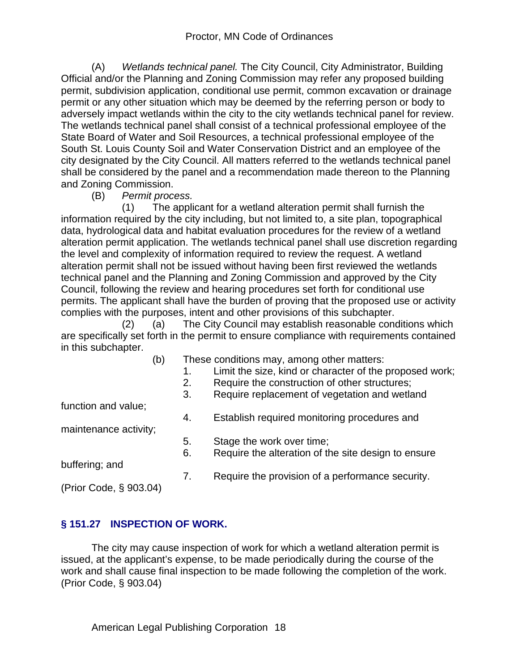(A) *Wetlands technical panel.* The City Council, City Administrator, Building Official and/or the Planning and Zoning Commission may refer any proposed building permit, subdivision application, conditional use permit, common excavation or drainage permit or any other situation which may be deemed by the referring person or body to adversely impact wetlands within the city to the city wetlands technical panel for review. The wetlands technical panel shall consist of a technical professional employee of the State Board of Water and Soil Resources, a technical professional employee of the South St. Louis County Soil and Water Conservation District and an employee of the city designated by the City Council. All matters referred to the wetlands technical panel shall be considered by the panel and a recommendation made thereon to the Planning and Zoning Commission.

(B) *Permit process.* 

 (1) The applicant for a wetland alteration permit shall furnish the information required by the city including, but not limited to, a site plan, topographical data, hydrological data and habitat evaluation procedures for the review of a wetland alteration permit application. The wetlands technical panel shall use discretion regarding the level and complexity of information required to review the request. A wetland alteration permit shall not be issued without having been first reviewed the wetlands technical panel and the Planning and Zoning Commission and approved by the City Council, following the review and hearing procedures set forth for conditional use permits. The applicant shall have the burden of proving that the proposed use or activity complies with the purposes, intent and other provisions of this subchapter.

 (2) (a) The City Council may establish reasonable conditions which are specifically set forth in the permit to ensure compliance with requirements contained in this subchapter.

| (b)                    |    | These conditions may, among other matters:              |
|------------------------|----|---------------------------------------------------------|
|                        | 1. | Limit the size, kind or character of the proposed work; |
|                        | 2. | Require the construction of other structures;           |
|                        | 3. | Require replacement of vegetation and wetland           |
| function and value;    |    |                                                         |
|                        | 4. | Establish required monitoring procedures and            |
| maintenance activity;  |    |                                                         |
|                        | 5. | Stage the work over time;                               |
|                        | 6. | Require the alteration of the site design to ensure     |
| buffering; and         |    |                                                         |
|                        | 7. | Require the provision of a performance security.        |
| (Prior Code, § 903.04) |    |                                                         |
|                        |    |                                                         |

# **§ 151.27 INSPECTION OF WORK.**

The city may cause inspection of work for which a wetland alteration permit is issued, at the applicant's expense, to be made periodically during the course of the work and shall cause final inspection to be made following the completion of the work. (Prior Code, § 903.04)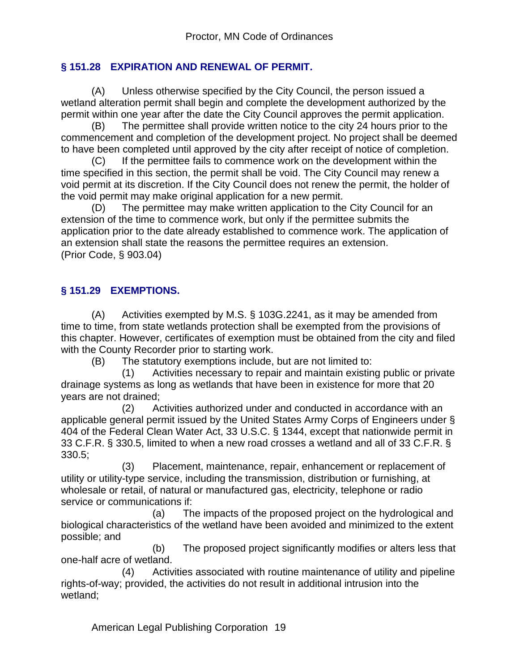## **§ 151.28 EXPIRATION AND RENEWAL OF PERMIT.**

(A) Unless otherwise specified by the City Council, the person issued a wetland alteration permit shall begin and complete the development authorized by the permit within one year after the date the City Council approves the permit application.

(B) The permittee shall provide written notice to the city 24 hours prior to the commencement and completion of the development project. No project shall be deemed to have been completed until approved by the city after receipt of notice of completion.

(C) If the permittee fails to commence work on the development within the time specified in this section, the permit shall be void. The City Council may renew a void permit at its discretion. If the City Council does not renew the permit, the holder of the void permit may make original application for a new permit.

(D) The permittee may make written application to the City Council for an extension of the time to commence work, but only if the permittee submits the application prior to the date already established to commence work. The application of an extension shall state the reasons the permittee requires an extension. (Prior Code, § 903.04)

# **§ 151.29 EXEMPTIONS.**

(A) Activities exempted by M.S. § 103G.2241, as it may be amended from time to time, from state wetlands protection shall be exempted from the provisions of this chapter. However, certificates of exemption must be obtained from the city and filed with the County Recorder prior to starting work.

(B) The statutory exemptions include, but are not limited to:

 (1) Activities necessary to repair and maintain existing public or private drainage systems as long as wetlands that have been in existence for more that 20 years are not drained;

 (2) Activities authorized under and conducted in accordance with an applicable general permit issued by the United States Army Corps of Engineers under § 404 of the Federal Clean Water Act, 33 U.S.C. § 1344, except that nationwide permit in 33 C.F.R. § 330.5, limited to when a new road crosses a wetland and all of 33 C.F.R. § 330.5;

 (3) Placement, maintenance, repair, enhancement or replacement of utility or utility-type service, including the transmission, distribution or furnishing, at wholesale or retail, of natural or manufactured gas, electricity, telephone or radio service or communications if:

 (a) The impacts of the proposed project on the hydrological and biological characteristics of the wetland have been avoided and minimized to the extent possible; and

 (b) The proposed project significantly modifies or alters less that one-half acre of wetland.

 (4) Activities associated with routine maintenance of utility and pipeline rights-of-way; provided, the activities do not result in additional intrusion into the wetland;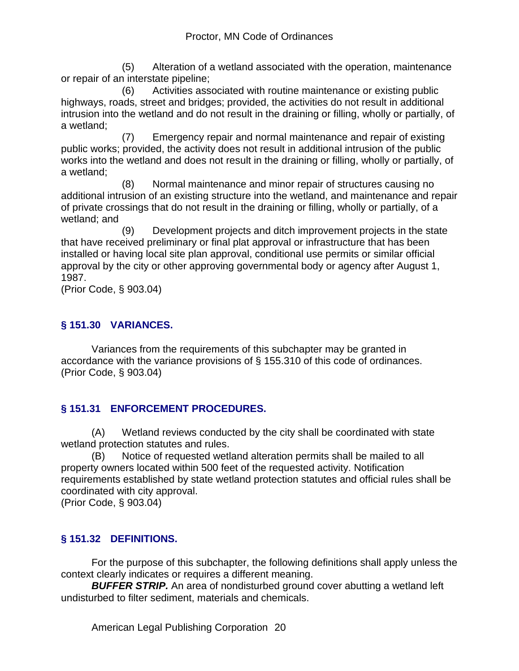(5) Alteration of a wetland associated with the operation, maintenance or repair of an interstate pipeline;

 (6) Activities associated with routine maintenance or existing public highways, roads, street and bridges; provided, the activities do not result in additional intrusion into the wetland and do not result in the draining or filling, wholly or partially, of a wetland;

 (7) Emergency repair and normal maintenance and repair of existing public works; provided, the activity does not result in additional intrusion of the public works into the wetland and does not result in the draining or filling, wholly or partially, of a wetland;

 (8) Normal maintenance and minor repair of structures causing no additional intrusion of an existing structure into the wetland, and maintenance and repair of private crossings that do not result in the draining or filling, wholly or partially, of a wetland; and

 (9) Development projects and ditch improvement projects in the state that have received preliminary or final plat approval or infrastructure that has been installed or having local site plan approval, conditional use permits or similar official approval by the city or other approving governmental body or agency after August 1, 1987.

(Prior Code, § 903.04)

# **§ 151.30 VARIANCES.**

Variances from the requirements of this subchapter may be granted in accordance with the variance provisions of § 155.310 of this code of ordinances. (Prior Code, § 903.04)

# **§ 151.31 ENFORCEMENT PROCEDURES.**

(A) Wetland reviews conducted by the city shall be coordinated with state wetland protection statutes and rules.

(B) Notice of requested wetland alteration permits shall be mailed to all property owners located within 500 feet of the requested activity. Notification requirements established by state wetland protection statutes and official rules shall be coordinated with city approval.

(Prior Code, § 903.04)

# **§ 151.32 DEFINITIONS.**

For the purpose of this subchapter, the following definitions shall apply unless the context clearly indicates or requires a different meaning.

*BUFFER STRIP.* An area of nondisturbed ground cover abutting a wetland left undisturbed to filter sediment, materials and chemicals.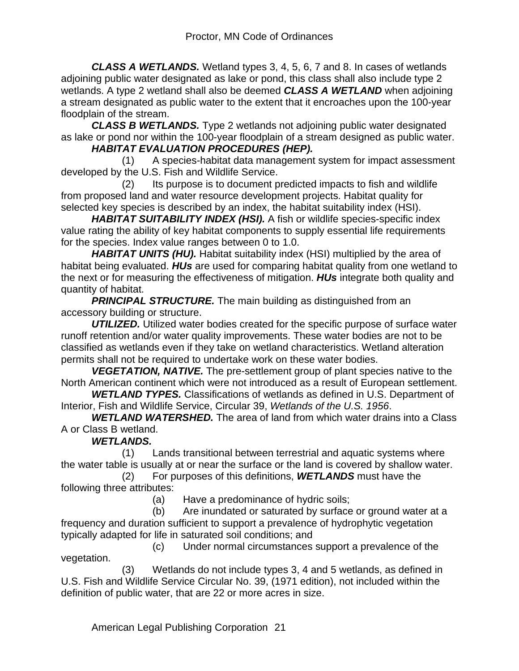*CLASS A WETLANDS.* Wetland types 3, 4, 5, 6, 7 and 8. In cases of wetlands adjoining public water designated as lake or pond, this class shall also include type 2 wetlands. A type 2 wetland shall also be deemed *CLASS A WETLAND* when adjoining a stream designated as public water to the extent that it encroaches upon the 100-year floodplain of the stream.

*CLASS B WETLANDS.* Type 2 wetlands not adjoining public water designated as lake or pond nor within the 100-year floodplain of a stream designed as public water.

## *HABITAT EVALUATION PROCEDURES (HEP).*

 (1) A species-habitat data management system for impact assessment developed by the U.S. Fish and Wildlife Service.

 (2) Its purpose is to document predicted impacts to fish and wildlife from proposed land and water resource development projects. Habitat quality for selected key species is described by an index, the habitat suitability index (HSI).

*HABITAT SUITABILITY INDEX (HSI).* A fish or wildlife species-specific index value rating the ability of key habitat components to supply essential life requirements for the species. Index value ranges between 0 to 1.0.

**HABITAT UNITS (HU).** Habitat suitability index (HSI) multiplied by the area of habitat being evaluated. *HUs* are used for comparing habitat quality from one wetland to the next or for measuring the effectiveness of mitigation. *HUs* integrate both quality and quantity of habitat.

**PRINCIPAL STRUCTURE.** The main building as distinguished from an accessory building or structure.

*UTILIZED.* Utilized water bodies created for the specific purpose of surface water runoff retention and/or water quality improvements. These water bodies are not to be classified as wetlands even if they take on wetland characteristics. Wetland alteration permits shall not be required to undertake work on these water bodies.

*VEGETATION, NATIVE.* The pre-settlement group of plant species native to the North American continent which were not introduced as a result of European settlement.

*WETLAND TYPES.* Classifications of wetlands as defined in U.S. Department of Interior, Fish and Wildlife Service, Circular 39, *Wetlands of the U.S. 1956*.

*WETLAND WATERSHED.* The area of land from which water drains into a Class A or Class B wetland.

#### *WETLANDS.*

 (1) Lands transitional between terrestrial and aquatic systems where the water table is usually at or near the surface or the land is covered by shallow water.

 (2) For purposes of this definitions, *WETLANDS* must have the following three attributes:

(a) Have a predominance of hydric soils;

 (b) Are inundated or saturated by surface or ground water at a frequency and duration sufficient to support a prevalence of hydrophytic vegetation typically adapted for life in saturated soil conditions; and

 (c) Under normal circumstances support a prevalence of the vegetation.

 (3) Wetlands do not include types 3, 4 and 5 wetlands, as defined in U.S. Fish and Wildlife Service Circular No. 39, (1971 edition), not included within the definition of public water, that are 22 or more acres in size.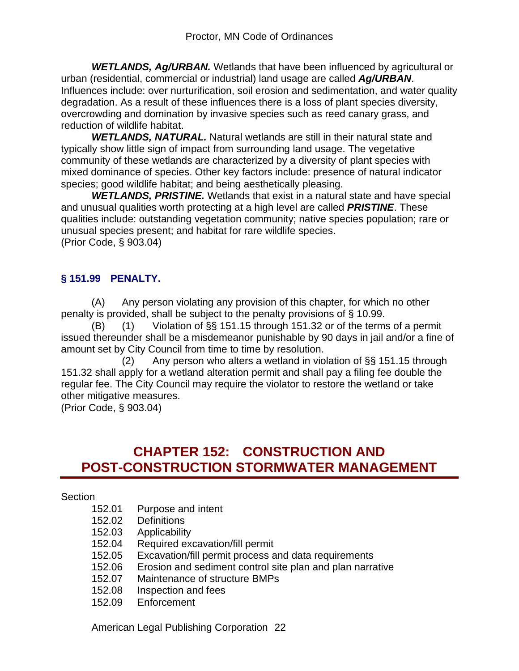*WETLANDS, Ag/URBAN.* Wetlands that have been influenced by agricultural or urban (residential, commercial or industrial) land usage are called *Ag/URBAN*. Influences include: over nurturification, soil erosion and sedimentation, and water quality degradation. As a result of these influences there is a loss of plant species diversity, overcrowding and domination by invasive species such as reed canary grass, and reduction of wildlife habitat.

*WETLANDS, NATURAL.* Natural wetlands are still in their natural state and typically show little sign of impact from surrounding land usage. The vegetative community of these wetlands are characterized by a diversity of plant species with mixed dominance of species. Other key factors include: presence of natural indicator species; good wildlife habitat; and being aesthetically pleasing.

*WETLANDS, PRISTINE.* Wetlands that exist in a natural state and have special and unusual qualities worth protecting at a high level are called *PRISTINE*. These qualities include: outstanding vegetation community; native species population; rare or unusual species present; and habitat for rare wildlife species. (Prior Code, § 903.04)

# **§ 151.99 PENALTY.**

(A) Any person violating any provision of this chapter, for which no other penalty is provided, shall be subject to the penalty provisions of § 10.99.

(B) (1) Violation of §§ 151.15 through 151.32 or of the terms of a permit issued thereunder shall be a misdemeanor punishable by 90 days in jail and/or a fine of amount set by City Council from time to time by resolution.

(2) Any person who alters a wetland in violation of  $\S$ § 151.15 through 151.32 shall apply for a wetland alteration permit and shall pay a filing fee double the regular fee. The City Council may require the violator to restore the wetland or take other mitigative measures.

(Prior Code, § 903.04)

# **CHAPTER 152: CONSTRUCTION AND POST-CONSTRUCTION STORMWATER MANAGEMENT**

#### **Section**

- 152.01 Purpose and intent
- 152.02 Definitions
- 152.03 Applicability
- 152.04 Required excavation/fill permit
- 152.05 Excavation/fill permit process and data requirements
- 152.06 Erosion and sediment control site plan and plan narrative
- 152.07 Maintenance of structure BMPs
- 152.08 Inspection and fees
- 152.09 Enforcement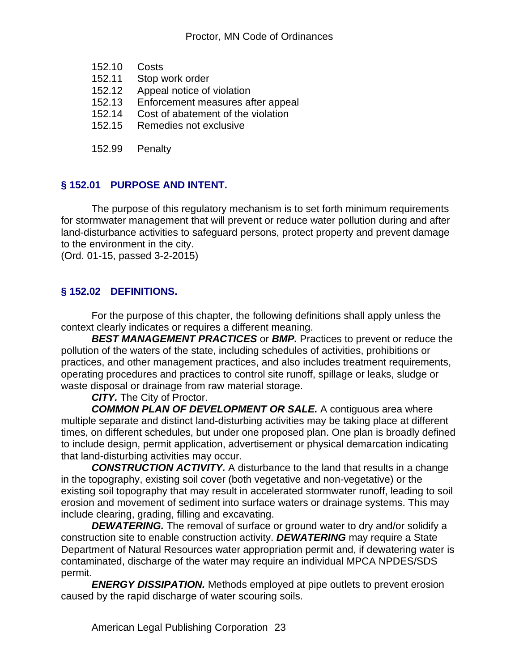- 152.10 Costs
- 152.11 Stop work order
- 152.12 Appeal notice of violation
- 152.13 Enforcement measures after appeal
- 152.14 Cost of abatement of the violation
- 152.15 Remedies not exclusive
- 152.99 Penalty

# **§ 152.01 PURPOSE AND INTENT.**

The purpose of this regulatory mechanism is to set forth minimum requirements for stormwater management that will prevent or reduce water pollution during and after land-disturbance activities to safeguard persons, protect property and prevent damage to the environment in the city.

(Ord. 01-15, passed 3-2-2015)

## **§ 152.02 DEFINITIONS.**

For the purpose of this chapter, the following definitions shall apply unless the context clearly indicates or requires a different meaning.

*BEST MANAGEMENT PRACTICES* or *BMP.* Practices to prevent or reduce the pollution of the waters of the state, including schedules of activities, prohibitions or practices, and other management practices, and also includes treatment requirements, operating procedures and practices to control site runoff, spillage or leaks, sludge or waste disposal or drainage from raw material storage.

*CITY.* The City of Proctor.

*COMMON PLAN OF DEVELOPMENT OR SALE.* A contiguous area where multiple separate and distinct land-disturbing activities may be taking place at different times, on different schedules, but under one proposed plan. One plan is broadly defined to include design, permit application, advertisement or physical demarcation indicating that land-disturbing activities may occur.

*CONSTRUCTION ACTIVITY.* A disturbance to the land that results in a change in the topography, existing soil cover (both vegetative and non-vegetative) or the existing soil topography that may result in accelerated stormwater runoff, leading to soil erosion and movement of sediment into surface waters or drainage systems. This may include clearing, grading, filling and excavating.

**DEWATERING.** The removal of surface or ground water to dry and/or solidify a construction site to enable construction activity. *DEWATERING* may require a State Department of Natural Resources water appropriation permit and, if dewatering water is contaminated, discharge of the water may require an individual MPCA NPDES/SDS permit.

*ENERGY DISSIPATION.* Methods employed at pipe outlets to prevent erosion caused by the rapid discharge of water scouring soils.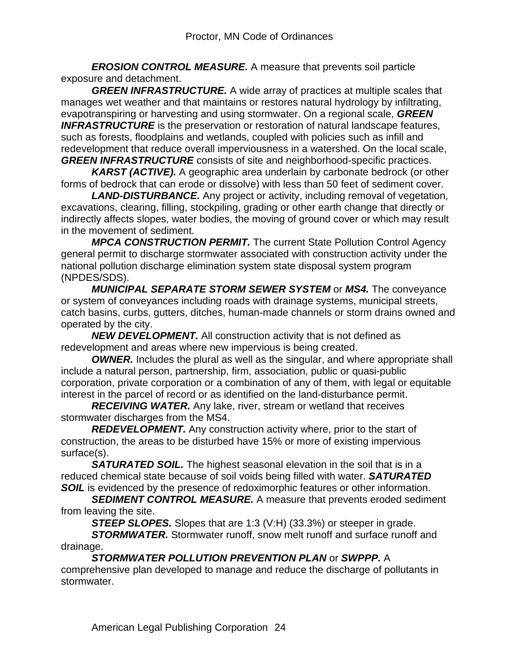*EROSION CONTROL MEASURE.* A measure that prevents soil particle exposure and detachment.

*GREEN INFRASTRUCTURE.* A wide array of practices at multiple scales that manages wet weather and that maintains or restores natural hydrology by infiltrating, evapotranspiring or harvesting and using stormwater. On a regional scale, *GREEN*  **INFRASTRUCTURE** is the preservation or restoration of natural landscape features, such as forests, floodplains and wetlands, coupled with policies such as infill and redevelopment that reduce overall imperviousness in a watershed. On the local scale, *GREEN INFRASTRUCTURE* consists of site and neighborhood-specific practices.

*KARST (ACTIVE).* A geographic area underlain by carbonate bedrock (or other forms of bedrock that can erode or dissolve) with less than 50 feet of sediment cover.

*LAND-DISTURBANCE.* Any project or activity, including removal of vegetation, excavations, clearing, filling, stockpiling, grading or other earth change that directly or indirectly affects slopes, water bodies, the moving of ground cover or which may result in the movement of sediment.

*MPCA CONSTRUCTION PERMIT.* The current State Pollution Control Agency general permit to discharge stormwater associated with construction activity under the national pollution discharge elimination system state disposal system program (NPDES/SDS).

*MUNICIPAL SEPARATE STORM SEWER SYSTEM* or *MS4.* The conveyance or system of conveyances including roads with drainage systems, municipal streets, catch basins, curbs, gutters, ditches, human-made channels or storm drains owned and operated by the city.

*NEW DEVELOPMENT.* All construction activity that is not defined as redevelopment and areas where new impervious is being created.

*OWNER.* Includes the plural as well as the singular, and where appropriate shall include a natural person, partnership, firm, association, public or quasi-public corporation, private corporation or a combination of any of them, with legal or equitable interest in the parcel of record or as identified on the land-disturbance permit.

*RECEIVING WATER.* Any lake, river, stream or wetland that receives stormwater discharges from the MS4.

*REDEVELOPMENT.* Any construction activity where, prior to the start of construction, the areas to be disturbed have 15% or more of existing impervious surface(s).

*SATURATED SOIL.* The highest seasonal elevation in the soil that is in a reduced chemical state because of soil voids being filled with water. *SATURATED*  **SOIL** is evidenced by the presence of redoximorphic features or other information.

**SEDIMENT CONTROL MEASURE.** A measure that prevents eroded sediment from leaving the site.

**STEEP SLOPES.** Slopes that are 1:3 (V:H) (33.3%) or steeper in grade.

*STORMWATER.* Stormwater runoff, snow melt runoff and surface runoff and drainage.

*STORMWATER POLLUTION PREVENTION PLAN* or *SWPPP.* A comprehensive plan developed to manage and reduce the discharge of pollutants in stormwater.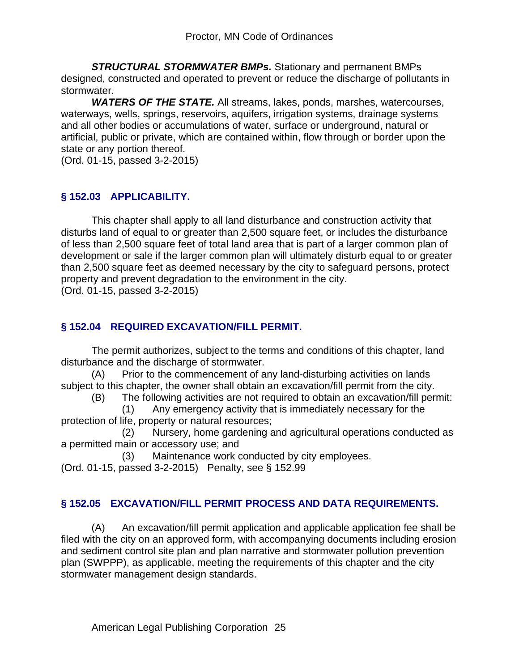*STRUCTURAL STORMWATER BMPs.* Stationary and permanent BMPs designed, constructed and operated to prevent or reduce the discharge of pollutants in stormwater.

*WATERS OF THE STATE.* All streams, lakes, ponds, marshes, watercourses, waterways, wells, springs, reservoirs, aquifers, irrigation systems, drainage systems and all other bodies or accumulations of water, surface or underground, natural or artificial, public or private, which are contained within, flow through or border upon the state or any portion thereof.

(Ord. 01-15, passed 3-2-2015)

#### **§ 152.03 APPLICABILITY.**

This chapter shall apply to all land disturbance and construction activity that disturbs land of equal to or greater than 2,500 square feet, or includes the disturbance of less than 2,500 square feet of total land area that is part of a larger common plan of development or sale if the larger common plan will ultimately disturb equal to or greater than 2,500 square feet as deemed necessary by the city to safeguard persons, protect property and prevent degradation to the environment in the city. (Ord. 01-15, passed 3-2-2015)

#### **§ 152.04 REQUIRED EXCAVATION/FILL PERMIT.**

The permit authorizes, subject to the terms and conditions of this chapter, land disturbance and the discharge of stormwater.

(A) Prior to the commencement of any land-disturbing activities on lands subject to this chapter, the owner shall obtain an excavation/fill permit from the city.

(B) The following activities are not required to obtain an excavation/fill permit:

 (1) Any emergency activity that is immediately necessary for the protection of life, property or natural resources;

 (2) Nursery, home gardening and agricultural operations conducted as a permitted main or accessory use; and

(3) Maintenance work conducted by city employees.

(Ord. 01-15, passed 3-2-2015) Penalty, see § 152.99

#### **§ 152.05 EXCAVATION/FILL PERMIT PROCESS AND DATA REQUIREMENTS.**

(A) An excavation/fill permit application and applicable application fee shall be filed with the city on an approved form, with accompanying documents including erosion and sediment control site plan and plan narrative and stormwater pollution prevention plan (SWPPP), as applicable, meeting the requirements of this chapter and the city stormwater management design standards.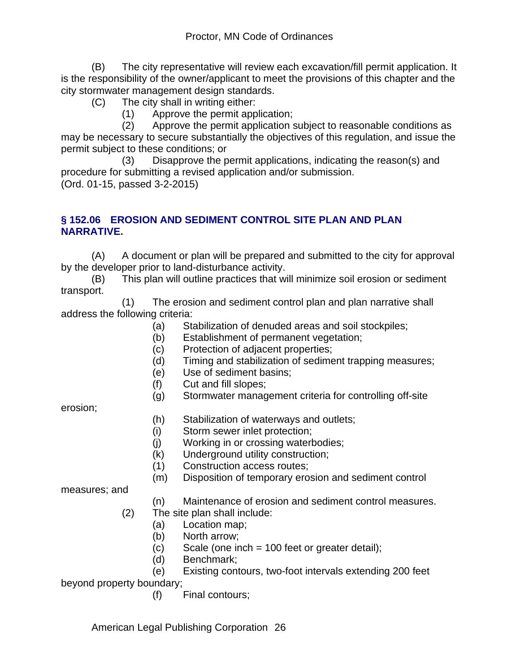(B) The city representative will review each excavation/fill permit application. It is the responsibility of the owner/applicant to meet the provisions of this chapter and the city stormwater management design standards.

- (C) The city shall in writing either:
	- (1) Approve the permit application;

 (2) Approve the permit application subject to reasonable conditions as may be necessary to secure substantially the objectives of this regulation, and issue the permit subject to these conditions; or

 (3) Disapprove the permit applications, indicating the reason(s) and procedure for submitting a revised application and/or submission. (Ord. 01-15, passed 3-2-2015)

#### **§ 152.06 EROSION AND SEDIMENT CONTROL SITE PLAN AND PLAN NARRATIVE.**

(A) A document or plan will be prepared and submitted to the city for approval by the developer prior to land-disturbance activity.

(B) This plan will outline practices that will minimize soil erosion or sediment transport.

 (1) The erosion and sediment control plan and plan narrative shall address the following criteria:

- (a) Stabilization of denuded areas and soil stockpiles;
- (b) Establishment of permanent vegetation;
- (c) Protection of adjacent properties;
- (d) Timing and stabilization of sediment trapping measures;
- (e) Use of sediment basins;
- (f) Cut and fill slopes;
- (g) Stormwater management criteria for controlling off-site

erosion;

- (h) Stabilization of waterways and outlets;
- (i) Storm sewer inlet protection;
- (j) Working in or crossing waterbodies;
- (k) Underground utility construction;
- (1) Construction access routes;
- (m) Disposition of temporary erosion and sediment control

measures; and

#### (n) Maintenance of erosion and sediment control measures.

- (2) The site plan shall include:
	- (a) Location map;
	- (b) North arrow;
	- $(c)$  Scale (one inch = 100 feet or greater detail);
	- (d) Benchmark;
- (e) Existing contours, two-foot intervals extending 200 feet

beyond property boundary;

(f) Final contours;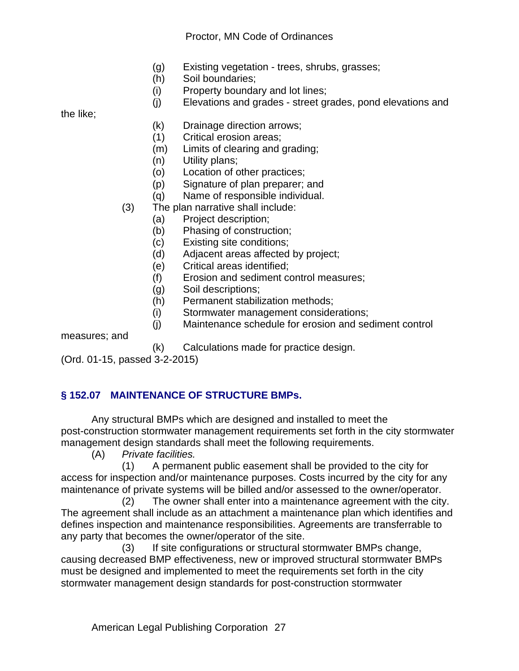#### Proctor, MN Code of Ordinances

- (g) Existing vegetation trees, shrubs, grasses;
- (h) Soil boundaries;
- (i) Property boundary and lot lines;
- (j) Elevations and grades street grades, pond elevations and

the like;

- (k) Drainage direction arrows;
- (1) Critical erosion areas;
- (m) Limits of clearing and grading;
- (n) Utility plans;
- (o) Location of other practices;
- (p) Signature of plan preparer; and
- (q) Name of responsible individual.
- (3) The plan narrative shall include:
	- (a) Project description;
	- (b) Phasing of construction;
	- (c) Existing site conditions;
	- (d) Adjacent areas affected by project;
	- (e) Critical areas identified;
	- (f) Erosion and sediment control measures;
	- (g) Soil descriptions;
	- (h) Permanent stabilization methods;
	- (i) Stormwater management considerations;
	- (j) Maintenance schedule for erosion and sediment control

measures; and

(k) Calculations made for practice design.

(Ord. 01-15, passed 3-2-2015)

# **§ 152.07 MAINTENANCE OF STRUCTURE BMPs.**

Any structural BMPs which are designed and installed to meet the post-construction stormwater management requirements set forth in the city stormwater management design standards shall meet the following requirements.

(A) *Private facilities.*

 (1) A permanent public easement shall be provided to the city for access for inspection and/or maintenance purposes. Costs incurred by the city for any maintenance of private systems will be billed and/or assessed to the owner/operator.

 (2) The owner shall enter into a maintenance agreement with the city. The agreement shall include as an attachment a maintenance plan which identifies and defines inspection and maintenance responsibilities. Agreements are transferrable to any party that becomes the owner/operator of the site.

 (3) If site configurations or structural stormwater BMPs change, causing decreased BMP effectiveness, new or improved structural stormwater BMPs must be designed and implemented to meet the requirements set forth in the city stormwater management design standards for post-construction stormwater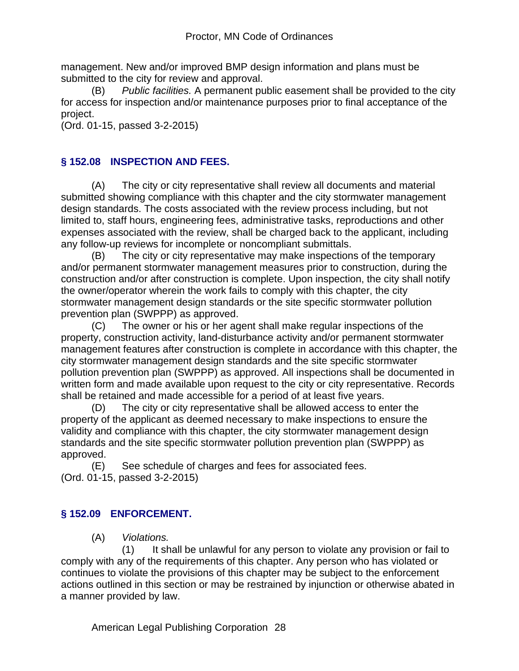management. New and/or improved BMP design information and plans must be submitted to the city for review and approval.

(B) *Public facilities.* A permanent public easement shall be provided to the city for access for inspection and/or maintenance purposes prior to final acceptance of the project.

(Ord. 01-15, passed 3-2-2015)

# **§ 152.08 INSPECTION AND FEES.**

(A) The city or city representative shall review all documents and material submitted showing compliance with this chapter and the city stormwater management design standards. The costs associated with the review process including, but not limited to, staff hours, engineering fees, administrative tasks, reproductions and other expenses associated with the review, shall be charged back to the applicant, including any follow-up reviews for incomplete or noncompliant submittals.

(B) The city or city representative may make inspections of the temporary and/or permanent stormwater management measures prior to construction, during the construction and/or after construction is complete. Upon inspection, the city shall notify the owner/operator wherein the work fails to comply with this chapter, the city stormwater management design standards or the site specific stormwater pollution prevention plan (SWPPP) as approved.

(C) The owner or his or her agent shall make regular inspections of the property, construction activity, land-disturbance activity and/or permanent stormwater management features after construction is complete in accordance with this chapter, the city stormwater management design standards and the site specific stormwater pollution prevention plan (SWPPP) as approved. All inspections shall be documented in written form and made available upon request to the city or city representative. Records shall be retained and made accessible for a period of at least five years.

(D) The city or city representative shall be allowed access to enter the property of the applicant as deemed necessary to make inspections to ensure the validity and compliance with this chapter, the city stormwater management design standards and the site specific stormwater pollution prevention plan (SWPPP) as approved.

(E) See schedule of charges and fees for associated fees. (Ord. 01-15, passed 3-2-2015)

# **§ 152.09 ENFORCEMENT.**

(A) *Violations.*

 (1) It shall be unlawful for any person to violate any provision or fail to comply with any of the requirements of this chapter. Any person who has violated or continues to violate the provisions of this chapter may be subject to the enforcement actions outlined in this section or may be restrained by injunction or otherwise abated in a manner provided by law.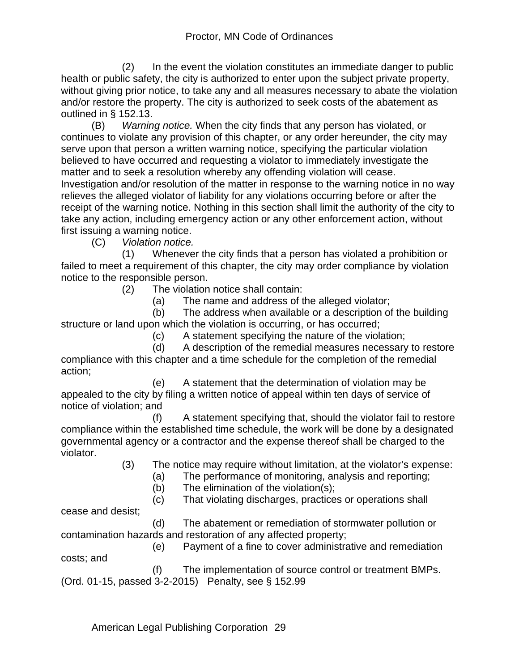(2) In the event the violation constitutes an immediate danger to public health or public safety, the city is authorized to enter upon the subject private property, without giving prior notice, to take any and all measures necessary to abate the violation and/or restore the property. The city is authorized to seek costs of the abatement as outlined in § 152.13.

(B) *Warning notice.* When the city finds that any person has violated, or continues to violate any provision of this chapter, or any order hereunder, the city may serve upon that person a written warning notice, specifying the particular violation believed to have occurred and requesting a violator to immediately investigate the matter and to seek a resolution whereby any offending violation will cease. Investigation and/or resolution of the matter in response to the warning notice in no way relieves the alleged violator of liability for any violations occurring before or after the receipt of the warning notice. Nothing in this section shall limit the authority of the city to take any action, including emergency action or any other enforcement action, without first issuing a warning notice.

(C) *Violation notice.*

 (1) Whenever the city finds that a person has violated a prohibition or failed to meet a requirement of this chapter, the city may order compliance by violation notice to the responsible person.

(2) The violation notice shall contain:

(a) The name and address of the alleged violator;

 (b) The address when available or a description of the building structure or land upon which the violation is occurring, or has occurred;

(c) A statement specifying the nature of the violation;

 (d) A description of the remedial measures necessary to restore compliance with this chapter and a time schedule for the completion of the remedial action;

 (e) A statement that the determination of violation may be appealed to the city by filing a written notice of appeal within ten days of service of notice of violation; and

 (f) A statement specifying that, should the violator fail to restore compliance within the established time schedule, the work will be done by a designated governmental agency or a contractor and the expense thereof shall be charged to the violator.

(3) The notice may require without limitation, at the violator's expense:

(a) The performance of monitoring, analysis and reporting;

(b) The elimination of the violation(s);

(c) That violating discharges, practices or operations shall

cease and desist;

 (d) The abatement or remediation of stormwater pollution or contamination hazards and restoration of any affected property;

 (e) Payment of a fine to cover administrative and remediation costs; and

 (f) The implementation of source control or treatment BMPs. (Ord. 01-15, passed 3-2-2015) Penalty, see § 152.99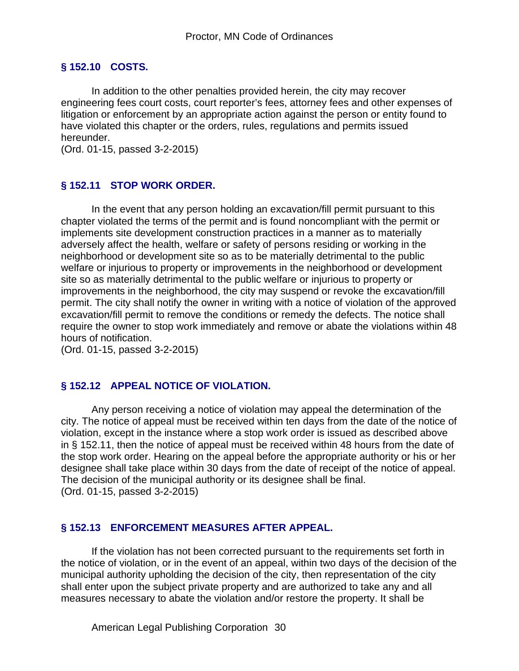## **§ 152.10 COSTS.**

In addition to the other penalties provided herein, the city may recover engineering fees court costs, court reporter's fees, attorney fees and other expenses of litigation or enforcement by an appropriate action against the person or entity found to have violated this chapter or the orders, rules, regulations and permits issued hereunder.

(Ord. 01-15, passed 3-2-2015)

## **§ 152.11 STOP WORK ORDER.**

In the event that any person holding an excavation/fill permit pursuant to this chapter violated the terms of the permit and is found noncompliant with the permit or implements site development construction practices in a manner as to materially adversely affect the health, welfare or safety of persons residing or working in the neighborhood or development site so as to be materially detrimental to the public welfare or injurious to property or improvements in the neighborhood or development site so as materially detrimental to the public welfare or injurious to property or improvements in the neighborhood, the city may suspend or revoke the excavation/fill permit. The city shall notify the owner in writing with a notice of violation of the approved excavation/fill permit to remove the conditions or remedy the defects. The notice shall require the owner to stop work immediately and remove or abate the violations within 48 hours of notification.

(Ord. 01-15, passed 3-2-2015)

#### **§ 152.12 APPEAL NOTICE OF VIOLATION.**

Any person receiving a notice of violation may appeal the determination of the city. The notice of appeal must be received within ten days from the date of the notice of violation, except in the instance where a stop work order is issued as described above in § 152.11, then the notice of appeal must be received within 48 hours from the date of the stop work order. Hearing on the appeal before the appropriate authority or his or her designee shall take place within 30 days from the date of receipt of the notice of appeal. The decision of the municipal authority or its designee shall be final. (Ord. 01-15, passed 3-2-2015)

#### **§ 152.13 ENFORCEMENT MEASURES AFTER APPEAL.**

If the violation has not been corrected pursuant to the requirements set forth in the notice of violation, or in the event of an appeal, within two days of the decision of the municipal authority upholding the decision of the city, then representation of the city shall enter upon the subject private property and are authorized to take any and all measures necessary to abate the violation and/or restore the property. It shall be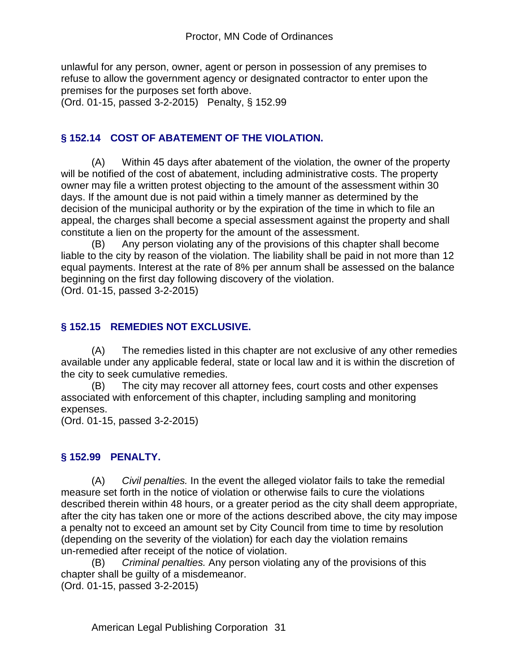unlawful for any person, owner, agent or person in possession of any premises to refuse to allow the government agency or designated contractor to enter upon the premises for the purposes set forth above.

(Ord. 01-15, passed 3-2-2015) Penalty, § 152.99

#### **§ 152.14 COST OF ABATEMENT OF THE VIOLATION.**

(A) Within 45 days after abatement of the violation, the owner of the property will be notified of the cost of abatement, including administrative costs. The property owner may file a written protest objecting to the amount of the assessment within 30 days. If the amount due is not paid within a timely manner as determined by the decision of the municipal authority or by the expiration of the time in which to file an appeal, the charges shall become a special assessment against the property and shall constitute a lien on the property for the amount of the assessment.

(B) Any person violating any of the provisions of this chapter shall become liable to the city by reason of the violation. The liability shall be paid in not more than 12 equal payments. Interest at the rate of 8% per annum shall be assessed on the balance beginning on the first day following discovery of the violation.

(Ord. 01-15, passed 3-2-2015)

#### **§ 152.15 REMEDIES NOT EXCLUSIVE.**

(A) The remedies listed in this chapter are not exclusive of any other remedies available under any applicable federal, state or local law and it is within the discretion of the city to seek cumulative remedies.

(B) The city may recover all attorney fees, court costs and other expenses associated with enforcement of this chapter, including sampling and monitoring expenses.

(Ord. 01-15, passed 3-2-2015)

#### **§ 152.99 PENALTY.**

(A) *Civil penalties.* In the event the alleged violator fails to take the remedial measure set forth in the notice of violation or otherwise fails to cure the violations described therein within 48 hours, or a greater period as the city shall deem appropriate, after the city has taken one or more of the actions described above, the city may impose a penalty not to exceed an amount set by City Council from time to time by resolution (depending on the severity of the violation) for each day the violation remains un-remedied after receipt of the notice of violation.

(B) *Criminal penalties.* Any person violating any of the provisions of this chapter shall be guilty of a misdemeanor.

(Ord. 01-15, passed 3-2-2015)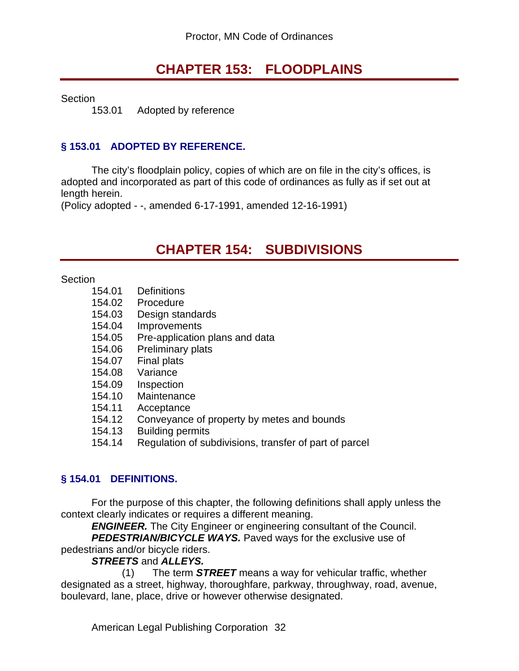# **CHAPTER 153: FLOODPLAINS**

**Section** 

153.01 Adopted by reference

#### **§ 153.01 ADOPTED BY REFERENCE.**

The city's floodplain policy, copies of which are on file in the city's offices, is adopted and incorporated as part of this code of ordinances as fully as if set out at length herein.

(Policy adopted - -, amended 6-17-1991, amended 12-16-1991)

# **CHAPTER 154: SUBDIVISIONS**

**Section** 

- 154.01 Definitions
- 154.02 Procedure
- 154.03 Design standards
- 154.04 Improvements
- 154.05 Pre-application plans and data
- 154.06 Preliminary plats
- 154.07 Final plats
- 154.08 Variance
- 154.09 Inspection
- 154.10 Maintenance
- 154.11 Acceptance
- 154.12 Conveyance of property by metes and bounds
- 154.13 Building permits
- 154.14 Regulation of subdivisions, transfer of part of parcel

#### **§ 154.01 DEFINITIONS.**

For the purpose of this chapter, the following definitions shall apply unless the context clearly indicates or requires a different meaning.

*ENGINEER.* The City Engineer or engineering consultant of the Council.

*PEDESTRIAN/BICYCLE WAYS.* Paved ways for the exclusive use of pedestrians and/or bicycle riders.

#### *STREETS* and *ALLEYS.*

 (1) The term *STREET* means a way for vehicular traffic, whether designated as a street, highway, thoroughfare, parkway, throughway, road, avenue, boulevard, lane, place, drive or however otherwise designated.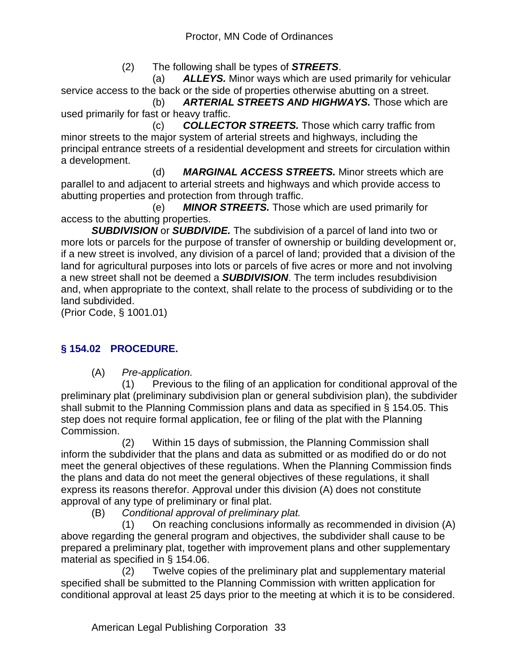(2) The following shall be types of *STREETS*.

 (a) *ALLEYS.* Minor ways which are used primarily for vehicular service access to the back or the side of properties otherwise abutting on a street.

 (b) *ARTERIAL STREETS AND HIGHWAYS.* Those which are used primarily for fast or heavy traffic.

 (c) *COLLECTOR STREETS.* Those which carry traffic from minor streets to the major system of arterial streets and highways, including the principal entrance streets of a residential development and streets for circulation within a development.

 (d) *MARGINAL ACCESS STREETS.* Minor streets which are parallel to and adjacent to arterial streets and highways and which provide access to abutting properties and protection from through traffic.

 (e) *MINOR STREETS.* Those which are used primarily for access to the abutting properties.

*SUBDIVISION* or *SUBDIVIDE.* The subdivision of a parcel of land into two or more lots or parcels for the purpose of transfer of ownership or building development or, if a new street is involved, any division of a parcel of land; provided that a division of the land for agricultural purposes into lots or parcels of five acres or more and not involving a new street shall not be deemed a *SUBDIVISION*. The term includes resubdivision and, when appropriate to the context, shall relate to the process of subdividing or to the land subdivided.

(Prior Code, § 1001.01)

# **§ 154.02 PROCEDURE.**

(A) *Pre-application.*

 (1) Previous to the filing of an application for conditional approval of the preliminary plat (preliminary subdivision plan or general subdivision plan), the subdivider shall submit to the Planning Commission plans and data as specified in § 154.05. This step does not require formal application, fee or filing of the plat with the Planning Commission.

 (2) Within 15 days of submission, the Planning Commission shall inform the subdivider that the plans and data as submitted or as modified do or do not meet the general objectives of these regulations. When the Planning Commission finds the plans and data do not meet the general objectives of these regulations, it shall express its reasons therefor. Approval under this division (A) does not constitute approval of any type of preliminary or final plat.

(B) *Conditional approval of preliminary plat.*

 (1) On reaching conclusions informally as recommended in division (A) above regarding the general program and objectives, the subdivider shall cause to be prepared a preliminary plat, together with improvement plans and other supplementary material as specified in § 154.06.

 (2) Twelve copies of the preliminary plat and supplementary material specified shall be submitted to the Planning Commission with written application for conditional approval at least 25 days prior to the meeting at which it is to be considered.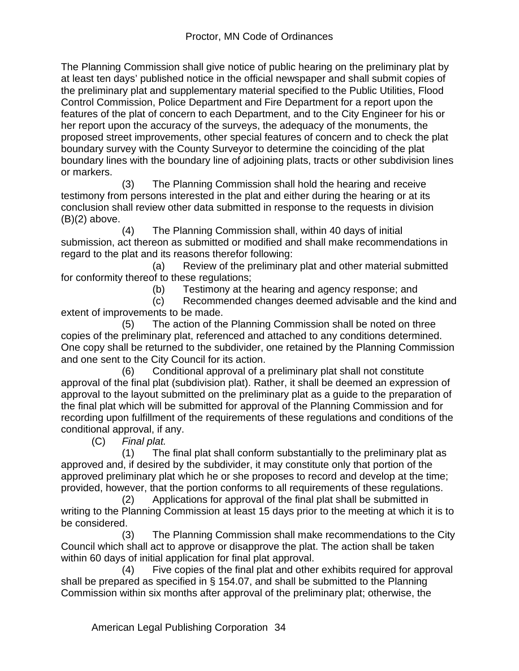The Planning Commission shall give notice of public hearing on the preliminary plat by at least ten days' published notice in the official newspaper and shall submit copies of the preliminary plat and supplementary material specified to the Public Utilities, Flood Control Commission, Police Department and Fire Department for a report upon the features of the plat of concern to each Department, and to the City Engineer for his or her report upon the accuracy of the surveys, the adequacy of the monuments, the proposed street improvements, other special features of concern and to check the plat boundary survey with the County Surveyor to determine the coinciding of the plat boundary lines with the boundary line of adjoining plats, tracts or other subdivision lines or markers.

 (3) The Planning Commission shall hold the hearing and receive testimony from persons interested in the plat and either during the hearing or at its conclusion shall review other data submitted in response to the requests in division  $(B)(2)$  above.

 (4) The Planning Commission shall, within 40 days of initial submission, act thereon as submitted or modified and shall make recommendations in regard to the plat and its reasons therefor following:

 (a) Review of the preliminary plat and other material submitted for conformity thereof to these regulations;

(b) Testimony at the hearing and agency response; and

 (c) Recommended changes deemed advisable and the kind and extent of improvements to be made.

 (5) The action of the Planning Commission shall be noted on three copies of the preliminary plat, referenced and attached to any conditions determined. One copy shall be returned to the subdivider, one retained by the Planning Commission and one sent to the City Council for its action.

 (6) Conditional approval of a preliminary plat shall not constitute approval of the final plat (subdivision plat). Rather, it shall be deemed an expression of approval to the layout submitted on the preliminary plat as a guide to the preparation of the final plat which will be submitted for approval of the Planning Commission and for recording upon fulfillment of the requirements of these regulations and conditions of the conditional approval, if any.

(C) *Final plat.*

 (1) The final plat shall conform substantially to the preliminary plat as approved and, if desired by the subdivider, it may constitute only that portion of the approved preliminary plat which he or she proposes to record and develop at the time; provided, however, that the portion conforms to all requirements of these regulations.

 (2) Applications for approval of the final plat shall be submitted in writing to the Planning Commission at least 15 days prior to the meeting at which it is to be considered.

 (3) The Planning Commission shall make recommendations to the City Council which shall act to approve or disapprove the plat. The action shall be taken within 60 days of initial application for final plat approval.

 (4) Five copies of the final plat and other exhibits required for approval shall be prepared as specified in § 154.07, and shall be submitted to the Planning Commission within six months after approval of the preliminary plat; otherwise, the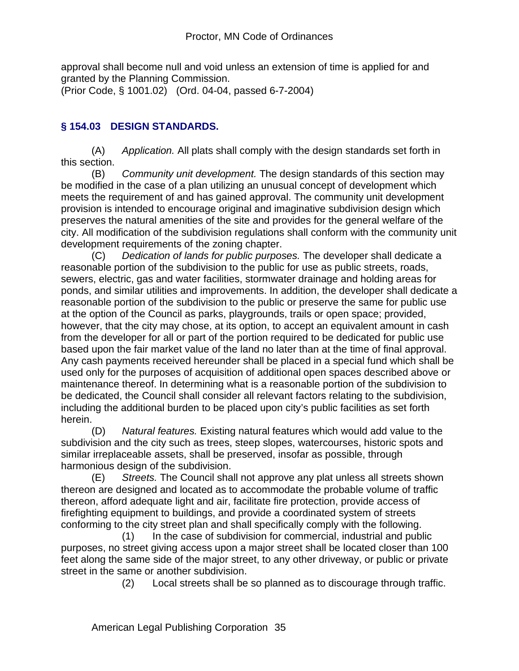approval shall become null and void unless an extension of time is applied for and granted by the Planning Commission.

(Prior Code, § 1001.02) (Ord. 04-04, passed 6-7-2004)

## **§ 154.03 DESIGN STANDARDS.**

(A) *Application.* All plats shall comply with the design standards set forth in this section.

(B) *Community unit development.* The design standards of this section may be modified in the case of a plan utilizing an unusual concept of development which meets the requirement of and has gained approval. The community unit development provision is intended to encourage original and imaginative subdivision design which preserves the natural amenities of the site and provides for the general welfare of the city. All modification of the subdivision regulations shall conform with the community unit development requirements of the zoning chapter.

(C) *Dedication of lands for public purposes.* The developer shall dedicate a reasonable portion of the subdivision to the public for use as public streets, roads, sewers, electric, gas and water facilities, stormwater drainage and holding areas for ponds, and similar utilities and improvements. In addition, the developer shall dedicate a reasonable portion of the subdivision to the public or preserve the same for public use at the option of the Council as parks, playgrounds, trails or open space; provided, however, that the city may chose, at its option, to accept an equivalent amount in cash from the developer for all or part of the portion required to be dedicated for public use based upon the fair market value of the land no later than at the time of final approval. Any cash payments received hereunder shall be placed in a special fund which shall be used only for the purposes of acquisition of additional open spaces described above or maintenance thereof. In determining what is a reasonable portion of the subdivision to be dedicated, the Council shall consider all relevant factors relating to the subdivision, including the additional burden to be placed upon city's public facilities as set forth herein.

(D) *Natural features.* Existing natural features which would add value to the subdivision and the city such as trees, steep slopes, watercourses, historic spots and similar irreplaceable assets, shall be preserved, insofar as possible, through harmonious design of the subdivision.

(E) *Streets.* The Council shall not approve any plat unless all streets shown thereon are designed and located as to accommodate the probable volume of traffic thereon, afford adequate light and air, facilitate fire protection, provide access of firefighting equipment to buildings, and provide a coordinated system of streets conforming to the city street plan and shall specifically comply with the following.

 (1) In the case of subdivision for commercial, industrial and public purposes, no street giving access upon a major street shall be located closer than 100 feet along the same side of the major street, to any other driveway, or public or private street in the same or another subdivision.

(2) Local streets shall be so planned as to discourage through traffic.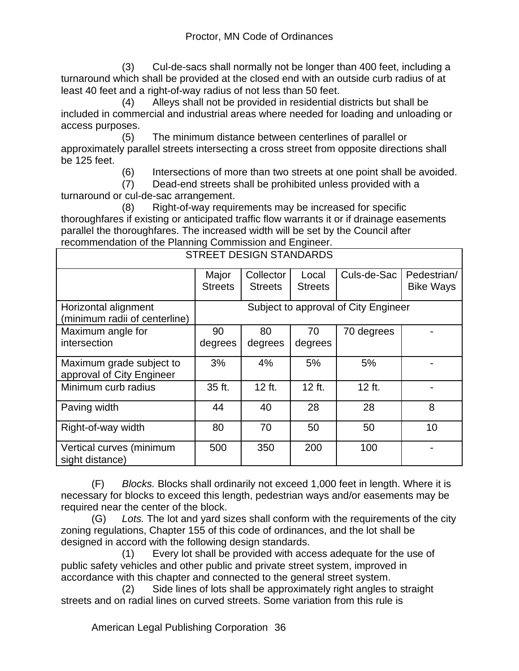(3) Cul-de-sacs shall normally not be longer than 400 feet, including a turnaround which shall be provided at the closed end with an outside curb radius of at least 40 feet and a right-of-way radius of not less than 50 feet.

 (4) Alleys shall not be provided in residential districts but shall be included in commercial and industrial areas where needed for loading and unloading or access purposes.

 (5) The minimum distance between centerlines of parallel or approximately parallel streets intersecting a cross street from opposite directions shall be 125 feet.

(6) Intersections of more than two streets at one point shall be avoided.

 (7) Dead-end streets shall be prohibited unless provided with a turnaround or cul-de-sac arrangement.

 (8) Right-of-way requirements may be increased for specific thoroughfares if existing or anticipated traffic flow warrants it or if drainage easements parallel the thoroughfares. The increased width will be set by the Council after recommendation of the Planning Commission and Engineer.

| <b>STREET DESIGN STANDARDS</b>                        |                                      |                             |                         |             |                                 |  |  |  |
|-------------------------------------------------------|--------------------------------------|-----------------------------|-------------------------|-------------|---------------------------------|--|--|--|
|                                                       | Major<br><b>Streets</b>              | Collector<br><b>Streets</b> | Local<br><b>Streets</b> | Culs-de-Sac | Pedestrian/<br><b>Bike Ways</b> |  |  |  |
| Horizontal alignment<br>(minimum radii of centerline) | Subject to approval of City Engineer |                             |                         |             |                                 |  |  |  |
| Maximum angle for                                     | 90                                   | 80                          | 70                      | 70 degrees  |                                 |  |  |  |
| intersection                                          | degrees                              | degrees                     | degrees                 |             |                                 |  |  |  |
| Maximum grade subject to<br>approval of City Engineer | 3%                                   | 4%                          | 5%                      | 5%          |                                 |  |  |  |
| Minimum curb radius                                   | 35 ft.                               | 12 ft.                      | 12 ft.                  | 12 ft.      |                                 |  |  |  |
| Paving width                                          | 44                                   | 40                          | 28                      | 28          | 8                               |  |  |  |
| Right-of-way width                                    | 80                                   | 70                          | 50                      | 50          | 10                              |  |  |  |
| Vertical curves (minimum<br>sight distance)           | 500                                  | 350                         | 200                     | 100         |                                 |  |  |  |

(F) *Blocks.* Blocks shall ordinarily not exceed 1,000 feet in length. Where it is necessary for blocks to exceed this length, pedestrian ways and/or easements may be required near the center of the block.

(G) *Lots.* The lot and yard sizes shall conform with the requirements of the city zoning regulations, Chapter 155 of this code of ordinances, and the lot shall be designed in accord with the following design standards.

 (1) Every lot shall be provided with access adequate for the use of public safety vehicles and other public and private street system, improved in accordance with this chapter and connected to the general street system.

 (2) Side lines of lots shall be approximately right angles to straight streets and on radial lines on curved streets. Some variation from this rule is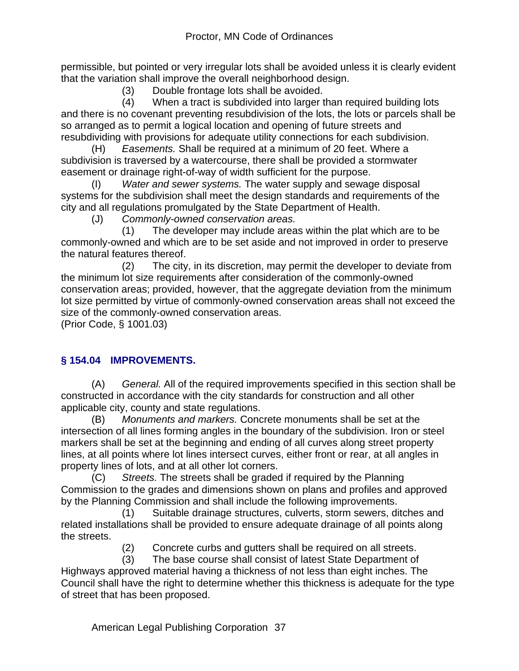permissible, but pointed or very irregular lots shall be avoided unless it is clearly evident that the variation shall improve the overall neighborhood design.

(3) Double frontage lots shall be avoided.

 (4) When a tract is subdivided into larger than required building lots and there is no covenant preventing resubdivision of the lots, the lots or parcels shall be so arranged as to permit a logical location and opening of future streets and resubdividing with provisions for adequate utility connections for each subdivision.

(H) *Easements.* Shall be required at a minimum of 20 feet. Where a subdivision is traversed by a watercourse, there shall be provided a stormwater easement or drainage right-of-way of width sufficient for the purpose.

(I) *Water and sewer systems.* The water supply and sewage disposal systems for the subdivision shall meet the design standards and requirements of the city and all regulations promulgated by the State Department of Health.

(J) *Commonly-owned conservation areas.*

 (1) The developer may include areas within the plat which are to be commonly-owned and which are to be set aside and not improved in order to preserve the natural features thereof.

 (2) The city, in its discretion, may permit the developer to deviate from the minimum lot size requirements after consideration of the commonly-owned conservation areas; provided, however, that the aggregate deviation from the minimum lot size permitted by virtue of commonly-owned conservation areas shall not exceed the size of the commonly-owned conservation areas.

(Prior Code, § 1001.03)

## **§ 154.04 IMPROVEMENTS.**

(A) *General.* All of the required improvements specified in this section shall be constructed in accordance with the city standards for construction and all other applicable city, county and state regulations.

(B) *Monuments and markers.* Concrete monuments shall be set at the intersection of all lines forming angles in the boundary of the subdivision. Iron or steel markers shall be set at the beginning and ending of all curves along street property lines, at all points where lot lines intersect curves, either front or rear, at all angles in property lines of lots, and at all other lot corners.

(C) *Streets.* The streets shall be graded if required by the Planning Commission to the grades and dimensions shown on plans and profiles and approved by the Planning Commission and shall include the following improvements.

 (1) Suitable drainage structures, culverts, storm sewers, ditches and related installations shall be provided to ensure adequate drainage of all points along the streets.

(2) Concrete curbs and gutters shall be required on all streets.

 (3) The base course shall consist of latest State Department of Highways approved material having a thickness of not less than eight inches. The Council shall have the right to determine whether this thickness is adequate for the type of street that has been proposed.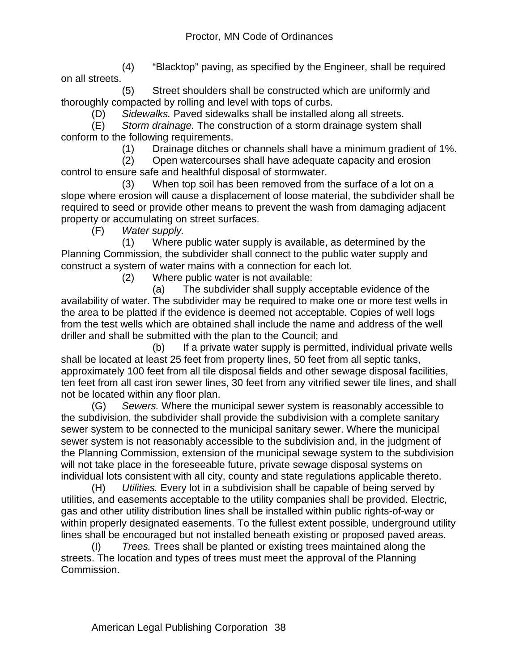(4) "Blacktop" paving, as specified by the Engineer, shall be required on all streets.

 (5) Street shoulders shall be constructed which are uniformly and thoroughly compacted by rolling and level with tops of curbs.

(D) *Sidewalks.* Paved sidewalks shall be installed along all streets.

(E) *Storm drainage.* The construction of a storm drainage system shall conform to the following requirements.

(1) Drainage ditches or channels shall have a minimum gradient of 1%.

 (2) Open watercourses shall have adequate capacity and erosion control to ensure safe and healthful disposal of stormwater.

 (3) When top soil has been removed from the surface of a lot on a slope where erosion will cause a displacement of loose material, the subdivider shall be required to seed or provide other means to prevent the wash from damaging adjacent property or accumulating on street surfaces.

(F) *Water supply.*

 (1) Where public water supply is available, as determined by the Planning Commission, the subdivider shall connect to the public water supply and construct a system of water mains with a connection for each lot.

(2) Where public water is not available:

 (a) The subdivider shall supply acceptable evidence of the availability of water. The subdivider may be required to make one or more test wells in the area to be platted if the evidence is deemed not acceptable. Copies of well logs from the test wells which are obtained shall include the name and address of the well driller and shall be submitted with the plan to the Council; and

 (b) If a private water supply is permitted, individual private wells shall be located at least 25 feet from property lines, 50 feet from all septic tanks, approximately 100 feet from all tile disposal fields and other sewage disposal facilities, ten feet from all cast iron sewer lines, 30 feet from any vitrified sewer tile lines, and shall not be located within any floor plan.

(G) *Sewers.* Where the municipal sewer system is reasonably accessible to the subdivision, the subdivider shall provide the subdivision with a complete sanitary sewer system to be connected to the municipal sanitary sewer. Where the municipal sewer system is not reasonably accessible to the subdivision and, in the judgment of the Planning Commission, extension of the municipal sewage system to the subdivision will not take place in the foreseeable future, private sewage disposal systems on individual lots consistent with all city, county and state regulations applicable thereto.

(H) *Utilities.* Every lot in a subdivision shall be capable of being served by utilities, and easements acceptable to the utility companies shall be provided. Electric, gas and other utility distribution lines shall be installed within public rights-of-way or within properly designated easements. To the fullest extent possible, underground utility lines shall be encouraged but not installed beneath existing or proposed paved areas.

(I) *Trees.* Trees shall be planted or existing trees maintained along the streets. The location and types of trees must meet the approval of the Planning Commission.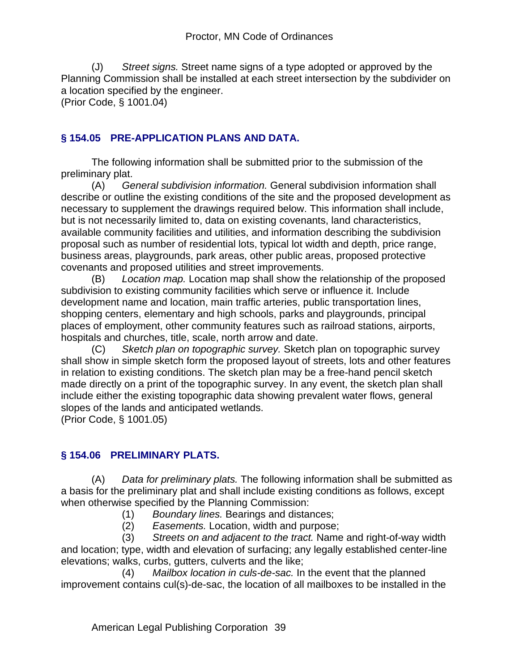(J) *Street signs.* Street name signs of a type adopted or approved by the Planning Commission shall be installed at each street intersection by the subdivider on a location specified by the engineer.

(Prior Code, § 1001.04)

### **§ 154.05 PRE-APPLICATION PLANS AND DATA.**

The following information shall be submitted prior to the submission of the preliminary plat.

(A) *General subdivision information.* General subdivision information shall describe or outline the existing conditions of the site and the proposed development as necessary to supplement the drawings required below. This information shall include, but is not necessarily limited to, data on existing covenants, land characteristics, available community facilities and utilities, and information describing the subdivision proposal such as number of residential lots, typical lot width and depth, price range, business areas, playgrounds, park areas, other public areas, proposed protective covenants and proposed utilities and street improvements.

(B) *Location map.* Location map shall show the relationship of the proposed subdivision to existing community facilities which serve or influence it. Include development name and location, main traffic arteries, public transportation lines, shopping centers, elementary and high schools, parks and playgrounds, principal places of employment, other community features such as railroad stations, airports, hospitals and churches, title, scale, north arrow and date.

(C) *Sketch plan on topographic survey.* Sketch plan on topographic survey shall show in simple sketch form the proposed layout of streets, lots and other features in relation to existing conditions. The sketch plan may be a free-hand pencil sketch made directly on a print of the topographic survey. In any event, the sketch plan shall include either the existing topographic data showing prevalent water flows, general slopes of the lands and anticipated wetlands.

(Prior Code, § 1001.05)

#### **§ 154.06 PRELIMINARY PLATS.**

(A) *Data for preliminary plats.* The following information shall be submitted as a basis for the preliminary plat and shall include existing conditions as follows, except when otherwise specified by the Planning Commission:

- (1) *Boundary lines.* Bearings and distances;
- (2) *Easements.* Location, width and purpose;

 (3) *Streets on and adjacent to the tract.* Name and right-of-way width and location; type, width and elevation of surfacing; any legally established center-line elevations; walks, curbs, gutters, culverts and the like;

 (4) *Mailbox location in culs-de-sac.* In the event that the planned improvement contains cul(s)-de-sac, the location of all mailboxes to be installed in the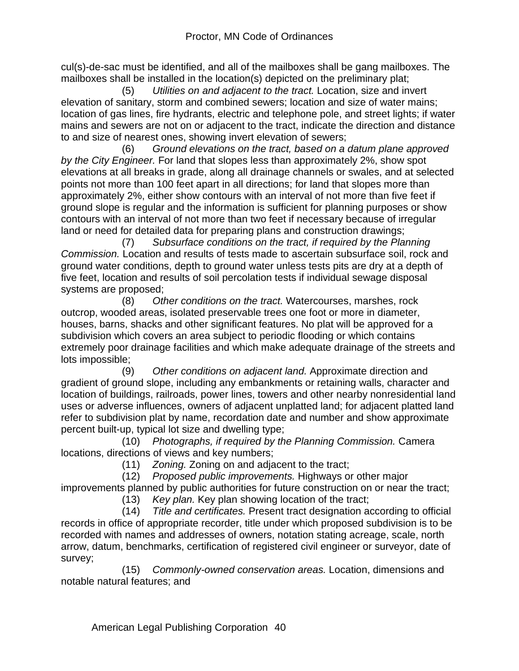cul(s)-de-sac must be identified, and all of the mailboxes shall be gang mailboxes. The mailboxes shall be installed in the location(s) depicted on the preliminary plat;

 (5) *Utilities on and adjacent to the tract.* Location, size and invert elevation of sanitary, storm and combined sewers; location and size of water mains; location of gas lines, fire hydrants, electric and telephone pole, and street lights; if water mains and sewers are not on or adjacent to the tract, indicate the direction and distance to and size of nearest ones, showing invert elevation of sewers;

 (6) *Ground elevations on the tract, based on a datum plane approved by the City Engineer.* For land that slopes less than approximately 2%, show spot elevations at all breaks in grade, along all drainage channels or swales, and at selected points not more than 100 feet apart in all directions; for land that slopes more than approximately 2%, either show contours with an interval of not more than five feet if ground slope is regular and the information is sufficient for planning purposes or show contours with an interval of not more than two feet if necessary because of irregular land or need for detailed data for preparing plans and construction drawings;

 (7) *Subsurface conditions on the tract, if required by the Planning Commission.* Location and results of tests made to ascertain subsurface soil, rock and ground water conditions, depth to ground water unless tests pits are dry at a depth of five feet, location and results of soil percolation tests if individual sewage disposal systems are proposed;

 (8) *Other conditions on the tract.* Watercourses, marshes, rock outcrop, wooded areas, isolated preservable trees one foot or more in diameter, houses, barns, shacks and other significant features. No plat will be approved for a subdivision which covers an area subject to periodic flooding or which contains extremely poor drainage facilities and which make adequate drainage of the streets and lots impossible;

 (9) *Other conditions on adjacent land.* Approximate direction and gradient of ground slope, including any embankments or retaining walls, character and location of buildings, railroads, power lines, towers and other nearby nonresidential land uses or adverse influences, owners of adjacent unplatted land; for adjacent platted land refer to subdivision plat by name, recordation date and number and show approximate percent built-up, typical lot size and dwelling type;

 (10) *Photographs, if required by the Planning Commission.* Camera locations, directions of views and key numbers;

(11) *Zoning.* Zoning on and adjacent to the tract;

(12) *Proposed public improvements.* Highways or other major

improvements planned by public authorities for future construction on or near the tract; (13) *Key plan.* Key plan showing location of the tract;

 (14) *Title and certificates.* Present tract designation according to official records in office of appropriate recorder, title under which proposed subdivision is to be recorded with names and addresses of owners, notation stating acreage, scale, north arrow, datum, benchmarks, certification of registered civil engineer or surveyor, date of survey;

 (15) *Commonly-owned conservation areas.* Location, dimensions and notable natural features; and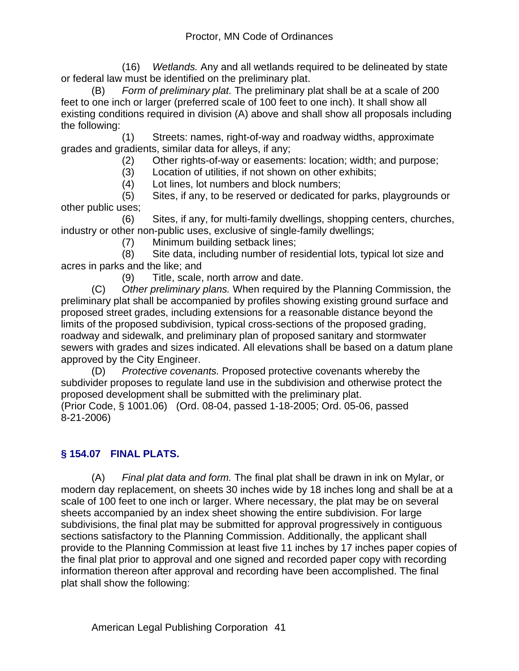(16) *Wetlands.* Any and all wetlands required to be delineated by state or federal law must be identified on the preliminary plat.

(B) *Form of preliminary plat.* The preliminary plat shall be at a scale of 200 feet to one inch or larger (preferred scale of 100 feet to one inch). It shall show all existing conditions required in division (A) above and shall show all proposals including the following:

 (1) Streets: names, right-of-way and roadway widths, approximate grades and gradients, similar data for alleys, if any;

(2) Other rights-of-way or easements: location; width; and purpose;

(3) Location of utilities, if not shown on other exhibits;

(4) Lot lines, lot numbers and block numbers;

 (5) Sites, if any, to be reserved or dedicated for parks, playgrounds or other public uses;

 (6) Sites, if any, for multi-family dwellings, shopping centers, churches, industry or other non-public uses, exclusive of single-family dwellings;

(7) Minimum building setback lines;

 (8) Site data, including number of residential lots, typical lot size and acres in parks and the like; and

(9) Title, scale, north arrow and date.

(C) *Other preliminary plans.* When required by the Planning Commission, the preliminary plat shall be accompanied by profiles showing existing ground surface and proposed street grades, including extensions for a reasonable distance beyond the limits of the proposed subdivision, typical cross-sections of the proposed grading, roadway and sidewalk, and preliminary plan of proposed sanitary and stormwater sewers with grades and sizes indicated. All elevations shall be based on a datum plane approved by the City Engineer.

(D) *Protective covenants.* Proposed protective covenants whereby the subdivider proposes to regulate land use in the subdivision and otherwise protect the proposed development shall be submitted with the preliminary plat. (Prior Code, § 1001.06) (Ord. 08-04, passed 1-18-2005; Ord. 05-06, passed 8-21-2006)

**§ 154.07 FINAL PLATS.**

(A) *Final plat data and form.* The final plat shall be drawn in ink on Mylar, or modern day replacement, on sheets 30 inches wide by 18 inches long and shall be at a scale of 100 feet to one inch or larger. Where necessary, the plat may be on several sheets accompanied by an index sheet showing the entire subdivision. For large subdivisions, the final plat may be submitted for approval progressively in contiguous sections satisfactory to the Planning Commission. Additionally, the applicant shall provide to the Planning Commission at least five 11 inches by 17 inches paper copies of the final plat prior to approval and one signed and recorded paper copy with recording information thereon after approval and recording have been accomplished. The final plat shall show the following: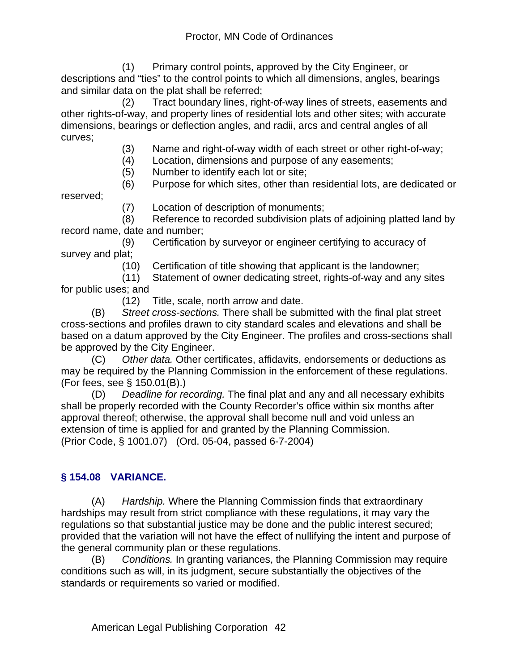(1) Primary control points, approved by the City Engineer, or descriptions and "ties" to the control points to which all dimensions, angles, bearings and similar data on the plat shall be referred;

 (2) Tract boundary lines, right-of-way lines of streets, easements and other rights-of-way, and property lines of residential lots and other sites; with accurate dimensions, bearings or deflection angles, and radii, arcs and central angles of all curves;

- (3) Name and right-of-way width of each street or other right-of-way;
- (4) Location, dimensions and purpose of any easements;
- (5) Number to identify each lot or site;

 (6) Purpose for which sites, other than residential lots, are dedicated or reserved;

(7) Location of description of monuments;

 (8) Reference to recorded subdivision plats of adjoining platted land by record name, date and number;

 (9) Certification by surveyor or engineer certifying to accuracy of survey and plat;

(10) Certification of title showing that applicant is the landowner;

 (11) Statement of owner dedicating street, rights-of-way and any sites for public uses; and

(12) Title, scale, north arrow and date.

(B) *Street cross-sections.* There shall be submitted with the final plat street cross-sections and profiles drawn to city standard scales and elevations and shall be based on a datum approved by the City Engineer. The profiles and cross-sections shall be approved by the City Engineer.

(C) *Other data.* Other certificates, affidavits, endorsements or deductions as may be required by the Planning Commission in the enforcement of these regulations. (For fees, see § 150.01(B).)

(D) *Deadline for recording.* The final plat and any and all necessary exhibits shall be properly recorded with the County Recorder's office within six months after approval thereof; otherwise, the approval shall become null and void unless an extension of time is applied for and granted by the Planning Commission. (Prior Code, § 1001.07) (Ord. 05-04, passed 6-7-2004)

## **§ 154.08 VARIANCE.**

(A) *Hardship.* Where the Planning Commission finds that extraordinary hardships may result from strict compliance with these regulations, it may vary the regulations so that substantial justice may be done and the public interest secured; provided that the variation will not have the effect of nullifying the intent and purpose of the general community plan or these regulations.

(B) *Conditions.* In granting variances, the Planning Commission may require conditions such as will, in its judgment, secure substantially the objectives of the standards or requirements so varied or modified.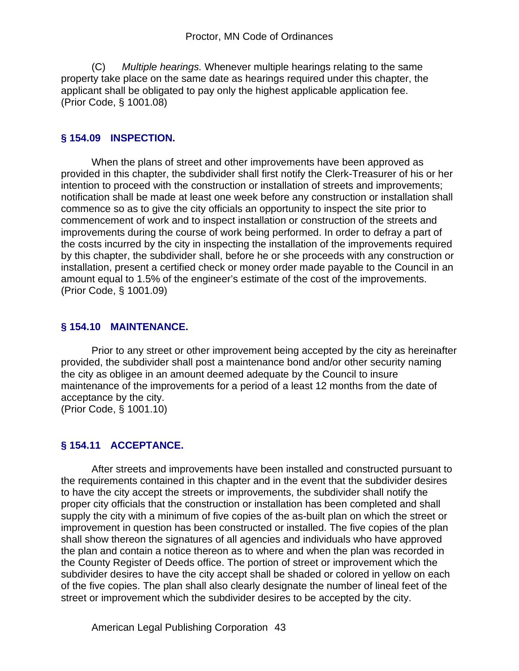(C) *Multiple hearings.* Whenever multiple hearings relating to the same property take place on the same date as hearings required under this chapter, the applicant shall be obligated to pay only the highest applicable application fee. (Prior Code, § 1001.08)

#### **§ 154.09 INSPECTION.**

When the plans of street and other improvements have been approved as provided in this chapter, the subdivider shall first notify the Clerk-Treasurer of his or her intention to proceed with the construction or installation of streets and improvements; notification shall be made at least one week before any construction or installation shall commence so as to give the city officials an opportunity to inspect the site prior to commencement of work and to inspect installation or construction of the streets and improvements during the course of work being performed. In order to defray a part of the costs incurred by the city in inspecting the installation of the improvements required by this chapter, the subdivider shall, before he or she proceeds with any construction or installation, present a certified check or money order made payable to the Council in an amount equal to 1.5% of the engineer's estimate of the cost of the improvements. (Prior Code, § 1001.09)

#### **§ 154.10 MAINTENANCE.**

Prior to any street or other improvement being accepted by the city as hereinafter provided, the subdivider shall post a maintenance bond and/or other security naming the city as obligee in an amount deemed adequate by the Council to insure maintenance of the improvements for a period of a least 12 months from the date of acceptance by the city.

(Prior Code, § 1001.10)

#### **§ 154.11 ACCEPTANCE.**

After streets and improvements have been installed and constructed pursuant to the requirements contained in this chapter and in the event that the subdivider desires to have the city accept the streets or improvements, the subdivider shall notify the proper city officials that the construction or installation has been completed and shall supply the city with a minimum of five copies of the as-built plan on which the street or improvement in question has been constructed or installed. The five copies of the plan shall show thereon the signatures of all agencies and individuals who have approved the plan and contain a notice thereon as to where and when the plan was recorded in the County Register of Deeds office. The portion of street or improvement which the subdivider desires to have the city accept shall be shaded or colored in yellow on each of the five copies. The plan shall also clearly designate the number of lineal feet of the street or improvement which the subdivider desires to be accepted by the city.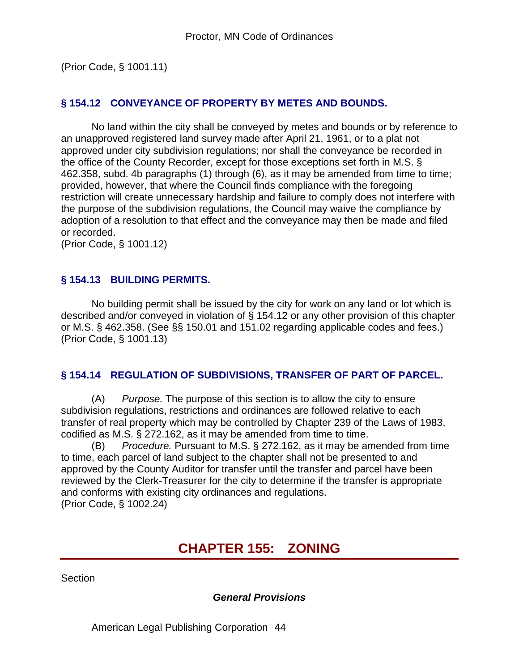(Prior Code, § 1001.11)

#### **§ 154.12 CONVEYANCE OF PROPERTY BY METES AND BOUNDS.**

No land within the city shall be conveyed by metes and bounds or by reference to an unapproved registered land survey made after April 21, 1961, or to a plat not approved under city subdivision regulations; nor shall the conveyance be recorded in the office of the County Recorder, except for those exceptions set forth in M.S. § 462.358, subd. 4b paragraphs (1) through (6), as it may be amended from time to time; provided, however, that where the Council finds compliance with the foregoing restriction will create unnecessary hardship and failure to comply does not interfere with the purpose of the subdivision regulations, the Council may waive the compliance by adoption of a resolution to that effect and the conveyance may then be made and filed or recorded.

(Prior Code, § 1001.12)

#### **§ 154.13 BUILDING PERMITS.**

No building permit shall be issued by the city for work on any land or lot which is described and/or conveyed in violation of § 154.12 or any other provision of this chapter or M.S. § 462.358. (See §§ 150.01 and 151.02 regarding applicable codes and fees.) (Prior Code, § 1001.13)

#### **§ 154.14 REGULATION OF SUBDIVISIONS, TRANSFER OF PART OF PARCEL.**

(A) *Purpose.* The purpose of this section is to allow the city to ensure subdivision regulations, restrictions and ordinances are followed relative to each transfer of real property which may be controlled by Chapter 239 of the Laws of 1983, codified as M.S. § 272.162, as it may be amended from time to time.

(B) *Procedure.* Pursuant to M.S. § 272.162, as it may be amended from time to time, each parcel of land subject to the chapter shall not be presented to and approved by the County Auditor for transfer until the transfer and parcel have been reviewed by the Clerk-Treasurer for the city to determine if the transfer is appropriate and conforms with existing city ordinances and regulations. (Prior Code, § 1002.24)

# **CHAPTER 155: ZONING**

**Section** 

*General Provisions*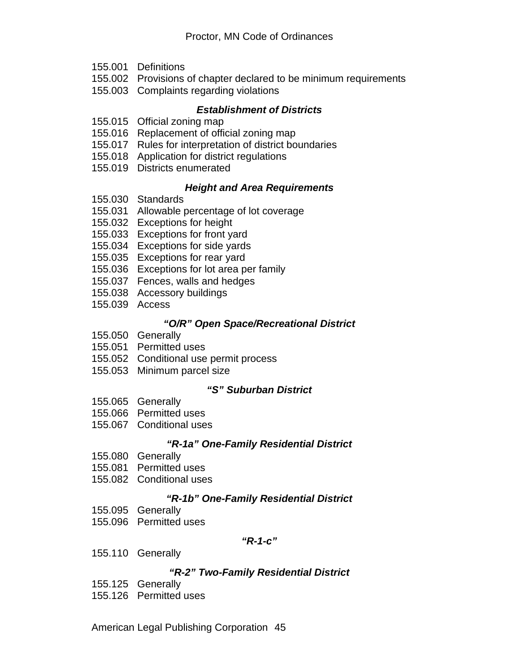- 155.001 Definitions
- 155.002 Provisions of chapter declared to be minimum requirements
- 155.003 Complaints regarding violations

#### *Establishment of Districts*

- 155.015 Official zoning map
- 155.016 Replacement of official zoning map
- 155.017 Rules for interpretation of district boundaries
- 155.018 Application for district regulations
- 155.019 Districts enumerated

#### *Height and Area Requirements*

- 155.030 Standards
- 155.031 Allowable percentage of lot coverage
- 155.032 Exceptions for height
- 155.033 Exceptions for front yard
- 155.034 Exceptions for side yards
- 155.035 Exceptions for rear yard
- 155.036 Exceptions for lot area per family
- 155.037 Fences, walls and hedges
- 155.038 Accessory buildings
- 155.039 Access

#### *"O/R" Open Space/Recreational District*

- 155.050 Generally
- 155.051 Permitted uses
- 155.052 Conditional use permit process
- 155.053 Minimum parcel size

#### *"S" Suburban District*

- 155.065 Generally
- 155.066 Permitted uses
- 155.067 Conditional uses

#### *"R-1a" One-Family Residential District*

- 155.080 Generally
- 155.081 Permitted uses
- 155.082 Conditional uses

#### *"R-1b" One-Family Residential District*

- 155.095 Generally
- 155.096 Permitted uses

#### *"R-1-c"*

155.110 Generally

#### *"R-2" Two-Family Residential District*

- 155.125 Generally
- 155.126 Permitted uses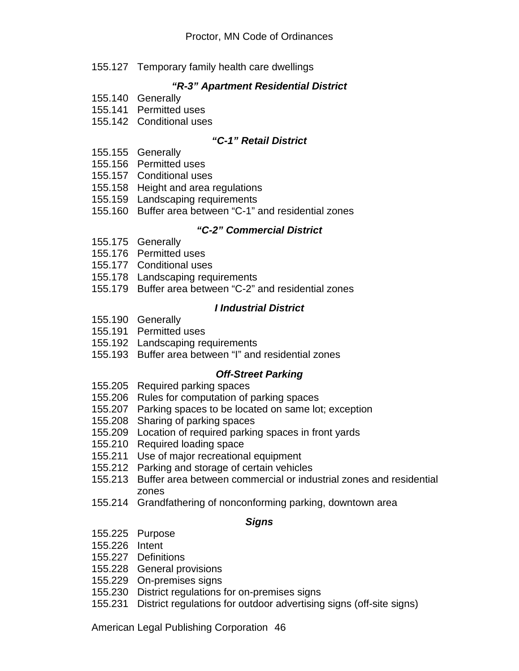155.127 Temporary family health care dwellings

### *"R-3" Apartment Residential District*

- 155.140 Generally
- 155.141 Permitted uses
- 155.142 Conditional uses

#### *"C-1" Retail District*

- 155.155 Generally
- 155.156 Permitted uses
- 155.157 Conditional uses
- 155.158 Height and area regulations
- 155.159 Landscaping requirements
- 155.160 Buffer area between "C-1" and residential zones

#### *"C-2" Commercial District*

- 155.175 Generally
- 155.176 Permitted uses
- 155.177 Conditional uses
- 155.178 Landscaping requirements
- 155.179 Buffer area between "C-2" and residential zones

#### *I Industrial District*

- 155.190 Generally
- 155.191 Permitted uses
- 155.192 Landscaping requirements
- 155.193 Buffer area between "I" and residential zones

#### *Off-Street Parking*

- 155.205 Required parking spaces
- 155.206 Rules for computation of parking spaces
- 155.207 Parking spaces to be located on same lot; exception
- 155.208 Sharing of parking spaces
- 155.209 Location of required parking spaces in front yards
- 155.210 Required loading space
- 155.211 Use of major recreational equipment
- 155.212 Parking and storage of certain vehicles
- 155.213 Buffer area between commercial or industrial zones and residential zones
- 155.214 Grandfathering of nonconforming parking, downtown area

#### *Signs*

- 155.225 Purpose
- 155.226 Intent
- 155.227 Definitions
- 155.228 General provisions
- 155.229 On-premises signs
- 155.230 District regulations for on-premises signs
- 155.231 District regulations for outdoor advertising signs (off-site signs)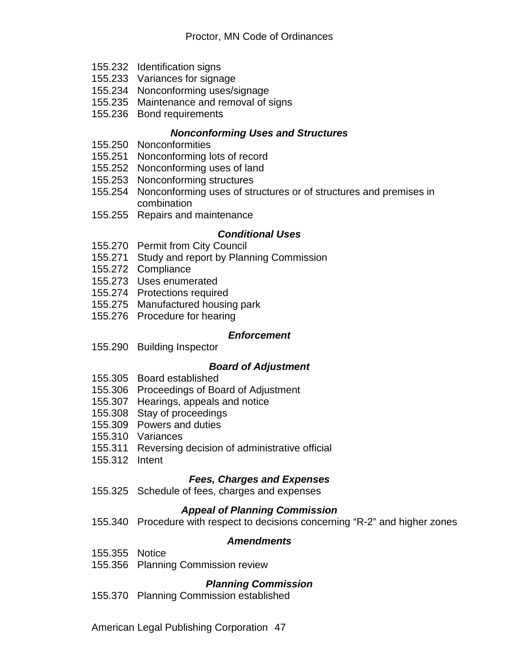- 155.232 Identification signs
- 155.233 Variances for signage
- 155.234 Nonconforming uses/signage
- 155.235 Maintenance and removal of signs
- 155.236 Bond requirements

#### *Nonconforming Uses and Structures*

- 155.250 Nonconformities
- 155.251 Nonconforming lots of record
- 155.252 Nonconforming uses of land
- 155.253 Nonconforming structures
- 155.254 Nonconforming uses of structures or of structures and premises in combination
- 155.255 Repairs and maintenance

#### *Conditional Uses*

- 155.270 Permit from City Council
- 155.271 Study and report by Planning Commission
- 155.272 Compliance
- 155.273 Uses enumerated
- 155.274 Protections required
- 155.275 Manufactured housing park
- 155.276 Procedure for hearing

#### *Enforcement*

155.290 Building Inspector

#### *Board of Adjustment*

- 155.305 Board established
- 155.306 Proceedings of Board of Adjustment
- 155.307 Hearings, appeals and notice
- 155.308 Stay of proceedings
- 155.309 Powers and duties
- 155.310 Variances
- 155.311 Reversing decision of administrative official
- 155.312 Intent

#### *Fees, Charges and Expenses*

155.325 Schedule of fees, charges and expenses

#### *Appeal of Planning Commission*

155.340 Procedure with respect to decisions concerning "R-2" and higher zones

#### *Amendments*

- 155.355 Notice
- 155.356 Planning Commission review

#### *Planning Commission*

155.370 Planning Commission established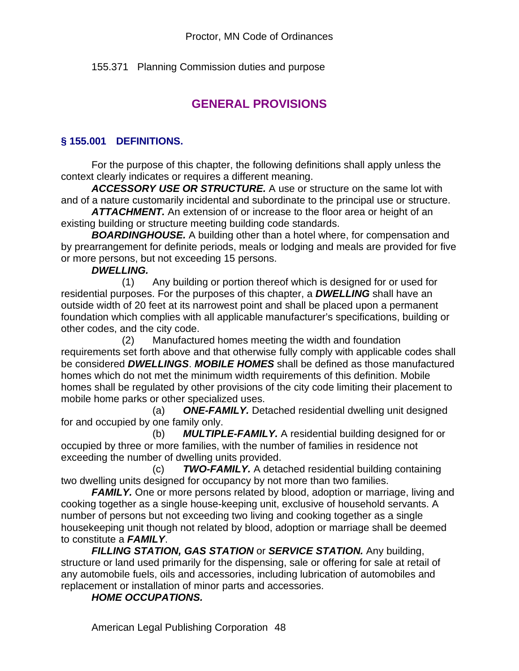155.371 Planning Commission duties and purpose

# **GENERAL PROVISIONS**

## **§ 155.001 DEFINITIONS.**

For the purpose of this chapter, the following definitions shall apply unless the context clearly indicates or requires a different meaning.

*ACCESSORY USE OR STRUCTURE.* A use or structure on the same lot with and of a nature customarily incidental and subordinate to the principal use or structure.

*ATTACHMENT.* An extension of or increase to the floor area or height of an existing building or structure meeting building code standards.

*BOARDINGHOUSE.* A building other than a hotel where, for compensation and by prearrangement for definite periods, meals or lodging and meals are provided for five or more persons, but not exceeding 15 persons.

#### *DWELLING.*

 (1) Any building or portion thereof which is designed for or used for residential purposes. For the purposes of this chapter, a *DWELLING* shall have an outside width of 20 feet at its narrowest point and shall be placed upon a permanent foundation which complies with all applicable manufacturer's specifications, building or other codes, and the city code.

 (2) Manufactured homes meeting the width and foundation requirements set forth above and that otherwise fully comply with applicable codes shall be considered *DWELLINGS*. *MOBILE HOMES* shall be defined as those manufactured homes which do not met the minimum width requirements of this definition. Mobile homes shall be regulated by other provisions of the city code limiting their placement to mobile home parks or other specialized uses.

 (a) *ONE-FAMILY.* Detached residential dwelling unit designed for and occupied by one family only.

 (b) *MULTIPLE-FAMILY.* A residential building designed for or occupied by three or more families, with the number of families in residence not exceeding the number of dwelling units provided.

 (c) *TWO-FAMILY.* A detached residential building containing two dwelling units designed for occupancy by not more than two families.

*FAMILY.* One or more persons related by blood, adoption or marriage, living and cooking together as a single house-keeping unit, exclusive of household servants. A number of persons but not exceeding two living and cooking together as a single housekeeping unit though not related by blood, adoption or marriage shall be deemed to constitute a *FAMILY*.

*FILLING STATION, GAS STATION* or *SERVICE STATION.* Any building, structure or land used primarily for the dispensing, sale or offering for sale at retail of any automobile fuels, oils and accessories, including lubrication of automobiles and replacement or installation of minor parts and accessories.

*HOME OCCUPATIONS.*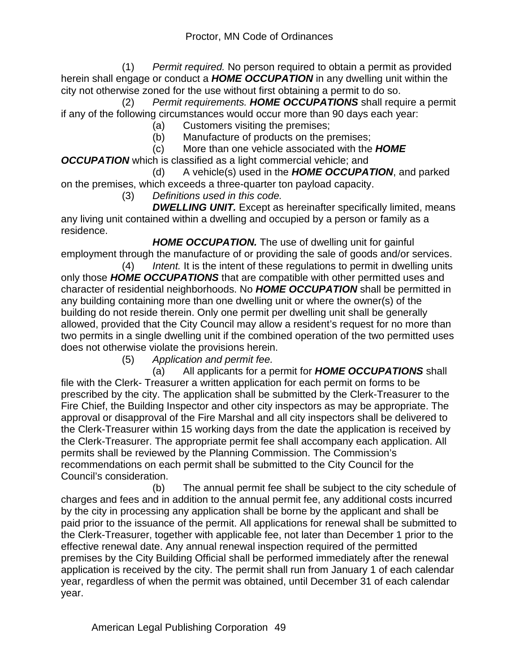(1) *Permit required.* No person required to obtain a permit as provided herein shall engage or conduct a *HOME OCCUPATION* in any dwelling unit within the city not otherwise zoned for the use without first obtaining a permit to do so.

 (2) *Permit requirements. HOME OCCUPATIONS* shall require a permit if any of the following circumstances would occur more than 90 days each year:

- (a) Customers visiting the premises;
- (b) Manufacture of products on the premises;
- (c) More than one vehicle associated with the *HOME OCCUPATION* which is classified as a light commercial vehicle; and

 (d) A vehicle(s) used in the *HOME OCCUPATION*, and parked on the premises, which exceeds a three-quarter ton payload capacity.

(3) *Definitions used in this code.*

 *DWELLING UNIT.* Except as hereinafter specifically limited, means any living unit contained within a dwelling and occupied by a person or family as a residence.

**HOME OCCUPATION.** The use of dwelling unit for gainful employment through the manufacture of or providing the sale of goods and/or services.

 (4) *Intent.* It is the intent of these regulations to permit in dwelling units only those *HOME OCCUPATIONS* that are compatible with other permitted uses and character of residential neighborhoods. No *HOME OCCUPATION* shall be permitted in any building containing more than one dwelling unit or where the owner(s) of the building do not reside therein. Only one permit per dwelling unit shall be generally allowed, provided that the City Council may allow a resident's request for no more than two permits in a single dwelling unit if the combined operation of the two permitted uses does not otherwise violate the provisions herein.

(5) *Application and permit fee.*

 (a) All applicants for a permit for *HOME OCCUPATIONS* shall file with the Clerk- Treasurer a written application for each permit on forms to be prescribed by the city. The application shall be submitted by the Clerk-Treasurer to the Fire Chief, the Building Inspector and other city inspectors as may be appropriate. The approval or disapproval of the Fire Marshal and all city inspectors shall be delivered to the Clerk-Treasurer within 15 working days from the date the application is received by the Clerk-Treasurer. The appropriate permit fee shall accompany each application. All permits shall be reviewed by the Planning Commission. The Commission's recommendations on each permit shall be submitted to the City Council for the Council's consideration.

 (b) The annual permit fee shall be subject to the city schedule of charges and fees and in addition to the annual permit fee, any additional costs incurred by the city in processing any application shall be borne by the applicant and shall be paid prior to the issuance of the permit. All applications for renewal shall be submitted to the Clerk-Treasurer, together with applicable fee, not later than December 1 prior to the effective renewal date. Any annual renewal inspection required of the permitted premises by the City Building Official shall be performed immediately after the renewal application is received by the city. The permit shall run from January 1 of each calendar year, regardless of when the permit was obtained, until December 31 of each calendar year.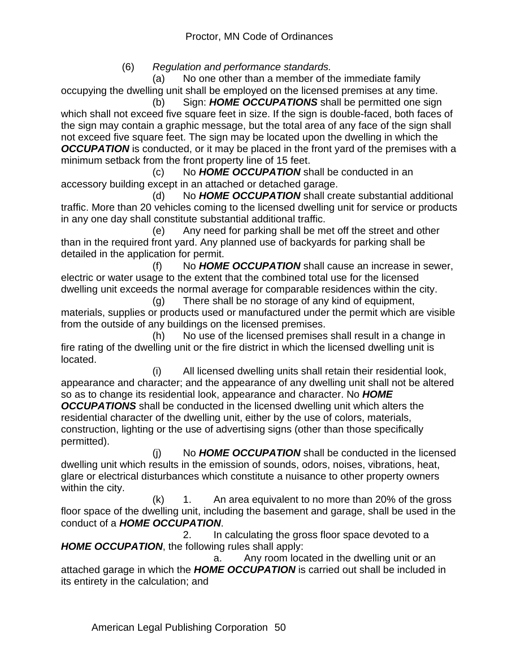(6) *Regulation and performance standards.*

 (a) No one other than a member of the immediate family occupying the dwelling unit shall be employed on the licensed premises at any time.

 (b) Sign: *HOME OCCUPATIONS* shall be permitted one sign which shall not exceed five square feet in size. If the sign is double-faced, both faces of the sign may contain a graphic message, but the total area of any face of the sign shall not exceed five square feet. The sign may be located upon the dwelling in which the *OCCUPATION* is conducted, or it may be placed in the front yard of the premises with a minimum setback from the front property line of 15 feet.

 (c) No *HOME OCCUPATION* shall be conducted in an accessory building except in an attached or detached garage.

 (d) No *HOME OCCUPATION* shall create substantial additional traffic. More than 20 vehicles coming to the licensed dwelling unit for service or products in any one day shall constitute substantial additional traffic.

 (e) Any need for parking shall be met off the street and other than in the required front yard. Any planned use of backyards for parking shall be detailed in the application for permit.

 (f) No *HOME OCCUPATION* shall cause an increase in sewer, electric or water usage to the extent that the combined total use for the licensed dwelling unit exceeds the normal average for comparable residences within the city.

 (g) There shall be no storage of any kind of equipment, materials, supplies or products used or manufactured under the permit which are visible from the outside of any buildings on the licensed premises.

 (h) No use of the licensed premises shall result in a change in fire rating of the dwelling unit or the fire district in which the licensed dwelling unit is located.

 (i) All licensed dwelling units shall retain their residential look, appearance and character; and the appearance of any dwelling unit shall not be altered so as to change its residential look, appearance and character. No *HOME* 

*OCCUPATIONS* shall be conducted in the licensed dwelling unit which alters the residential character of the dwelling unit, either by the use of colors, materials, construction, lighting or the use of advertising signs (other than those specifically permitted).

 (j) No *HOME OCCUPATION* shall be conducted in the licensed dwelling unit which results in the emission of sounds, odors, noises, vibrations, heat, glare or electrical disturbances which constitute a nuisance to other property owners within the city.

 $(k)$  1. An area equivalent to no more than 20% of the gross floor space of the dwelling unit, including the basement and garage, shall be used in the conduct of a *HOME OCCUPATION*.

 2. In calculating the gross floor space devoted to a *HOME OCCUPATION*, the following rules shall apply:

 a. Any room located in the dwelling unit or an attached garage in which the *HOME OCCUPATION* is carried out shall be included in its entirety in the calculation; and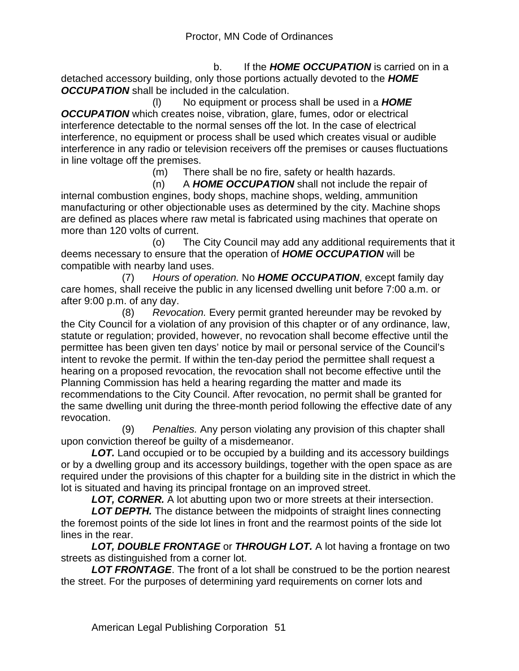b. If the *HOME OCCUPATION* is carried on in a detached accessory building, only those portions actually devoted to the *HOME OCCUPATION* shall be included in the calculation.

 (l) No equipment or process shall be used in a *HOME OCCUPATION* which creates noise, vibration, glare, fumes, odor or electrical interference detectable to the normal senses off the lot. In the case of electrical interference, no equipment or process shall be used which creates visual or audible interference in any radio or television receivers off the premises or causes fluctuations in line voltage off the premises.

(m) There shall be no fire, safety or health hazards.

 (n) A *HOME OCCUPATION* shall not include the repair of internal combustion engines, body shops, machine shops, welding, ammunition manufacturing or other objectionable uses as determined by the city. Machine shops are defined as places where raw metal is fabricated using machines that operate on more than 120 volts of current.

 (o) The City Council may add any additional requirements that it deems necessary to ensure that the operation of *HOME OCCUPATION* will be compatible with nearby land uses.

 (7) *Hours of operation.* No *HOME OCCUPATION*, except family day care homes, shall receive the public in any licensed dwelling unit before 7:00 a.m. or after 9:00 p.m. of any day.

 (8) *Revocation.* Every permit granted hereunder may be revoked by the City Council for a violation of any provision of this chapter or of any ordinance, law, statute or regulation; provided, however, no revocation shall become effective until the permittee has been given ten days' notice by mail or personal service of the Council's intent to revoke the permit. If within the ten-day period the permittee shall request a hearing on a proposed revocation, the revocation shall not become effective until the Planning Commission has held a hearing regarding the matter and made its recommendations to the City Council. After revocation, no permit shall be granted for the same dwelling unit during the three-month period following the effective date of any revocation.

 (9) *Penalties.* Any person violating any provision of this chapter shall upon conviction thereof be guilty of a misdemeanor.

**LOT.** Land occupied or to be occupied by a building and its accessory buildings or by a dwelling group and its accessory buildings, together with the open space as are required under the provisions of this chapter for a building site in the district in which the lot is situated and having its principal frontage on an improved street.

*LOT, CORNER.* A lot abutting upon two or more streets at their intersection.

*LOT DEPTH.* The distance between the midpoints of straight lines connecting the foremost points of the side lot lines in front and the rearmost points of the side lot lines in the rear.

*LOT, DOUBLE FRONTAGE* or *THROUGH LOT.* A lot having a frontage on two streets as distinguished from a corner lot.

*LOT FRONTAGE*. The front of a lot shall be construed to be the portion nearest the street. For the purposes of determining yard requirements on corner lots and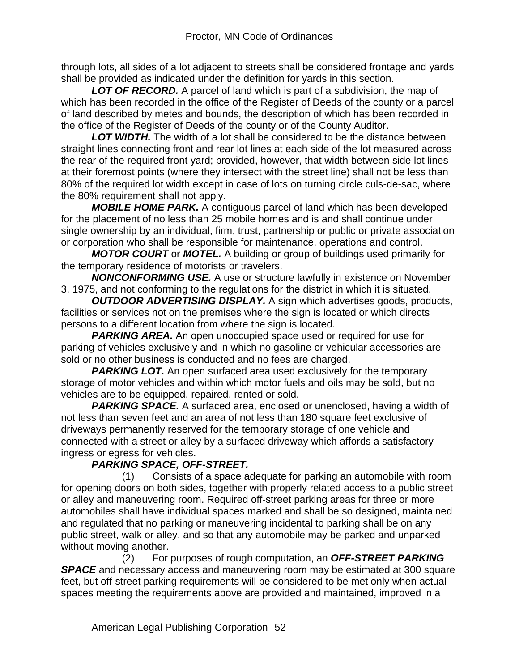through lots, all sides of a lot adjacent to streets shall be considered frontage and yards shall be provided as indicated under the definition for yards in this section.

*LOT OF RECORD.* A parcel of land which is part of a subdivision, the map of which has been recorded in the office of the Register of Deeds of the county or a parcel of land described by metes and bounds, the description of which has been recorded in the office of the Register of Deeds of the county or of the County Auditor.

*LOT WIDTH.* The width of a lot shall be considered to be the distance between straight lines connecting front and rear lot lines at each side of the lot measured across the rear of the required front yard; provided, however, that width between side lot lines at their foremost points (where they intersect with the street line) shall not be less than 80% of the required lot width except in case of lots on turning circle culs-de-sac, where the 80% requirement shall not apply.

*MOBILE HOME PARK.* A contiguous parcel of land which has been developed for the placement of no less than 25 mobile homes and is and shall continue under single ownership by an individual, firm, trust, partnership or public or private association or corporation who shall be responsible for maintenance, operations and control.

*MOTOR COURT* or *MOTEL.* A building or group of buildings used primarily for the temporary residence of motorists or travelers.

*NONCONFORMING USE.* A use or structure lawfully in existence on November 3, 1975, and not conforming to the regulations for the district in which it is situated.

*OUTDOOR ADVERTISING DISPLAY.* A sign which advertises goods, products, facilities or services not on the premises where the sign is located or which directs persons to a different location from where the sign is located.

**PARKING AREA.** An open unoccupied space used or required for use for parking of vehicles exclusively and in which no gasoline or vehicular accessories are sold or no other business is conducted and no fees are charged.

**PARKING LOT.** An open surfaced area used exclusively for the temporary storage of motor vehicles and within which motor fuels and oils may be sold, but no vehicles are to be equipped, repaired, rented or sold.

**PARKING SPACE.** A surfaced area, enclosed or unenclosed, having a width of not less than seven feet and an area of not less than 180 square feet exclusive of driveways permanently reserved for the temporary storage of one vehicle and connected with a street or alley by a surfaced driveway which affords a satisfactory ingress or egress for vehicles.

## *PARKING SPACE, OFF-STREET.*

 (1) Consists of a space adequate for parking an automobile with room for opening doors on both sides, together with properly related access to a public street or alley and maneuvering room. Required off-street parking areas for three or more automobiles shall have individual spaces marked and shall be so designed, maintained and regulated that no parking or maneuvering incidental to parking shall be on any public street, walk or alley, and so that any automobile may be parked and unparked without moving another.

 (2) For purposes of rough computation, an *OFF-STREET PARKING*  **SPACE** and necessary access and maneuvering room may be estimated at 300 square feet, but off-street parking requirements will be considered to be met only when actual spaces meeting the requirements above are provided and maintained, improved in a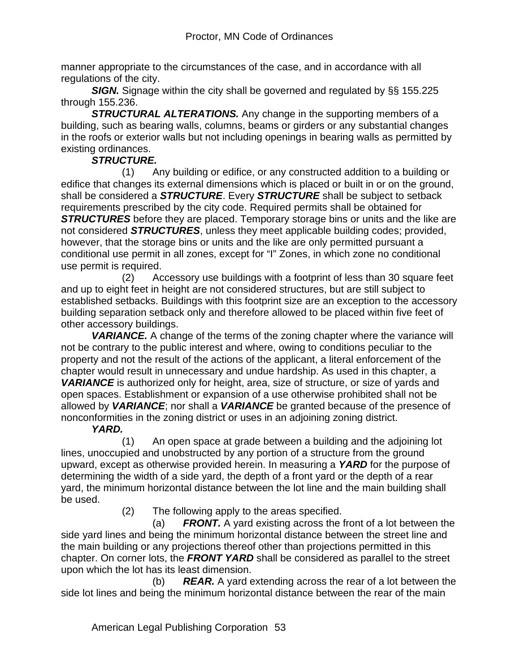manner appropriate to the circumstances of the case, and in accordance with all regulations of the city.

**SIGN.** Signage within the city shall be governed and regulated by §§ 155.225 through 155.236.

*STRUCTURAL ALTERATIONS.* Any change in the supporting members of a building, such as bearing walls, columns, beams or girders or any substantial changes in the roofs or exterior walls but not including openings in bearing walls as permitted by existing ordinances.

#### *STRUCTURE.*

 (1) Any building or edifice, or any constructed addition to a building or edifice that changes its external dimensions which is placed or built in or on the ground, shall be considered a *STRUCTURE*. Every *STRUCTURE* shall be subject to setback requirements prescribed by the city code. Required permits shall be obtained for *STRUCTURES* before they are placed. Temporary storage bins or units and the like are not considered *STRUCTURES*, unless they meet applicable building codes; provided, however, that the storage bins or units and the like are only permitted pursuant a conditional use permit in all zones, except for "I" Zones, in which zone no conditional use permit is required.

 (2) Accessory use buildings with a footprint of less than 30 square feet and up to eight feet in height are not considered structures, but are still subject to established setbacks. Buildings with this footprint size are an exception to the accessory building separation setback only and therefore allowed to be placed within five feet of other accessory buildings.

**VARIANCE.** A change of the terms of the zoning chapter where the variance will not be contrary to the public interest and where, owing to conditions peculiar to the property and not the result of the actions of the applicant, a literal enforcement of the chapter would result in unnecessary and undue hardship. As used in this chapter, a *VARIANCE* is authorized only for height, area, size of structure, or size of yards and open spaces. Establishment or expansion of a use otherwise prohibited shall not be allowed by *VARIANCE*; nor shall a *VARIANCE* be granted because of the presence of nonconformities in the zoning district or uses in an adjoining zoning district.

*YARD.*

 (1) An open space at grade between a building and the adjoining lot lines, unoccupied and unobstructed by any portion of a structure from the ground upward, except as otherwise provided herein. In measuring a *YARD* for the purpose of determining the width of a side yard, the depth of a front yard or the depth of a rear yard, the minimum horizontal distance between the lot line and the main building shall be used.

(2) The following apply to the areas specified.

 (a) *FRONT.* A yard existing across the front of a lot between the side yard lines and being the minimum horizontal distance between the street line and the main building or any projections thereof other than projections permitted in this chapter. On corner lots, the *FRONT YARD* shall be considered as parallel to the street upon which the lot has its least dimension.

 (b) *REAR.* A yard extending across the rear of a lot between the side lot lines and being the minimum horizontal distance between the rear of the main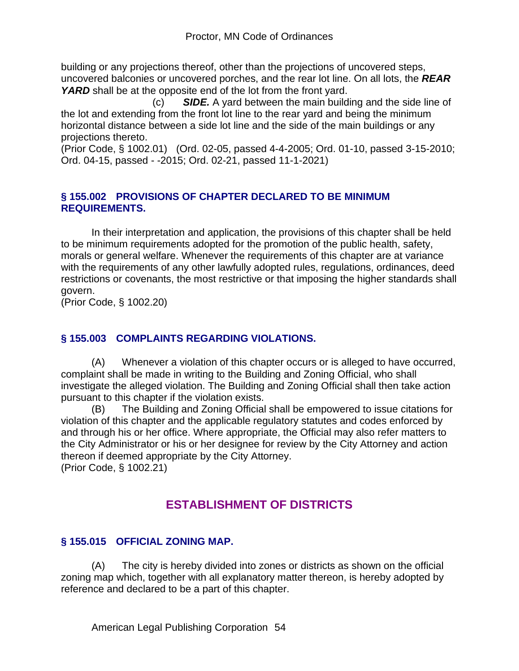building or any projections thereof, other than the projections of uncovered steps, uncovered balconies or uncovered porches, and the rear lot line. On all lots, the *REAR*  YARD shall be at the opposite end of the lot from the front yard.

 (c) *SIDE.* A yard between the main building and the side line of the lot and extending from the front lot line to the rear yard and being the minimum horizontal distance between a side lot line and the side of the main buildings or any projections thereto.

(Prior Code, § 1002.01) (Ord. 02-05, passed 4-4-2005; Ord. 01-10, passed 3-15-2010; Ord. 04-15, passed - -2015; Ord. 02-21, passed 11-1-2021)

#### **§ 155.002 PROVISIONS OF CHAPTER DECLARED TO BE MINIMUM REQUIREMENTS.**

In their interpretation and application, the provisions of this chapter shall be held to be minimum requirements adopted for the promotion of the public health, safety, morals or general welfare. Whenever the requirements of this chapter are at variance with the requirements of any other lawfully adopted rules, regulations, ordinances, deed restrictions or covenants, the most restrictive or that imposing the higher standards shall govern.

(Prior Code, § 1002.20)

### **§ 155.003 COMPLAINTS REGARDING VIOLATIONS.**

(A) Whenever a violation of this chapter occurs or is alleged to have occurred, complaint shall be made in writing to the Building and Zoning Official, who shall investigate the alleged violation. The Building and Zoning Official shall then take action pursuant to this chapter if the violation exists.

(B) The Building and Zoning Official shall be empowered to issue citations for violation of this chapter and the applicable regulatory statutes and codes enforced by and through his or her office. Where appropriate, the Official may also refer matters to the City Administrator or his or her designee for review by the City Attorney and action thereon if deemed appropriate by the City Attorney.

(Prior Code, § 1002.21)

## **ESTABLISHMENT OF DISTRICTS**

## **§ 155.015 OFFICIAL ZONING MAP.**

(A) The city is hereby divided into zones or districts as shown on the official zoning map which, together with all explanatory matter thereon, is hereby adopted by reference and declared to be a part of this chapter.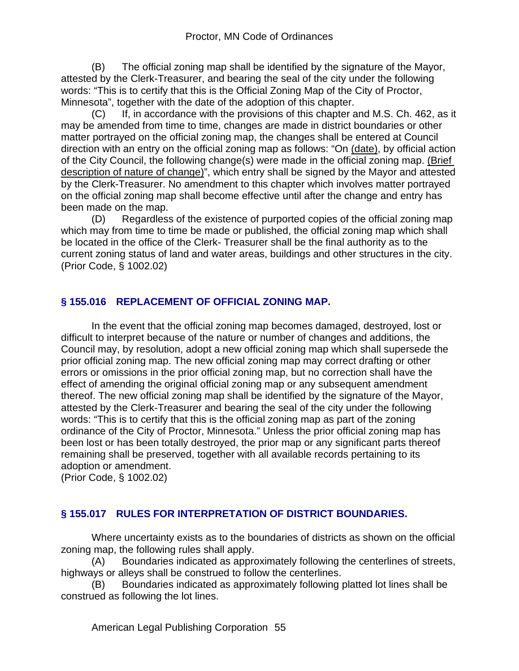(B) The official zoning map shall be identified by the signature of the Mayor, attested by the Clerk-Treasurer, and bearing the seal of the city under the following words: "This is to certify that this is the Official Zoning Map of the City of Proctor, Minnesota", together with the date of the adoption of this chapter.

(C) If, in accordance with the provisions of this chapter and M.S. Ch. 462, as it may be amended from time to time, changes are made in district boundaries or other matter portrayed on the official zoning map, the changes shall be entered at Council direction with an entry on the official zoning map as follows: "On (date), by official action of the City Council, the following change(s) were made in the official zoning map. (Brief description of nature of change)", which entry shall be signed by the Mayor and attested by the Clerk-Treasurer. No amendment to this chapter which involves matter portrayed on the official zoning map shall become effective until after the change and entry has been made on the map.

(D) Regardless of the existence of purported copies of the official zoning map which may from time to time be made or published, the official zoning map which shall be located in the office of the Clerk- Treasurer shall be the final authority as to the current zoning status of land and water areas, buildings and other structures in the city. (Prior Code, § 1002.02)

## **§ 155.016 REPLACEMENT OF OFFICIAL ZONING MAP.**

In the event that the official zoning map becomes damaged, destroyed, lost or difficult to interpret because of the nature or number of changes and additions, the Council may, by resolution, adopt a new official zoning map which shall supersede the prior official zoning map. The new official zoning map may correct drafting or other errors or omissions in the prior official zoning map, but no correction shall have the effect of amending the original official zoning map or any subsequent amendment thereof. The new official zoning map shall be identified by the signature of the Mayor, attested by the Clerk-Treasurer and bearing the seal of the city under the following words: "This is to certify that this is the official zoning map as part of the zoning ordinance of the City of Proctor, Minnesota." Unless the prior official zoning map has been lost or has been totally destroyed, the prior map or any significant parts thereof remaining shall be preserved, together with all available records pertaining to its adoption or amendment.

(Prior Code, § 1002.02)

## **§ 155.017 RULES FOR INTERPRETATION OF DISTRICT BOUNDARIES.**

Where uncertainty exists as to the boundaries of districts as shown on the official zoning map, the following rules shall apply.

(A) Boundaries indicated as approximately following the centerlines of streets, highways or alleys shall be construed to follow the centerlines.

(B) Boundaries indicated as approximately following platted lot lines shall be construed as following the lot lines.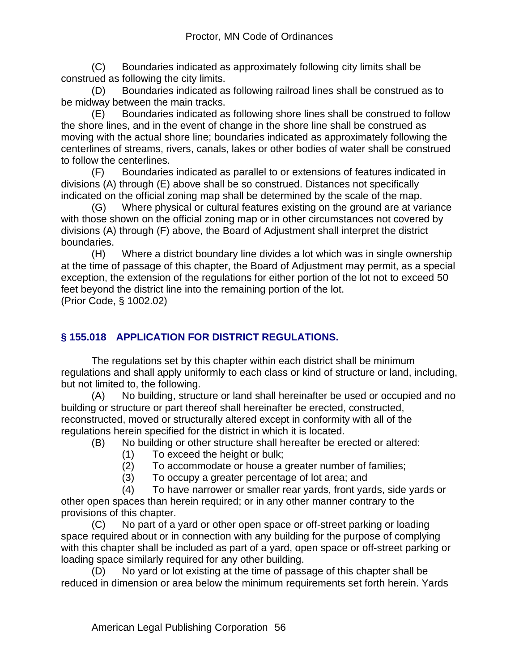(C) Boundaries indicated as approximately following city limits shall be construed as following the city limits.

(D) Boundaries indicated as following railroad lines shall be construed as to be midway between the main tracks.

(E) Boundaries indicated as following shore lines shall be construed to follow the shore lines, and in the event of change in the shore line shall be construed as moving with the actual shore line; boundaries indicated as approximately following the centerlines of streams, rivers, canals, lakes or other bodies of water shall be construed to follow the centerlines.

(F) Boundaries indicated as parallel to or extensions of features indicated in divisions (A) through (E) above shall be so construed. Distances not specifically indicated on the official zoning map shall be determined by the scale of the map.

(G) Where physical or cultural features existing on the ground are at variance with those shown on the official zoning map or in other circumstances not covered by divisions (A) through (F) above, the Board of Adjustment shall interpret the district boundaries.

(H) Where a district boundary line divides a lot which was in single ownership at the time of passage of this chapter, the Board of Adjustment may permit, as a special exception, the extension of the regulations for either portion of the lot not to exceed 50 feet beyond the district line into the remaining portion of the lot.

(Prior Code, § 1002.02)

## **§ 155.018 APPLICATION FOR DISTRICT REGULATIONS.**

The regulations set by this chapter within each district shall be minimum regulations and shall apply uniformly to each class or kind of structure or land, including, but not limited to, the following.

(A) No building, structure or land shall hereinafter be used or occupied and no building or structure or part thereof shall hereinafter be erected, constructed, reconstructed, moved or structurally altered except in conformity with all of the regulations herein specified for the district in which it is located.

(B) No building or other structure shall hereafter be erected or altered:

- (1) To exceed the height or bulk;
- (2) To accommodate or house a greater number of families;
- (3) To occupy a greater percentage of lot area; and

 (4) To have narrower or smaller rear yards, front yards, side yards or other open spaces than herein required; or in any other manner contrary to the provisions of this chapter.

(C) No part of a yard or other open space or off-street parking or loading space required about or in connection with any building for the purpose of complying with this chapter shall be included as part of a yard, open space or off-street parking or loading space similarly required for any other building.

(D) No yard or lot existing at the time of passage of this chapter shall be reduced in dimension or area below the minimum requirements set forth herein. Yards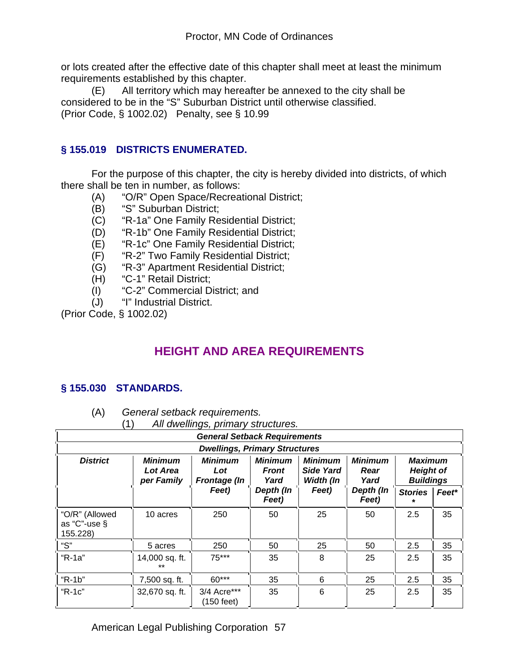or lots created after the effective date of this chapter shall meet at least the minimum requirements established by this chapter.

(E) All territory which may hereafter be annexed to the city shall be considered to be in the "S" Suburban District until otherwise classified. (Prior Code, § 1002.02) Penalty, see § 10.99

### **§ 155.019 DISTRICTS ENUMERATED.**

For the purpose of this chapter, the city is hereby divided into districts, of which there shall be ten in number, as follows:

- (A) "O/R" Open Space/Recreational District;
- (B) "S" Suburban District;
- (C) "R-1a" One Family Residential District;
- (D) "R-1b" One Family Residential District;
- (E) "R-1c" One Family Residential District;
- (F) "R-2" Two Family Residential District;
- (G) "R-3" Apartment Residential District;
- (H) "C-1" Retail District;
- (I) "C-2" Commercial District; and
- (J) "I" Industrial District.

(Prior Code, § 1002.02)

# **HEIGHT AND AREA REQUIREMENTS**

#### **§ 155.030 STANDARDS.**

- (A) *General setback requirements.*
	- (1) *All dwellings, primary structures.*

| <b>General Setback Requirements</b>               |                                                                                                                                                                                                                                                              |                                                                                       |    |    |    |     |    |  |
|---------------------------------------------------|--------------------------------------------------------------------------------------------------------------------------------------------------------------------------------------------------------------------------------------------------------------|---------------------------------------------------------------------------------------|----|----|----|-----|----|--|
| <b>Dwellings, Primary Structures</b>              |                                                                                                                                                                                                                                                              |                                                                                       |    |    |    |     |    |  |
| <b>District</b>                                   | <b>Minimum</b><br><b>Minimum</b><br><b>Minimum</b><br><b>Minimum</b><br>Minimum<br>Maximum<br>Lot Area<br>Side Yard<br><b>Height of</b><br>Lot<br><b>Front</b><br>Rear<br>Width (In<br><b>Buildings</b><br>per Family<br>Yard<br>Yard<br><b>Frontage</b> (In |                                                                                       |    |    |    |     |    |  |
|                                                   |                                                                                                                                                                                                                                                              | Feet)<br>Depth (In<br>Depth (In<br>Feet)<br><b>Stories</b><br>Feet*<br>Feet)<br>Feet) |    |    |    |     |    |  |
| "O/R" (Allowed<br>as " $C$ "-use $\S$<br>155.228) | 10 acres                                                                                                                                                                                                                                                     | 250                                                                                   | 50 | 25 | 50 | 2.5 | 35 |  |
| "S"                                               | 5 acres                                                                                                                                                                                                                                                      | 250                                                                                   | 50 | 25 | 50 | 2.5 | 35 |  |
| "R-1a"                                            | 14,000 sq. ft.<br>$+ +$                                                                                                                                                                                                                                      | $75***$                                                                               | 35 | 8  | 25 | 2.5 | 35 |  |
| " $R-1b$ "                                        | 7,500 sq. ft.                                                                                                                                                                                                                                                | 60***                                                                                 | 35 | 6  | 25 | 2.5 | 35 |  |
| "R-1c"                                            | 32,670 sq. ft.                                                                                                                                                                                                                                               | 3/4 Acre***<br>(150 feet)                                                             | 35 | 6  | 25 | 2.5 | 35 |  |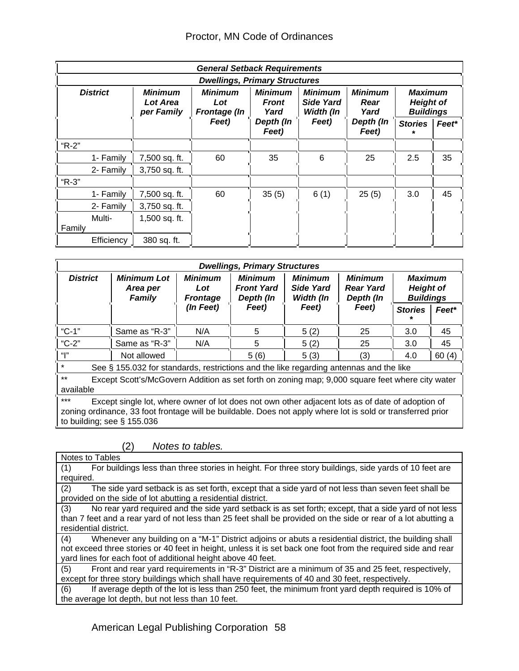|                                      | <b>General Setback Requirements</b>                                                                                                                                                                       |       |                    |       |                    |                |                                                        |  |
|--------------------------------------|-----------------------------------------------------------------------------------------------------------------------------------------------------------------------------------------------------------|-------|--------------------|-------|--------------------|----------------|--------------------------------------------------------|--|
| <b>Dwellings, Primary Structures</b> |                                                                                                                                                                                                           |       |                    |       |                    |                |                                                        |  |
| <b>District</b>                      | <b>Minimum</b><br><b>Minimum</b><br><b>Minimum</b><br>Minimum<br>Minimum<br><b>Side Yard</b><br>Lot Area<br>Rear<br>Lot<br><b>Front</b><br>Width (In<br>Yard<br>Yard<br>per Family<br><b>Frontage (In</b> |       |                    |       |                    |                | <b>Maximum</b><br><b>Height of</b><br><b>Buildings</b> |  |
|                                      |                                                                                                                                                                                                           | Feet) | Depth (In<br>Feet) | Feet) | Depth (In<br>Feet) | <b>Stories</b> | Feet*                                                  |  |
| "R-2"                                |                                                                                                                                                                                                           |       |                    |       |                    |                |                                                        |  |
| 1- Family                            | 7,500 sq. ft.                                                                                                                                                                                             | 60    | 35                 | 6     | 25                 | 2.5            | 35                                                     |  |
| 2- Family                            | 3,750 sq. ft.                                                                                                                                                                                             |       |                    |       |                    |                |                                                        |  |
| "R-3"                                |                                                                                                                                                                                                           |       |                    |       |                    |                |                                                        |  |
| 1- Family                            | 7,500 sq. ft.                                                                                                                                                                                             | 60    | 35(5)              | 6(1)  | 25(5)              | 3.0            | 45                                                     |  |
| 2- Family                            | 3,750 sq. ft.                                                                                                                                                                                             |       |                    |       |                    |                |                                                        |  |
| Multi-                               | 1,500 sq. ft.                                                                                                                                                                                             |       |                    |       |                    |                |                                                        |  |
| Family                               |                                                                                                                                                                                                           |       |                    |       |                    |                |                                                        |  |
| Efficiency                           | 380 sq. ft.                                                                                                                                                                                               |       |                    |       |                    |                |                                                        |  |

| <b>Dwellings, Primary Structures</b>                                                                                                                                                                                                                      |                                                    |                                          |                                                  |                                          |                                                 |                                                        |       |  |
|-----------------------------------------------------------------------------------------------------------------------------------------------------------------------------------------------------------------------------------------------------------|----------------------------------------------------|------------------------------------------|--------------------------------------------------|------------------------------------------|-------------------------------------------------|--------------------------------------------------------|-------|--|
| <b>District</b>                                                                                                                                                                                                                                           | <b>Minimum Lot</b><br>Area per<br><b>Family</b>    | <b>Minimum</b><br>Lot<br><b>Frontage</b> | <b>Minimum</b><br><b>Front Yard</b><br>Depth (In | <b>Minimum</b><br>Side Yard<br>Width (In | <b>Minimum</b><br><b>Rear Yard</b><br>Depth (In | <b>Maximum</b><br><b>Height of</b><br><b>Buildings</b> |       |  |
|                                                                                                                                                                                                                                                           |                                                    | (In Feet)                                | Feet)                                            | Feet)                                    | Feet)                                           | <b>Stories</b>                                         | Feet* |  |
| $°C - 1"$                                                                                                                                                                                                                                                 | Same as "R-3"                                      | N/A                                      | 5                                                | 5(2)                                     | 25                                              | 3.0                                                    | 45    |  |
| "C-2"                                                                                                                                                                                                                                                     | Same as "R-3"                                      | N/A                                      | 5                                                | 5(2)                                     | 25                                              | 3.0                                                    | 45    |  |
| " "                                                                                                                                                                                                                                                       | 5(6)<br>60(4)<br>Not allowed<br>5(3)<br>(3)<br>4.0 |                                          |                                                  |                                          |                                                 |                                                        |       |  |
| $\star$<br>See § 155.032 for standards, restrictions and the like regarding antennas and the like                                                                                                                                                         |                                                    |                                          |                                                  |                                          |                                                 |                                                        |       |  |
| $***$<br>Except Scott's/McGovern Addition as set forth on zoning map; 9,000 square feet where city water<br>available                                                                                                                                     |                                                    |                                          |                                                  |                                          |                                                 |                                                        |       |  |
| $***$<br>Except single lot, where owner of lot does not own other adjacent lots as of date of adoption of<br>zoning ordinance, 33 foot frontage will be buildable. Does not apply where lot is sold or transferred prior<br>to building; see $\S$ 155.036 |                                                    |                                          |                                                  |                                          |                                                 |                                                        |       |  |

(2) *Notes to tables.*

| For buildings less than three stories in height. For three story buildings, side yards of 10 feet are<br>(1)<br>required.<br>(2)<br>The side yard setback is as set forth, except that a side yard of not less than seven feet shall be<br>provided on the side of lot abutting a residential district.<br>No rear yard required and the side yard setback is as set forth; except, that a side yard of not less<br>(3)<br>than 7 feet and a rear yard of not less than 25 feet shall be provided on the side or rear of a lot abutting a<br>residential district.<br>Whenever any building on a "M-1" District adjoins or abuts a residential district, the building shall<br>(4)<br>not exceed three stories or 40 feet in height, unless it is set back one foot from the required side and rear<br>yard lines for each foot of additional height above 40 feet.<br>Front and rear yard requirements in "R-3" District are a minimum of 35 and 25 feet, respectively,<br>(5)<br>except for three story buildings which shall have requirements of 40 and 30 feet, respectively. | Notes to Tables |
|------------------------------------------------------------------------------------------------------------------------------------------------------------------------------------------------------------------------------------------------------------------------------------------------------------------------------------------------------------------------------------------------------------------------------------------------------------------------------------------------------------------------------------------------------------------------------------------------------------------------------------------------------------------------------------------------------------------------------------------------------------------------------------------------------------------------------------------------------------------------------------------------------------------------------------------------------------------------------------------------------------------------------------------------------------------------------------|-----------------|
|                                                                                                                                                                                                                                                                                                                                                                                                                                                                                                                                                                                                                                                                                                                                                                                                                                                                                                                                                                                                                                                                                    |                 |
|                                                                                                                                                                                                                                                                                                                                                                                                                                                                                                                                                                                                                                                                                                                                                                                                                                                                                                                                                                                                                                                                                    |                 |
|                                                                                                                                                                                                                                                                                                                                                                                                                                                                                                                                                                                                                                                                                                                                                                                                                                                                                                                                                                                                                                                                                    |                 |
|                                                                                                                                                                                                                                                                                                                                                                                                                                                                                                                                                                                                                                                                                                                                                                                                                                                                                                                                                                                                                                                                                    |                 |
|                                                                                                                                                                                                                                                                                                                                                                                                                                                                                                                                                                                                                                                                                                                                                                                                                                                                                                                                                                                                                                                                                    |                 |
|                                                                                                                                                                                                                                                                                                                                                                                                                                                                                                                                                                                                                                                                                                                                                                                                                                                                                                                                                                                                                                                                                    |                 |
|                                                                                                                                                                                                                                                                                                                                                                                                                                                                                                                                                                                                                                                                                                                                                                                                                                                                                                                                                                                                                                                                                    |                 |
|                                                                                                                                                                                                                                                                                                                                                                                                                                                                                                                                                                                                                                                                                                                                                                                                                                                                                                                                                                                                                                                                                    |                 |
|                                                                                                                                                                                                                                                                                                                                                                                                                                                                                                                                                                                                                                                                                                                                                                                                                                                                                                                                                                                                                                                                                    |                 |
|                                                                                                                                                                                                                                                                                                                                                                                                                                                                                                                                                                                                                                                                                                                                                                                                                                                                                                                                                                                                                                                                                    |                 |
|                                                                                                                                                                                                                                                                                                                                                                                                                                                                                                                                                                                                                                                                                                                                                                                                                                                                                                                                                                                                                                                                                    |                 |
|                                                                                                                                                                                                                                                                                                                                                                                                                                                                                                                                                                                                                                                                                                                                                                                                                                                                                                                                                                                                                                                                                    |                 |
| If average depth of the lot is less than 250 feet, the minimum front yard depth required is 10% of<br>(6)                                                                                                                                                                                                                                                                                                                                                                                                                                                                                                                                                                                                                                                                                                                                                                                                                                                                                                                                                                          |                 |
| the average lot depth, but not less than 10 feet.                                                                                                                                                                                                                                                                                                                                                                                                                                                                                                                                                                                                                                                                                                                                                                                                                                                                                                                                                                                                                                  |                 |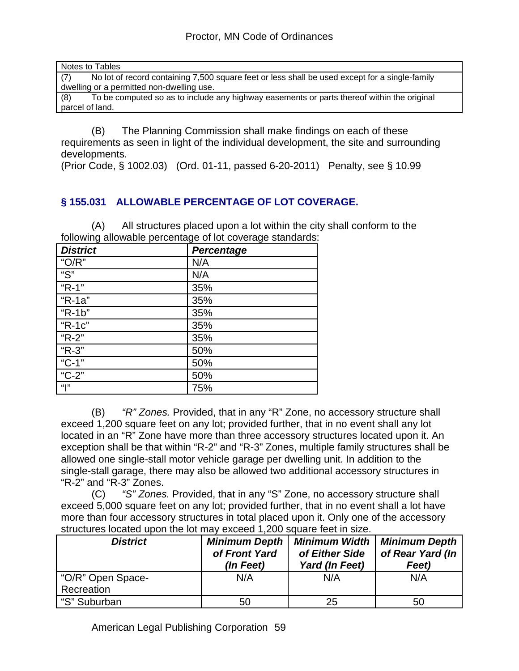| Notes to Tables                                                                                       |
|-------------------------------------------------------------------------------------------------------|
| No lot of record containing 7,500 square feet or less shall be used except for a single-family<br>(7) |
| dwelling or a permitted non-dwelling use.                                                             |
| To be computed so as to include any highway easements or parts thereof within the original<br>(8)     |
| parcel of land.                                                                                       |
|                                                                                                       |

(B) The Planning Commission shall make findings on each of these requirements as seen in light of the individual development, the site and surrounding developments.

(Prior Code, § 1002.03) (Ord. 01-11, passed 6-20-2011) Penalty, see § 10.99

## **§ 155.031 ALLOWABLE PERCENTAGE OF LOT COVERAGE.**

(A) All structures placed upon a lot within the city shall conform to the following allowable percentage of lot coverage standards:

| <b>District</b> | Percentage |
|-----------------|------------|
| " $O/R$ "       | N/A        |
| "S"             | N/A        |
| " $R-1$ "       | 35%        |
| "R-1a"          | 35%        |
| "R-1b"          | 35%        |
| " $R-1c$ "      | 35%        |
| "R-2"           | 35%        |
| "R-3"           | 50%        |
| "C-1"           | 50%        |
| "C-2"           | 50%        |
| <b>"</b>        | 75%        |

(B) *"R" Zones.* Provided, that in any "R" Zone, no accessory structure shall exceed 1,200 square feet on any lot; provided further, that in no event shall any lot located in an "R" Zone have more than three accessory structures located upon it. An exception shall be that within "R-2" and "R-3" Zones, multiple family structures shall be allowed one single-stall motor vehicle garage per dwelling unit. In addition to the single-stall garage, there may also be allowed two additional accessory structures in "R-2" and "R-3" Zones.

(C) *"S" Zones.* Provided, that in any "S" Zone, no accessory structure shall exceed 5,000 square feet on any lot; provided further, that in no event shall a lot have more than four accessory structures in total placed upon it. Only one of the accessory structures located upon the lot may exceed 1,200 square feet in size.

| <b>District</b>                 | <b>Minimum Depth</b><br>of Front Yard<br>(In Feet) |     | <b>Minimum Depth</b><br>of Rear Yard (In<br>Feet) |  |
|---------------------------------|----------------------------------------------------|-----|---------------------------------------------------|--|
| "O/R" Open Space-<br>Recreation | N/A                                                | N/A | N/A                                               |  |
| "S" Suburban                    | 50                                                 | 25  | 50                                                |  |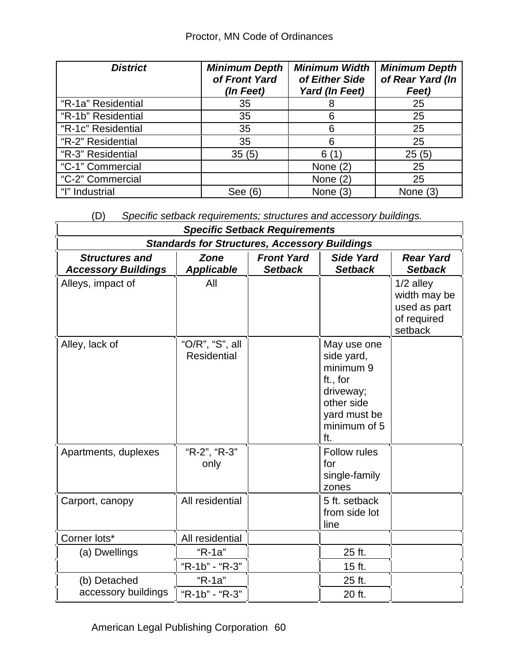| <b>District</b>    | <b>Minimum Depth</b><br>of Front Yard<br>(In Feet) | <b>Minimum Width</b><br>of Either Side<br>Yard (In Feet) | <b>Minimum Depth</b><br>of Rear Yard (In<br>Feet) |
|--------------------|----------------------------------------------------|----------------------------------------------------------|---------------------------------------------------|
| "R-1a" Residential | 35                                                 | 8                                                        | 25                                                |
| "R-1b" Residential | 35                                                 | 6                                                        | 25                                                |
| "R-1c" Residential | 35                                                 | 6                                                        | 25                                                |
| "R-2" Residential  | 35                                                 | 6                                                        | 25                                                |
| "R-3" Residential  | 35(5)                                              | 6<br>(1)                                                 | 25(5)                                             |
| "C-1" Commercial   |                                                    | None $(2)$                                               | 25                                                |
| "C-2" Commercial   |                                                    | None $(2)$                                               | 25                                                |
| "I" Industrial     | See (6)                                            | None $(3)$                                               | None $(3)$                                        |

(D) *Specific setback requirements; structures and accessory buildings.*

|                                                     |                                                      | <b>Specific Setback Requirements</b> |                                                                                                                      |                                                                       |
|-----------------------------------------------------|------------------------------------------------------|--------------------------------------|----------------------------------------------------------------------------------------------------------------------|-----------------------------------------------------------------------|
|                                                     | <b>Standards for Structures, Accessory Buildings</b> |                                      |                                                                                                                      |                                                                       |
| <b>Structures and</b><br><b>Accessory Buildings</b> | Zone<br><b>Applicable</b>                            | <b>Front Yard</b><br><b>Setback</b>  | <b>Side Yard</b><br><b>Setback</b>                                                                                   | <b>Rear Yard</b><br><b>Setback</b>                                    |
| Alleys, impact of                                   | All                                                  |                                      |                                                                                                                      | $1/2$ alley<br>width may be<br>used as part<br>of required<br>setback |
| Alley, lack of                                      | "O/R", "S", all<br><b>Residential</b>                |                                      | May use one<br>side yard,<br>minimum 9<br>ft., for<br>driveway;<br>other side<br>yard must be<br>minimum of 5<br>ft. |                                                                       |
| Apartments, duplexes                                | "R-2", "R-3"<br>only                                 |                                      | <b>Follow rules</b><br>for<br>single-family<br>zones                                                                 |                                                                       |
| Carport, canopy                                     | All residential                                      |                                      | 5 ft. setback<br>from side lot<br>line                                                                               |                                                                       |
| Corner lots*                                        | All residential                                      |                                      |                                                                                                                      |                                                                       |
| (a) Dwellings                                       | "R-1a"                                               |                                      | 25 ft.                                                                                                               |                                                                       |
|                                                     | "R-1b" - "R-3"                                       |                                      | 15 ft.                                                                                                               |                                                                       |
| (b) Detached                                        | "R-1a"                                               |                                      | 25 ft.                                                                                                               |                                                                       |
| accessory buildings                                 | "R-1b" - "R-3"                                       |                                      | 20 ft.                                                                                                               |                                                                       |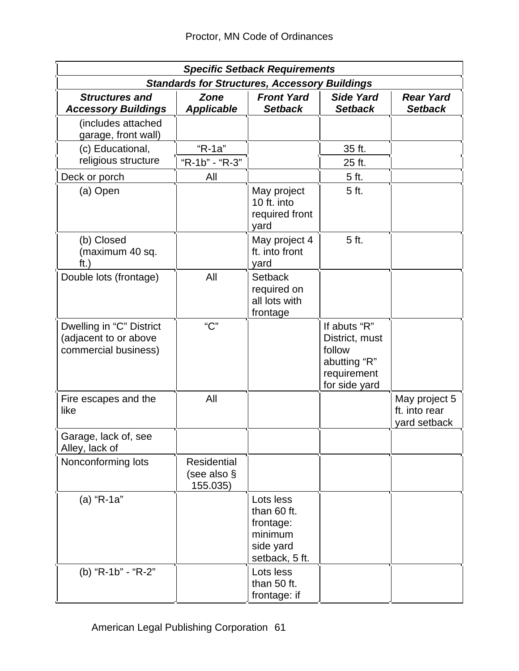| <b>Specific Setback Requirements</b>                                      |                                               |                                                                                 |                                                                                          |                                                |  |  |  |
|---------------------------------------------------------------------------|-----------------------------------------------|---------------------------------------------------------------------------------|------------------------------------------------------------------------------------------|------------------------------------------------|--|--|--|
|                                                                           |                                               | <b>Standards for Structures, Accessory Buildings</b>                            |                                                                                          |                                                |  |  |  |
| <b>Structures and</b><br><b>Accessory Buildings</b>                       | <b>Zone</b><br><b>Applicable</b>              | <b>Front Yard</b><br><b>Setback</b>                                             | <b>Side Yard</b><br><b>Setback</b>                                                       | <b>Rear Yard</b><br><b>Setback</b>             |  |  |  |
| (includes attached<br>garage, front wall)                                 |                                               |                                                                                 |                                                                                          |                                                |  |  |  |
| (c) Educational,                                                          | "R-1a"                                        |                                                                                 | 35 ft.                                                                                   |                                                |  |  |  |
| religious structure                                                       | "R-1b" - "R-3"                                |                                                                                 | 25 ft.                                                                                   |                                                |  |  |  |
| Deck or porch                                                             | All                                           |                                                                                 | 5 ft.                                                                                    |                                                |  |  |  |
| (a) Open                                                                  |                                               | May project<br>10 ft. into<br>required front<br>yard                            | 5 ft.                                                                                    |                                                |  |  |  |
| (b) Closed<br>(maximum 40 sq.<br>$\mathsf{ft}$ .)                         |                                               | May project 4<br>ft. into front<br>yard                                         | 5 ft.                                                                                    |                                                |  |  |  |
| Double lots (frontage)                                                    | All                                           | <b>Setback</b><br>required on<br>all lots with<br>frontage                      |                                                                                          |                                                |  |  |  |
| Dwelling in "C" District<br>(adjacent to or above<br>commercial business) | "C"                                           |                                                                                 | If abuts "R"<br>District, must<br>follow<br>abutting "R"<br>requirement<br>for side yard |                                                |  |  |  |
| Fire escapes and the<br>like                                              | All                                           |                                                                                 |                                                                                          | May project 5<br>ft. into rear<br>yard setback |  |  |  |
| Garage, lack of, see<br>Alley, lack of                                    |                                               |                                                                                 |                                                                                          |                                                |  |  |  |
| Nonconforming lots                                                        | <b>Residential</b><br>(see also §<br>155.035) |                                                                                 |                                                                                          |                                                |  |  |  |
| (a) "R-1a"                                                                |                                               | Lots less<br>than 60 ft.<br>frontage:<br>minimum<br>side yard<br>setback, 5 ft. |                                                                                          |                                                |  |  |  |
| (b) "R-1b" - "R-2"                                                        |                                               | Lots less<br>than 50 ft.<br>frontage: if                                        |                                                                                          |                                                |  |  |  |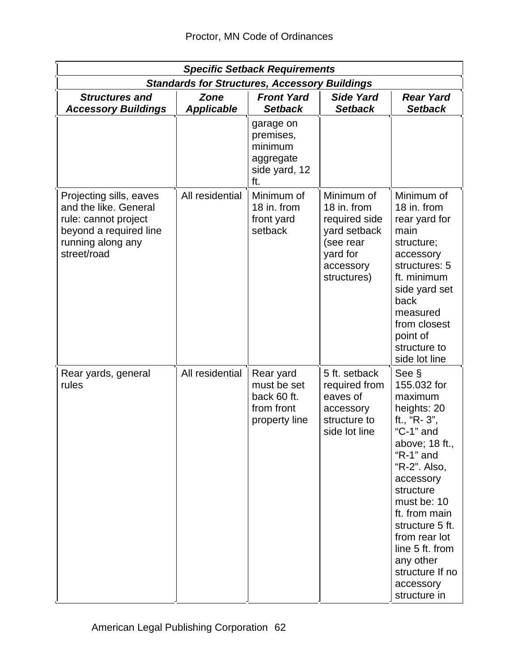| <b>Specific Setback Requirements</b>                                                                                                   |                                  |                                                                        |                                                                                                                 |                                                                                                                                                                                                                                                                                                             |  |  |  |
|----------------------------------------------------------------------------------------------------------------------------------------|----------------------------------|------------------------------------------------------------------------|-----------------------------------------------------------------------------------------------------------------|-------------------------------------------------------------------------------------------------------------------------------------------------------------------------------------------------------------------------------------------------------------------------------------------------------------|--|--|--|
|                                                                                                                                        |                                  | <b>Standards for Structures, Accessory Buildings</b>                   |                                                                                                                 |                                                                                                                                                                                                                                                                                                             |  |  |  |
| <b>Structures and</b><br><b>Accessory Buildings</b>                                                                                    | <b>Zone</b><br><b>Applicable</b> | <b>Front Yard</b><br><b>Setback</b>                                    | <b>Side Yard</b><br><b>Setback</b>                                                                              | <b>Rear Yard</b><br><b>Setback</b>                                                                                                                                                                                                                                                                          |  |  |  |
|                                                                                                                                        |                                  | garage on<br>premises,<br>minimum<br>aggregate<br>side yard, 12<br>ft. |                                                                                                                 |                                                                                                                                                                                                                                                                                                             |  |  |  |
| Projecting sills, eaves<br>and the like. General<br>rule: cannot project<br>beyond a required line<br>running along any<br>street/road | All residential                  | Minimum of<br>18 in. from<br>front yard<br>setback                     | Minimum of<br>18 in. from<br>required side<br>yard setback<br>(see rear<br>yard for<br>accessory<br>structures) | Minimum of<br>18 in. from<br>rear yard for<br>main<br>structure;<br>accessory<br>structures: 5<br>ft. minimum<br>side yard set<br>back<br>measured<br>from closest<br>point of<br>structure to<br>side lot line                                                                                             |  |  |  |
| Rear yards, general<br>rules                                                                                                           | All residential                  | Rear yard<br>must be set<br>back 60 ft.<br>from front<br>property line | 5 ft. setback<br>required from<br>eaves of<br>accessory<br>structure to<br>side lot line                        | See §<br>155.032 for<br>maximum<br>heights: 20<br>ft., "R-3",<br>"C-1" and<br>above; 18 ft.,<br>" $R-1$ " and<br>"R-2". Also,<br>accessory<br>structure<br>must be: 10<br>ft. from main<br>structure 5 ft.<br>from rear lot<br>line 5 ft. from<br>any other<br>structure If no<br>accessory<br>structure in |  |  |  |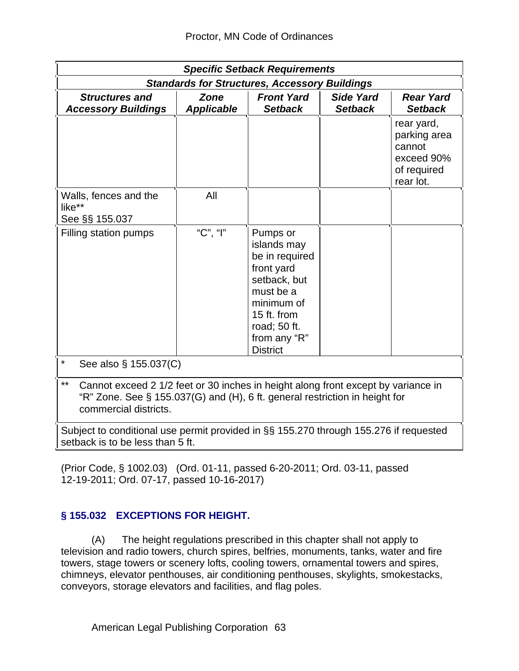|                                                                                                                                                                                                           | <b>Specific Setback Requirements</b> |                                                      |                                    |                                                                                |  |  |  |
|-----------------------------------------------------------------------------------------------------------------------------------------------------------------------------------------------------------|--------------------------------------|------------------------------------------------------|------------------------------------|--------------------------------------------------------------------------------|--|--|--|
|                                                                                                                                                                                                           |                                      | <b>Standards for Structures, Accessory Buildings</b> |                                    |                                                                                |  |  |  |
| <b>Structures and</b><br><b>Accessory Buildings</b>                                                                                                                                                       | <b>Zone</b><br><b>Applicable</b>     | <b>Front Yard</b><br><b>Setback</b>                  | <b>Side Yard</b><br><b>Setback</b> | <b>Rear Yard</b><br><b>Setback</b>                                             |  |  |  |
|                                                                                                                                                                                                           |                                      |                                                      |                                    | rear yard,<br>parking area<br>cannot<br>exceed 90%<br>of required<br>rear lot. |  |  |  |
| All<br>Walls, fences and the<br>like**<br>See §§ 155.037                                                                                                                                                  |                                      |                                                      |                                    |                                                                                |  |  |  |
| "C", "l"<br>Filling station pumps<br>Pumps or<br>islands may<br>be in required<br>front yard<br>setback, but<br>must be a<br>minimum of<br>15 ft. from<br>road; 50 ft.<br>from any "R"<br><b>District</b> |                                      |                                                      |                                    |                                                                                |  |  |  |
| $\star$<br>See also § 155.037(C)                                                                                                                                                                          |                                      |                                                      |                                    |                                                                                |  |  |  |
| $***$<br>Cannot exceed 2 1/2 feet or 30 inches in height along front except by variance in<br>"R" Zone. See § 155.037(G) and (H), 6 ft. general restriction in height for<br>commercial districts.        |                                      |                                                      |                                    |                                                                                |  |  |  |
| Subject to conditional use permit provided in §§ 155.270 through 155.276 if requested<br>setback is to be less than 5 ft.                                                                                 |                                      |                                                      |                                    |                                                                                |  |  |  |

(Prior Code, § 1002.03) (Ord. 01-11, passed 6-20-2011; Ord. 03-11, passed 12-19-2011; Ord. 07-17, passed 10-16-2017)

## **§ 155.032 EXCEPTIONS FOR HEIGHT.**

(A) The height regulations prescribed in this chapter shall not apply to television and radio towers, church spires, belfries, monuments, tanks, water and fire towers, stage towers or scenery lofts, cooling towers, ornamental towers and spires, chimneys, elevator penthouses, air conditioning penthouses, skylights, smokestacks, conveyors, storage elevators and facilities, and flag poles.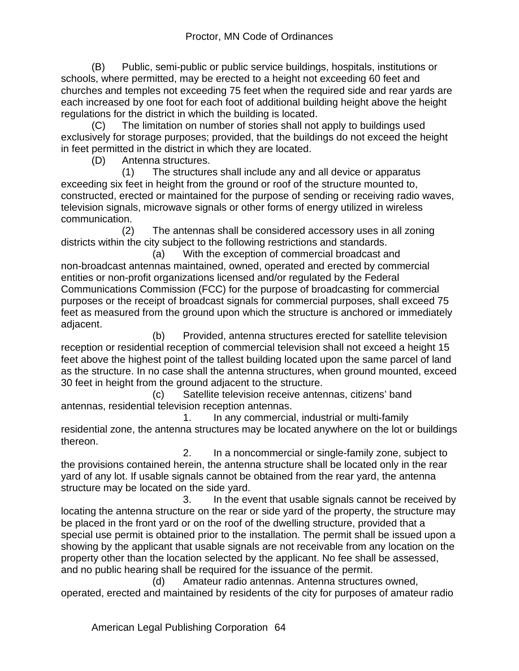(B) Public, semi-public or public service buildings, hospitals, institutions or schools, where permitted, may be erected to a height not exceeding 60 feet and churches and temples not exceeding 75 feet when the required side and rear yards are each increased by one foot for each foot of additional building height above the height regulations for the district in which the building is located.

(C) The limitation on number of stories shall not apply to buildings used exclusively for storage purposes; provided, that the buildings do not exceed the height in feet permitted in the district in which they are located.

(D) Antenna structures.

 (1) The structures shall include any and all device or apparatus exceeding six feet in height from the ground or roof of the structure mounted to, constructed, erected or maintained for the purpose of sending or receiving radio waves, television signals, microwave signals or other forms of energy utilized in wireless communication.

 (2) The antennas shall be considered accessory uses in all zoning districts within the city subject to the following restrictions and standards.

 (a) With the exception of commercial broadcast and non-broadcast antennas maintained, owned, operated and erected by commercial entities or non-profit organizations licensed and/or regulated by the Federal Communications Commission (FCC) for the purpose of broadcasting for commercial purposes or the receipt of broadcast signals for commercial purposes, shall exceed 75 feet as measured from the ground upon which the structure is anchored or immediately adjacent.

 (b) Provided, antenna structures erected for satellite television reception or residential reception of commercial television shall not exceed a height 15 feet above the highest point of the tallest building located upon the same parcel of land as the structure. In no case shall the antenna structures, when ground mounted, exceed 30 feet in height from the ground adjacent to the structure.

 (c) Satellite television receive antennas, citizens' band antennas, residential television reception antennas.

 1. In any commercial, industrial or multi-family residential zone, the antenna structures may be located anywhere on the lot or buildings thereon.

 2. In a noncommercial or single-family zone, subject to the provisions contained herein, the antenna structure shall be located only in the rear yard of any lot. If usable signals cannot be obtained from the rear yard, the antenna structure may be located on the side yard.

 3. In the event that usable signals cannot be received by locating the antenna structure on the rear or side yard of the property, the structure may be placed in the front yard or on the roof of the dwelling structure, provided that a special use permit is obtained prior to the installation. The permit shall be issued upon a showing by the applicant that usable signals are not receivable from any location on the property other than the location selected by the applicant. No fee shall be assessed, and no public hearing shall be required for the issuance of the permit.

 (d) Amateur radio antennas. Antenna structures owned, operated, erected and maintained by residents of the city for purposes of amateur radio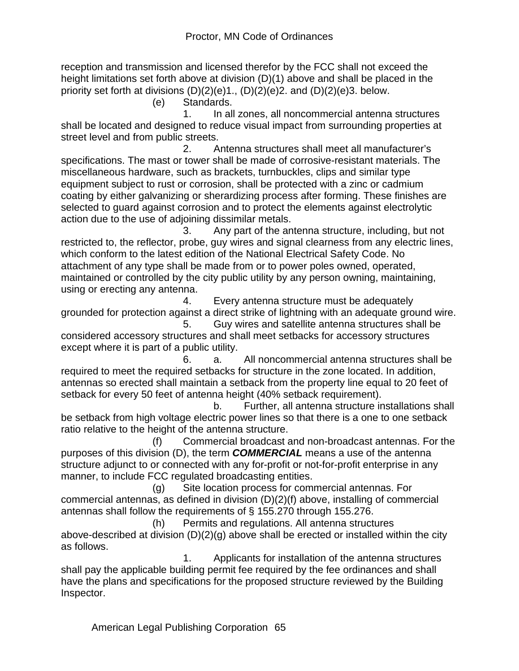reception and transmission and licensed therefor by the FCC shall not exceed the height limitations set forth above at division (D)(1) above and shall be placed in the priority set forth at divisions  $(D)(2)(e)1$ .,  $(D)(2)(e)2$ . and  $(D)(2)(e)3$ . below.

(e) Standards.

 1. In all zones, all noncommercial antenna structures shall be located and designed to reduce visual impact from surrounding properties at street level and from public streets.

 2. Antenna structures shall meet all manufacturer's specifications. The mast or tower shall be made of corrosive-resistant materials. The miscellaneous hardware, such as brackets, turnbuckles, clips and similar type equipment subject to rust or corrosion, shall be protected with a zinc or cadmium coating by either galvanizing or sherardizing process after forming. These finishes are selected to guard against corrosion and to protect the elements against electrolytic action due to the use of adjoining dissimilar metals.

 3. Any part of the antenna structure, including, but not restricted to, the reflector, probe, guy wires and signal clearness from any electric lines, which conform to the latest edition of the National Electrical Safety Code. No attachment of any type shall be made from or to power poles owned, operated, maintained or controlled by the city public utility by any person owning, maintaining, using or erecting any antenna.

 4. Every antenna structure must be adequately grounded for protection against a direct strike of lightning with an adequate ground wire. 5. Guy wires and satellite antenna structures shall be

considered accessory structures and shall meet setbacks for accessory structures except where it is part of a public utility.

 6. a. All noncommercial antenna structures shall be required to meet the required setbacks for structure in the zone located. In addition, antennas so erected shall maintain a setback from the property line equal to 20 feet of setback for every 50 feet of antenna height (40% setback requirement).

 b. Further, all antenna structure installations shall be setback from high voltage electric power lines so that there is a one to one setback ratio relative to the height of the antenna structure.

 (f) Commercial broadcast and non-broadcast antennas. For the purposes of this division (D), the term *COMMERCIAL* means a use of the antenna structure adjunct to or connected with any for-profit or not-for-profit enterprise in any manner, to include FCC regulated broadcasting entities.

 (g) Site location process for commercial antennas. For commercial antennas, as defined in division (D)(2)(f) above, installing of commercial antennas shall follow the requirements of § 155.270 through 155.276.

 (h) Permits and regulations. All antenna structures above-described at division (D)(2)(g) above shall be erected or installed within the city as follows.

 1. Applicants for installation of the antenna structures shall pay the applicable building permit fee required by the fee ordinances and shall have the plans and specifications for the proposed structure reviewed by the Building Inspector.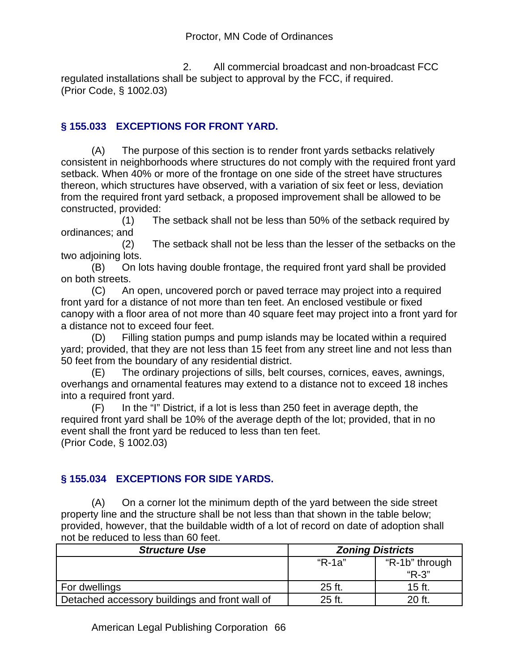2. All commercial broadcast and non-broadcast FCC regulated installations shall be subject to approval by the FCC, if required. (Prior Code, § 1002.03)

## **§ 155.033 EXCEPTIONS FOR FRONT YARD.**

(A) The purpose of this section is to render front yards setbacks relatively consistent in neighborhoods where structures do not comply with the required front yard setback. When 40% or more of the frontage on one side of the street have structures thereon, which structures have observed, with a variation of six feet or less, deviation from the required front yard setback, a proposed improvement shall be allowed to be constructed, provided:

 (1) The setback shall not be less than 50% of the setback required by ordinances; and

 (2) The setback shall not be less than the lesser of the setbacks on the two adjoining lots.

(B) On lots having double frontage, the required front yard shall be provided on both streets.

(C) An open, uncovered porch or paved terrace may project into a required front yard for a distance of not more than ten feet. An enclosed vestibule or fixed canopy with a floor area of not more than 40 square feet may project into a front yard for a distance not to exceed four feet.

(D) Filling station pumps and pump islands may be located within a required yard; provided, that they are not less than 15 feet from any street line and not less than 50 feet from the boundary of any residential district.

(E) The ordinary projections of sills, belt courses, cornices, eaves, awnings, overhangs and ornamental features may extend to a distance not to exceed 18 inches into a required front yard.

(F) In the "I" District, if a lot is less than 250 feet in average depth, the required front yard shall be 10% of the average depth of the lot; provided, that in no event shall the front yard be reduced to less than ten feet. (Prior Code, § 1002.03)

## **§ 155.034 EXCEPTIONS FOR SIDE YARDS.**

(A) On a corner lot the minimum depth of the yard between the side street property line and the structure shall be not less than that shown in the table below; provided, however, that the buildable width of a lot of record on date of adoption shall not be reduced to less than 60 feet.

| <b>Structure Use</b>                           | <b>Zoning Districts</b> |                |
|------------------------------------------------|-------------------------|----------------|
|                                                | "R-1a"                  | "R-1b" through |
|                                                |                         | $"R-3"$        |
| For dwellings                                  | 25 ft.                  | 15 ft.         |
| Detached accessory buildings and front wall of | 25 ft.                  | 20 ft.         |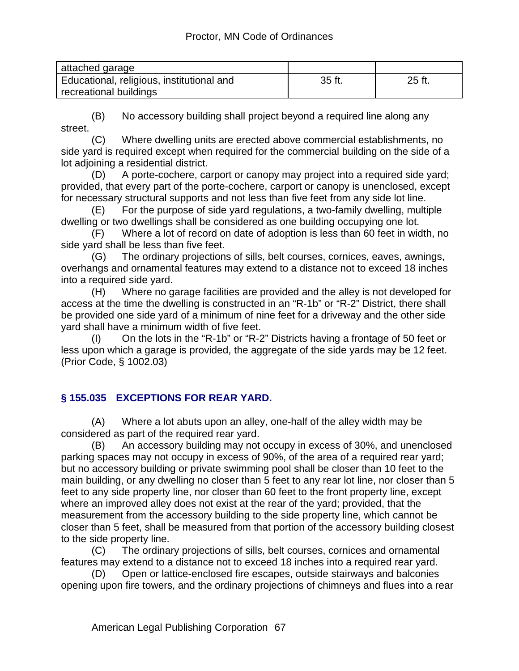| attached garage                           |        |        |
|-------------------------------------------|--------|--------|
| Educational, religious, institutional and | 35 ft. | 25 ft. |
| recreational buildings                    |        |        |

(B) No accessory building shall project beyond a required line along any street.

(C) Where dwelling units are erected above commercial establishments, no side yard is required except when required for the commercial building on the side of a lot adjoining a residential district.

(D) A porte-cochere, carport or canopy may project into a required side yard; provided, that every part of the porte-cochere, carport or canopy is unenclosed, except for necessary structural supports and not less than five feet from any side lot line.

(E) For the purpose of side yard regulations, a two-family dwelling, multiple dwelling or two dwellings shall be considered as one building occupying one lot.

(F) Where a lot of record on date of adoption is less than 60 feet in width, no side yard shall be less than five feet.

(G) The ordinary projections of sills, belt courses, cornices, eaves, awnings, overhangs and ornamental features may extend to a distance not to exceed 18 inches into a required side yard.

(H) Where no garage facilities are provided and the alley is not developed for access at the time the dwelling is constructed in an "R-1b" or "R-2" District, there shall be provided one side yard of a minimum of nine feet for a driveway and the other side yard shall have a minimum width of five feet.

(I) On the lots in the "R-1b" or "R-2" Districts having a frontage of 50 feet or less upon which a garage is provided, the aggregate of the side yards may be 12 feet. (Prior Code, § 1002.03)

## **§ 155.035 EXCEPTIONS FOR REAR YARD.**

(A) Where a lot abuts upon an alley, one-half of the alley width may be considered as part of the required rear yard.

(B) An accessory building may not occupy in excess of 30%, and unenclosed parking spaces may not occupy in excess of 90%, of the area of a required rear yard; but no accessory building or private swimming pool shall be closer than 10 feet to the main building, or any dwelling no closer than 5 feet to any rear lot line, nor closer than 5 feet to any side property line, nor closer than 60 feet to the front property line, except where an improved alley does not exist at the rear of the yard; provided, that the measurement from the accessory building to the side property line, which cannot be closer than 5 feet, shall be measured from that portion of the accessory building closest to the side property line.

(C) The ordinary projections of sills, belt courses, cornices and ornamental features may extend to a distance not to exceed 18 inches into a required rear yard.

(D) Open or lattice-enclosed fire escapes, outside stairways and balconies opening upon fire towers, and the ordinary projections of chimneys and flues into a rear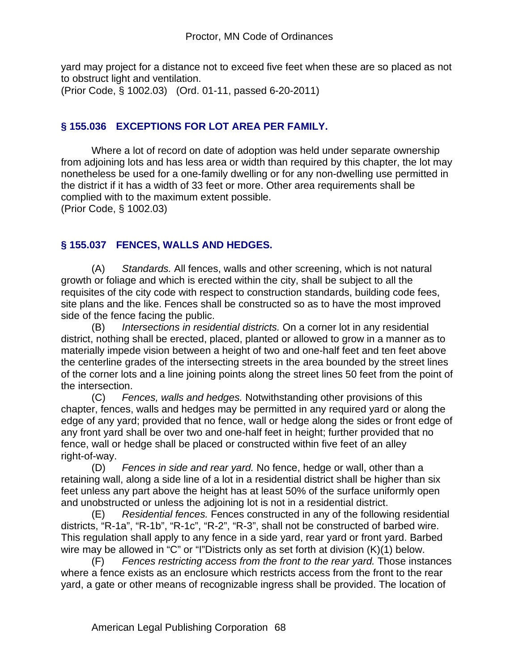yard may project for a distance not to exceed five feet when these are so placed as not to obstruct light and ventilation.

(Prior Code, § 1002.03) (Ord. 01-11, passed 6-20-2011)

#### **§ 155.036 EXCEPTIONS FOR LOT AREA PER FAMILY.**

Where a lot of record on date of adoption was held under separate ownership from adjoining lots and has less area or width than required by this chapter, the lot may nonetheless be used for a one-family dwelling or for any non-dwelling use permitted in the district if it has a width of 33 feet or more. Other area requirements shall be complied with to the maximum extent possible.

(Prior Code, § 1002.03)

### **§ 155.037 FENCES, WALLS AND HEDGES.**

(A) *Standards.* All fences, walls and other screening, which is not natural growth or foliage and which is erected within the city, shall be subject to all the requisites of the city code with respect to construction standards, building code fees, site plans and the like. Fences shall be constructed so as to have the most improved side of the fence facing the public.

(B) *Intersections in residential districts.* On a corner lot in any residential district, nothing shall be erected, placed, planted or allowed to grow in a manner as to materially impede vision between a height of two and one-half feet and ten feet above the centerline grades of the intersecting streets in the area bounded by the street lines of the corner lots and a line joining points along the street lines 50 feet from the point of the intersection.

(C) *Fences, walls and hedges.* Notwithstanding other provisions of this chapter, fences, walls and hedges may be permitted in any required yard or along the edge of any yard; provided that no fence, wall or hedge along the sides or front edge of any front yard shall be over two and one-half feet in height; further provided that no fence, wall or hedge shall be placed or constructed within five feet of an alley right-of-way.

(D) *Fences in side and rear yard.* No fence, hedge or wall, other than a retaining wall, along a side line of a lot in a residential district shall be higher than six feet unless any part above the height has at least 50% of the surface uniformly open and unobstructed or unless the adjoining lot is not in a residential district.

(E) *Residential fences.* Fences constructed in any of the following residential districts, "R-1a", "R-1b", "R-1c", "R-2", "R-3", shall not be constructed of barbed wire. This regulation shall apply to any fence in a side yard, rear yard or front yard. Barbed wire may be allowed in "C" or "I"Districts only as set forth at division (K)(1) below.

(F) *Fences restricting access from the front to the rear yard.* Those instances where a fence exists as an enclosure which restricts access from the front to the rear yard, a gate or other means of recognizable ingress shall be provided. The location of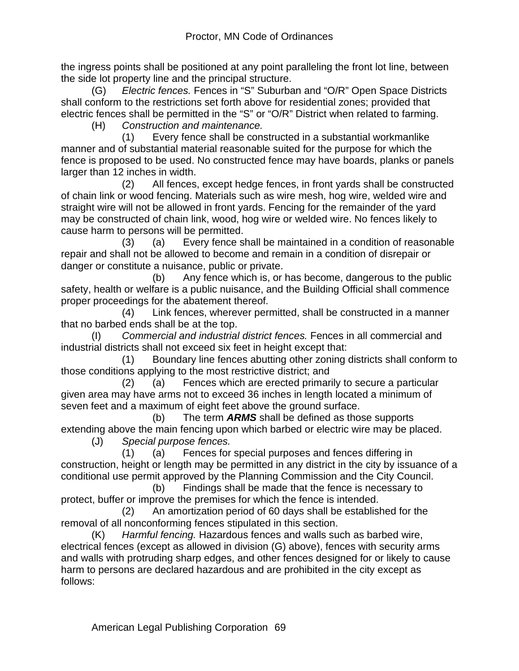the ingress points shall be positioned at any point paralleling the front lot line, between the side lot property line and the principal structure.

(G) *Electric fences.* Fences in "S" Suburban and "O/R" Open Space Districts shall conform to the restrictions set forth above for residential zones; provided that electric fences shall be permitted in the "S" or "O/R" District when related to farming.

(H) *Construction and maintenance.*

 (1) Every fence shall be constructed in a substantial workmanlike manner and of substantial material reasonable suited for the purpose for which the fence is proposed to be used. No constructed fence may have boards, planks or panels larger than 12 inches in width.

 (2) All fences, except hedge fences, in front yards shall be constructed of chain link or wood fencing. Materials such as wire mesh, hog wire, welded wire and straight wire will not be allowed in front yards. Fencing for the remainder of the yard may be constructed of chain link, wood, hog wire or welded wire. No fences likely to cause harm to persons will be permitted.

 (3) (a) Every fence shall be maintained in a condition of reasonable repair and shall not be allowed to become and remain in a condition of disrepair or danger or constitute a nuisance, public or private.

 (b) Any fence which is, or has become, dangerous to the public safety, health or welfare is a public nuisance, and the Building Official shall commence proper proceedings for the abatement thereof.

 (4) Link fences, wherever permitted, shall be constructed in a manner that no barbed ends shall be at the top.

(I) *Commercial and industrial district fences.* Fences in all commercial and industrial districts shall not exceed six feet in height except that:

 (1) Boundary line fences abutting other zoning districts shall conform to those conditions applying to the most restrictive district; and

 (2) (a) Fences which are erected primarily to secure a particular given area may have arms not to exceed 36 inches in length located a minimum of seven feet and a maximum of eight feet above the ground surface.

 (b) The term *ARMS* shall be defined as those supports extending above the main fencing upon which barbed or electric wire may be placed. (J) *Special purpose fences.*

 (1) (a) Fences for special purposes and fences differing in construction, height or length may be permitted in any district in the city by issuance of a conditional use permit approved by the Planning Commission and the City Council.

 (b) Findings shall be made that the fence is necessary to protect, buffer or improve the premises for which the fence is intended.

 (2) An amortization period of 60 days shall be established for the removal of all nonconforming fences stipulated in this section.

(K) *Harmful fencing.* Hazardous fences and walls such as barbed wire, electrical fences (except as allowed in division (G) above), fences with security arms and walls with protruding sharp edges, and other fences designed for or likely to cause harm to persons are declared hazardous and are prohibited in the city except as follows: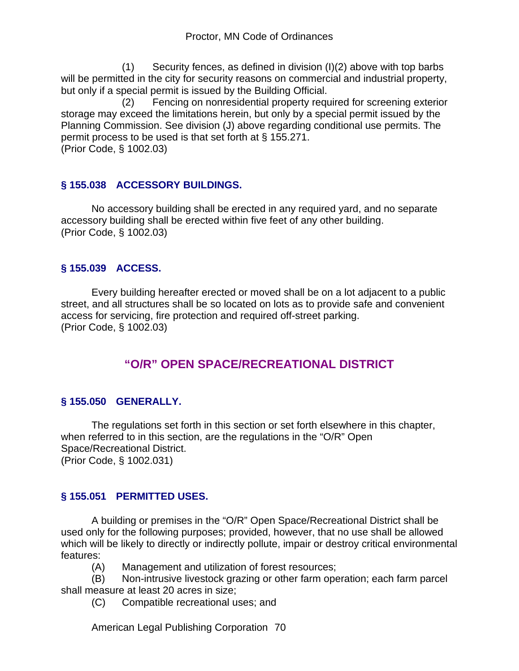(1) Security fences, as defined in division (I)(2) above with top barbs will be permitted in the city for security reasons on commercial and industrial property, but only if a special permit is issued by the Building Official.

 (2) Fencing on nonresidential property required for screening exterior storage may exceed the limitations herein, but only by a special permit issued by the Planning Commission. See division (J) above regarding conditional use permits. The permit process to be used is that set forth at § 155.271. (Prior Code, § 1002.03)

### **§ 155.038 ACCESSORY BUILDINGS.**

No accessory building shall be erected in any required yard, and no separate accessory building shall be erected within five feet of any other building. (Prior Code, § 1002.03)

### **§ 155.039 ACCESS.**

Every building hereafter erected or moved shall be on a lot adjacent to a public street, and all structures shall be so located on lots as to provide safe and convenient access for servicing, fire protection and required off-street parking. (Prior Code, § 1002.03)

## **"O/R" OPEN SPACE/RECREATIONAL DISTRICT**

#### **§ 155.050 GENERALLY.**

The regulations set forth in this section or set forth elsewhere in this chapter, when referred to in this section, are the regulations in the "O/R" Open Space/Recreational District. (Prior Code, § 1002.031)

#### **§ 155.051 PERMITTED USES.**

A building or premises in the "O/R" Open Space/Recreational District shall be used only for the following purposes; provided, however, that no use shall be allowed which will be likely to directly or indirectly pollute, impair or destroy critical environmental features:

(A) Management and utilization of forest resources;

(B) Non-intrusive livestock grazing or other farm operation; each farm parcel shall measure at least 20 acres in size;

(C) Compatible recreational uses; and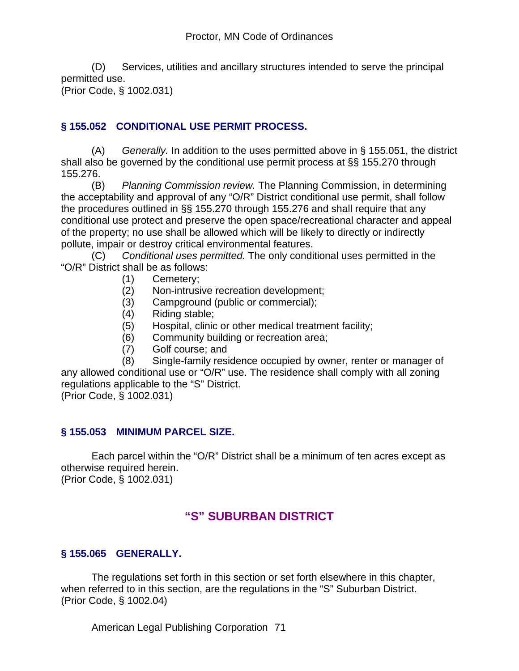(D) Services, utilities and ancillary structures intended to serve the principal permitted use.

(Prior Code, § 1002.031)

### **§ 155.052 CONDITIONAL USE PERMIT PROCESS.**

(A) *Generally.* In addition to the uses permitted above in § 155.051, the district shall also be governed by the conditional use permit process at §§ 155.270 through 155.276.

(B) *Planning Commission review.* The Planning Commission, in determining the acceptability and approval of any "O/R" District conditional use permit, shall follow the procedures outlined in §§ 155.270 through 155.276 and shall require that any conditional use protect and preserve the open space/recreational character and appeal of the property; no use shall be allowed which will be likely to directly or indirectly pollute, impair or destroy critical environmental features.

(C) *Conditional uses permitted.* The only conditional uses permitted in the "O/R" District shall be as follows:

- (1) Cemetery;
- (2) Non-intrusive recreation development;
- (3) Campground (public or commercial);
- (4) Riding stable;
- (5) Hospital, clinic or other medical treatment facility;
- (6) Community building or recreation area;
- (7) Golf course; and

 (8) Single-family residence occupied by owner, renter or manager of any allowed conditional use or "O/R" use. The residence shall comply with all zoning regulations applicable to the "S" District.

(Prior Code, § 1002.031)

#### **§ 155.053 MINIMUM PARCEL SIZE.**

Each parcel within the "O/R" District shall be a minimum of ten acres except as otherwise required herein.

(Prior Code, § 1002.031)

# **"S" SUBURBAN DISTRICT**

#### **§ 155.065 GENERALLY.**

The regulations set forth in this section or set forth elsewhere in this chapter, when referred to in this section, are the regulations in the "S" Suburban District. (Prior Code, § 1002.04)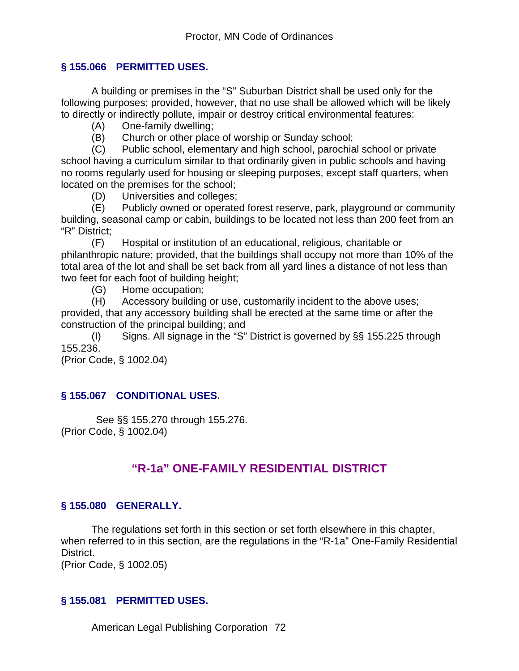#### **§ 155.066 PERMITTED USES.**

A building or premises in the "S" Suburban District shall be used only for the following purposes; provided, however, that no use shall be allowed which will be likely to directly or indirectly pollute, impair or destroy critical environmental features:

- (A) One-family dwelling;
- (B) Church or other place of worship or Sunday school;

(C) Public school, elementary and high school, parochial school or private school having a curriculum similar to that ordinarily given in public schools and having no rooms regularly used for housing or sleeping purposes, except staff quarters, when located on the premises for the school;

(D) Universities and colleges;

(E) Publicly owned or operated forest reserve, park, playground or community building, seasonal camp or cabin, buildings to be located not less than 200 feet from an "R" District;

(F) Hospital or institution of an educational, religious, charitable or philanthropic nature; provided, that the buildings shall occupy not more than 10% of the total area of the lot and shall be set back from all yard lines a distance of not less than two feet for each foot of building height;

(G) Home occupation;

(H) Accessory building or use, customarily incident to the above uses; provided, that any accessory building shall be erected at the same time or after the construction of the principal building; and

(I) Signs. All signage in the "S" District is governed by §§ 155.225 through 155.236.

(Prior Code, § 1002.04)

## **§ 155.067 CONDITIONAL USES.**

 See §§ 155.270 through 155.276. (Prior Code, § 1002.04)

# **"R-1a" ONE-FAMILY RESIDENTIAL DISTRICT**

## **§ 155.080 GENERALLY.**

The regulations set forth in this section or set forth elsewhere in this chapter, when referred to in this section, are the regulations in the "R-1a" One-Family Residential District.

(Prior Code, § 1002.05)

#### **§ 155.081 PERMITTED USES.**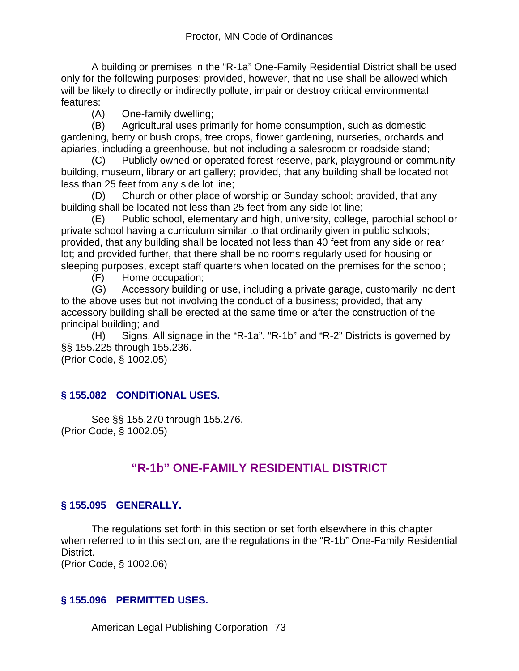A building or premises in the "R-1a" One-Family Residential District shall be used only for the following purposes; provided, however, that no use shall be allowed which will be likely to directly or indirectly pollute, impair or destroy critical environmental features:

(A) One-family dwelling;

(B) Agricultural uses primarily for home consumption, such as domestic gardening, berry or bush crops, tree crops, flower gardening, nurseries, orchards and apiaries, including a greenhouse, but not including a salesroom or roadside stand;

(C) Publicly owned or operated forest reserve, park, playground or community building, museum, library or art gallery; provided, that any building shall be located not less than 25 feet from any side lot line;

(D) Church or other place of worship or Sunday school; provided, that any building shall be located not less than 25 feet from any side lot line;

(E) Public school, elementary and high, university, college, parochial school or private school having a curriculum similar to that ordinarily given in public schools; provided, that any building shall be located not less than 40 feet from any side or rear lot; and provided further, that there shall be no rooms regularly used for housing or sleeping purposes, except staff quarters when located on the premises for the school;

(F) Home occupation;

(G) Accessory building or use, including a private garage, customarily incident to the above uses but not involving the conduct of a business; provided, that any accessory building shall be erected at the same time or after the construction of the principal building; and

(H) Signs. All signage in the "R-1a", "R-1b" and "R-2" Districts is governed by §§ 155.225 through 155.236.

(Prior Code, § 1002.05)

## **§ 155.082 CONDITIONAL USES.**

See §§ 155.270 through 155.276. (Prior Code, § 1002.05)

# **"R-1b" ONE-FAMILY RESIDENTIAL DISTRICT**

## **§ 155.095 GENERALLY.**

The regulations set forth in this section or set forth elsewhere in this chapter when referred to in this section, are the regulations in the "R-1b" One-Family Residential District.

(Prior Code, § 1002.06)

## **§ 155.096 PERMITTED USES.**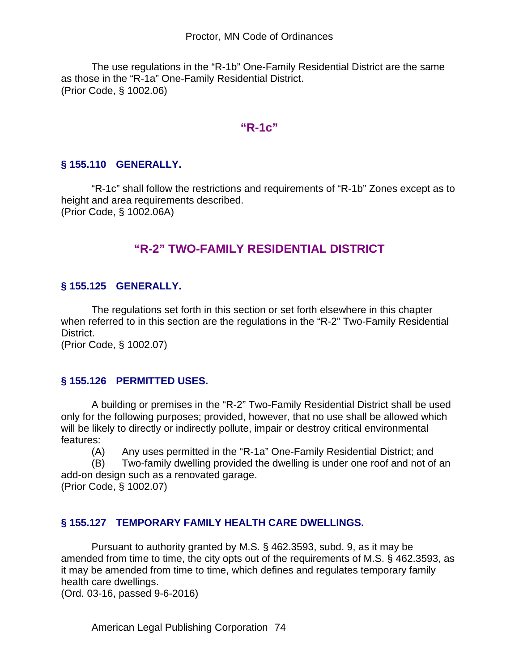The use regulations in the "R-1b" One-Family Residential District are the same as those in the "R-1a" One-Family Residential District. (Prior Code, § 1002.06)

## **"R-1c"**

#### **§ 155.110 GENERALLY.**

"R-1c" shall follow the restrictions and requirements of "R-1b" Zones except as to height and area requirements described. (Prior Code, § 1002.06A)

# **"R-2" TWO-FAMILY RESIDENTIAL DISTRICT**

#### **§ 155.125 GENERALLY.**

The regulations set forth in this section or set forth elsewhere in this chapter when referred to in this section are the regulations in the "R-2" Two-Family Residential District.

(Prior Code, § 1002.07)

#### **§ 155.126 PERMITTED USES.**

A building or premises in the "R-2" Two-Family Residential District shall be used only for the following purposes; provided, however, that no use shall be allowed which will be likely to directly or indirectly pollute, impair or destroy critical environmental features:

(A) Any uses permitted in the "R-1a" One-Family Residential District; and

(B) Two-family dwelling provided the dwelling is under one roof and not of an add-on design such as a renovated garage.

(Prior Code, § 1002.07)

#### **§ 155.127 TEMPORARY FAMILY HEALTH CARE DWELLINGS.**

Pursuant to authority granted by M.S. § 462.3593, subd. 9, as it may be amended from time to time, the city opts out of the requirements of M.S. § 462.3593, as it may be amended from time to time, which defines and regulates temporary family health care dwellings.

(Ord. 03-16, passed 9-6-2016)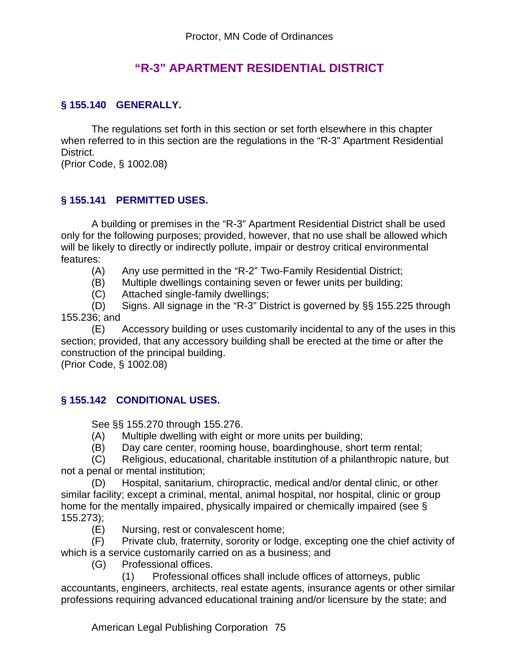## **"R-3" APARTMENT RESIDENTIAL DISTRICT**

#### **§ 155.140 GENERALLY.**

The regulations set forth in this section or set forth elsewhere in this chapter when referred to in this section are the regulations in the "R-3" Apartment Residential District.

(Prior Code, § 1002.08)

#### **§ 155.141 PERMITTED USES.**

A building or premises in the "R-3" Apartment Residential District shall be used only for the following purposes; provided, however, that no use shall be allowed which will be likely to directly or indirectly pollute, impair or destroy critical environmental features:

- (A) Any use permitted in the "R-2" Two-Family Residential District;
- (B) Multiple dwellings containing seven or fewer units per building;
- (C) Attached single-family dwellings;

(D) Signs. All signage in the "R-3" District is governed by §§ 155.225 through 155.236; and

(E) Accessory building or uses customarily incidental to any of the uses in this section; provided, that any accessory building shall be erected at the time or after the construction of the principal building.

(Prior Code, § 1002.08)

#### **§ 155.142 CONDITIONAL USES.**

See §§ 155.270 through 155.276.

- (A) Multiple dwelling with eight or more units per building;
- (B) Day care center, rooming house, boardinghouse, short term rental;

(C) Religious, educational, charitable institution of a philanthropic nature, but not a penal or mental institution;

(D) Hospital, sanitarium, chiropractic, medical and/or dental clinic, or other similar facility; except a criminal, mental, animal hospital, nor hospital, clinic or group home for the mentally impaired, physically impaired or chemically impaired (see § 155.273);

(E) Nursing, rest or convalescent home;

(F) Private club, fraternity, sorority or lodge, excepting one the chief activity of which is a service customarily carried on as a business; and

(G) Professional offices.

 (1) Professional offices shall include offices of attorneys, public accountants, engineers, architects, real estate agents, insurance agents or other similar professions requiring advanced educational training and/or licensure by the state; and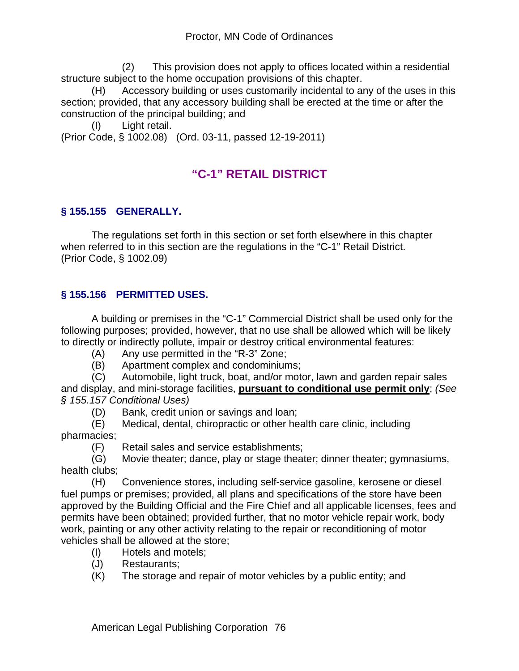(2) This provision does not apply to offices located within a residential structure subject to the home occupation provisions of this chapter.

 (H) Accessory building or uses customarily incidental to any of the uses in this section; provided, that any accessory building shall be erected at the time or after the construction of the principal building; and

(I) Light retail.

(Prior Code, § 1002.08) (Ord. 03-11, passed 12-19-2011)

# **"C-1" RETAIL DISTRICT**

## **§ 155.155 GENERALLY.**

The regulations set forth in this section or set forth elsewhere in this chapter when referred to in this section are the regulations in the "C-1" Retail District. (Prior Code, § 1002.09)

### **§ 155.156 PERMITTED USES.**

A building or premises in the "C-1" Commercial District shall be used only for the following purposes; provided, however, that no use shall be allowed which will be likely to directly or indirectly pollute, impair or destroy critical environmental features:

- (A) Any use permitted in the "R-3" Zone;
- (B) Apartment complex and condominiums;

(C) Automobile, light truck, boat, and/or motor, lawn and garden repair sales and display, and mini-storage facilities, **pursuant to conditional use permit only**; *(See § 155.157 Conditional Uses)*

(D) Bank, credit union or savings and loan;

(E) Medical, dental, chiropractic or other health care clinic, including pharmacies;

(F) Retail sales and service establishments;

(G) Movie theater; dance, play or stage theater; dinner theater; gymnasiums, health clubs;

(H) Convenience stores, including self-service gasoline, kerosene or diesel fuel pumps or premises; provided, all plans and specifications of the store have been approved by the Building Official and the Fire Chief and all applicable licenses, fees and permits have been obtained; provided further, that no motor vehicle repair work, body work, painting or any other activity relating to the repair or reconditioning of motor vehicles shall be allowed at the store;

- (I) Hotels and motels;
- (J) Restaurants;
- (K) The storage and repair of motor vehicles by a public entity; and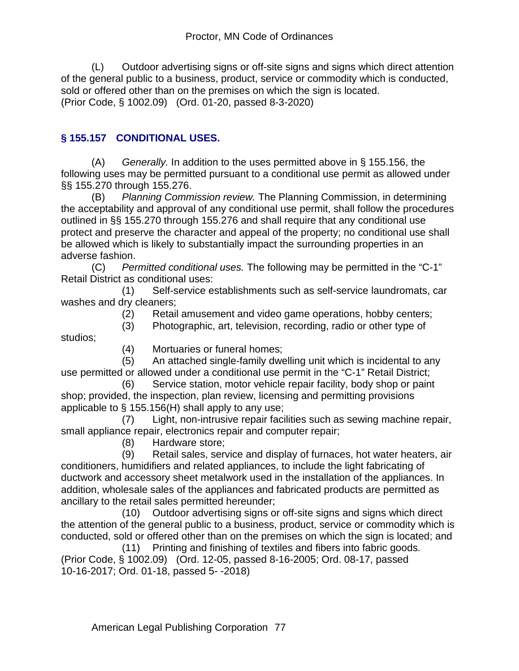(L) Outdoor advertising signs or off-site signs and signs which direct attention of the general public to a business, product, service or commodity which is conducted, sold or offered other than on the premises on which the sign is located. (Prior Code, § 1002.09) (Ord. 01-20, passed 8-3-2020)

## **§ 155.157 CONDITIONAL USES.**

(A) *Generally.* In addition to the uses permitted above in § 155.156, the following uses may be permitted pursuant to a conditional use permit as allowed under §§ 155.270 through 155.276.

(B) *Planning Commission review.* The Planning Commission, in determining the acceptability and approval of any conditional use permit, shall follow the procedures outlined in §§ 155.270 through 155.276 and shall require that any conditional use protect and preserve the character and appeal of the property; no conditional use shall be allowed which is likely to substantially impact the surrounding properties in an adverse fashion.

(C) *Permitted conditional uses.* The following may be permitted in the "C-1" Retail District as conditional uses:

 (1) Self-service establishments such as self-service laundromats, car washes and dry cleaners;

(2) Retail amusement and video game operations, hobby centers;

(3) Photographic, art, television, recording, radio or other type of

studios;

(4) Mortuaries or funeral homes;

 (5) An attached single-family dwelling unit which is incidental to any use permitted or allowed under a conditional use permit in the "C-1" Retail District;

 (6) Service station, motor vehicle repair facility, body shop or paint shop; provided, the inspection, plan review, licensing and permitting provisions applicable to § 155.156(H) shall apply to any use;

 (7) Light, non-intrusive repair facilities such as sewing machine repair, small appliance repair, electronics repair and computer repair;

(8) Hardware store;

 (9) Retail sales, service and display of furnaces, hot water heaters, air conditioners, humidifiers and related appliances, to include the light fabricating of ductwork and accessory sheet metalwork used in the installation of the appliances. In addition, wholesale sales of the appliances and fabricated products are permitted as ancillary to the retail sales permitted hereunder;

 (10) Outdoor advertising signs or off-site signs and signs which direct the attention of the general public to a business, product, service or commodity which is conducted, sold or offered other than on the premises on which the sign is located; and

 (11) Printing and finishing of textiles and fibers into fabric goods. (Prior Code, § 1002.09) (Ord. 12-05, passed 8-16-2005; Ord. 08-17, passed 10-16-2017; Ord. 01-18, passed 5- -2018)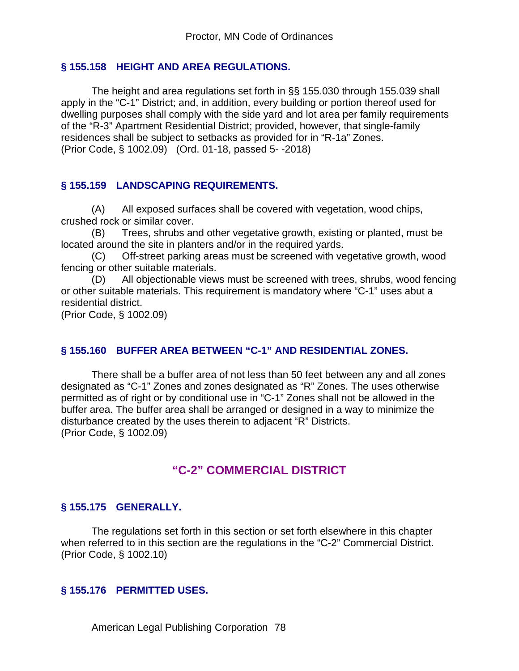#### **§ 155.158 HEIGHT AND AREA REGULATIONS.**

The height and area regulations set forth in §§ 155.030 through 155.039 shall apply in the "C-1" District; and, in addition, every building or portion thereof used for dwelling purposes shall comply with the side yard and lot area per family requirements of the "R-3" Apartment Residential District; provided, however, that single-family residences shall be subject to setbacks as provided for in "R-1a" Zones. (Prior Code, § 1002.09) (Ord. 01-18, passed 5- -2018)

#### **§ 155.159 LANDSCAPING REQUIREMENTS.**

(A) All exposed surfaces shall be covered with vegetation, wood chips, crushed rock or similar cover.

(B) Trees, shrubs and other vegetative growth, existing or planted, must be located around the site in planters and/or in the required yards.

(C) Off-street parking areas must be screened with vegetative growth, wood fencing or other suitable materials.

(D) All objectionable views must be screened with trees, shrubs, wood fencing or other suitable materials. This requirement is mandatory where "C-1" uses abut a residential district.

(Prior Code, § 1002.09)

#### **§ 155.160 BUFFER AREA BETWEEN "C-1" AND RESIDENTIAL ZONES.**

There shall be a buffer area of not less than 50 feet between any and all zones designated as "C-1" Zones and zones designated as "R" Zones. The uses otherwise permitted as of right or by conditional use in "C-1" Zones shall not be allowed in the buffer area. The buffer area shall be arranged or designed in a way to minimize the disturbance created by the uses therein to adjacent "R" Districts. (Prior Code, § 1002.09)

## **"C-2" COMMERCIAL DISTRICT**

#### **§ 155.175 GENERALLY.**

The regulations set forth in this section or set forth elsewhere in this chapter when referred to in this section are the regulations in the "C-2" Commercial District. (Prior Code, § 1002.10)

#### **§ 155.176 PERMITTED USES.**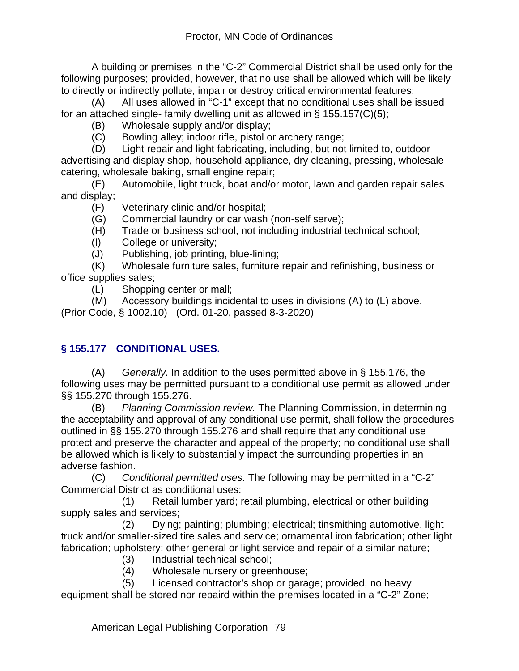A building or premises in the "C-2" Commercial District shall be used only for the following purposes; provided, however, that no use shall be allowed which will be likely to directly or indirectly pollute, impair or destroy critical environmental features:

(A) All uses allowed in "C-1" except that no conditional uses shall be issued for an attached single- family dwelling unit as allowed in § 155.157(C)(5);

- (B) Wholesale supply and/or display;
- (C) Bowling alley; indoor rifle, pistol or archery range;

(D) Light repair and light fabricating, including, but not limited to, outdoor advertising and display shop, household appliance, dry cleaning, pressing, wholesale catering, wholesale baking, small engine repair;

(E) Automobile, light truck, boat and/or motor, lawn and garden repair sales and display;

- (F) Veterinary clinic and/or hospital;
- (G) Commercial laundry or car wash (non-self serve);
- (H) Trade or business school, not including industrial technical school;
- (I) College or university;
- (J) Publishing, job printing, blue-lining;

(K) Wholesale furniture sales, furniture repair and refinishing, business or office supplies sales;

(L) Shopping center or mall;

(M) Accessory buildings incidental to uses in divisions (A) to (L) above.

(Prior Code, § 1002.10) (Ord. 01-20, passed 8-3-2020)

## **§ 155.177 CONDITIONAL USES.**

(A) *Generally.* In addition to the uses permitted above in § 155.176, the following uses may be permitted pursuant to a conditional use permit as allowed under §§ 155.270 through 155.276.

(B) *Planning Commission review.* The Planning Commission, in determining the acceptability and approval of any conditional use permit, shall follow the procedures outlined in §§ 155.270 through 155.276 and shall require that any conditional use protect and preserve the character and appeal of the property; no conditional use shall be allowed which is likely to substantially impact the surrounding properties in an adverse fashion.

(C) *Conditional permitted uses.* The following may be permitted in a "C-2" Commercial District as conditional uses:

 (1) Retail lumber yard; retail plumbing, electrical or other building supply sales and services;

 (2) Dying; painting; plumbing; electrical; tinsmithing automotive, light truck and/or smaller-sized tire sales and service; ornamental iron fabrication; other light fabrication; upholstery; other general or light service and repair of a similar nature;

- (3) Industrial technical school;<br>(4) Wholesale nursery or greer
- Wholesale nursery or greenhouse;
- (5) Licensed contractor's shop or garage; provided, no heavy

equipment shall be stored nor repaird within the premises located in a "C-2" Zone;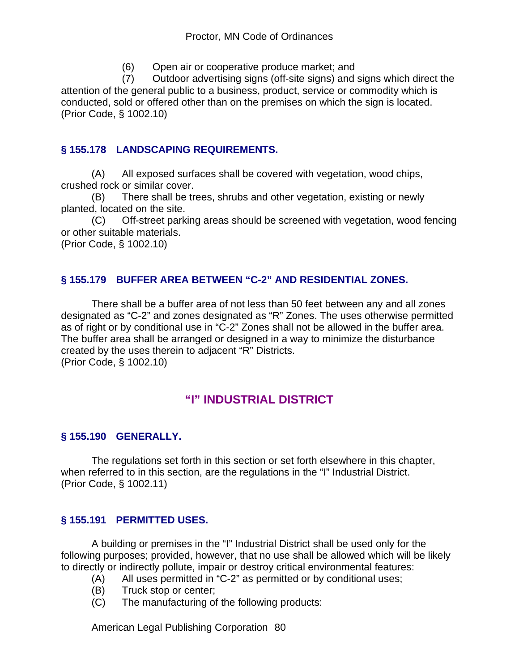(6) Open air or cooperative produce market; and

 (7) Outdoor advertising signs (off-site signs) and signs which direct the attention of the general public to a business, product, service or commodity which is conducted, sold or offered other than on the premises on which the sign is located. (Prior Code, § 1002.10)

## **§ 155.178 LANDSCAPING REQUIREMENTS.**

(A) All exposed surfaces shall be covered with vegetation, wood chips, crushed rock or similar cover.

(B) There shall be trees, shrubs and other vegetation, existing or newly planted, located on the site.

(C) Off-street parking areas should be screened with vegetation, wood fencing or other suitable materials.

(Prior Code, § 1002.10)

#### **§ 155.179 BUFFER AREA BETWEEN "C-2" AND RESIDENTIAL ZONES.**

There shall be a buffer area of not less than 50 feet between any and all zones designated as "C-2" and zones designated as "R" Zones. The uses otherwise permitted as of right or by conditional use in "C-2" Zones shall not be allowed in the buffer area. The buffer area shall be arranged or designed in a way to minimize the disturbance created by the uses therein to adjacent "R" Districts. (Prior Code, § 1002.10)

# **"I" INDUSTRIAL DISTRICT**

#### **§ 155.190 GENERALLY.**

The regulations set forth in this section or set forth elsewhere in this chapter, when referred to in this section, are the regulations in the "I" Industrial District. (Prior Code, § 1002.11)

#### **§ 155.191 PERMITTED USES.**

A building or premises in the "I" Industrial District shall be used only for the following purposes; provided, however, that no use shall be allowed which will be likely to directly or indirectly pollute, impair or destroy critical environmental features:

- (A) All uses permitted in "C-2" as permitted or by conditional uses;
- (B) Truck stop or center;
- (C) The manufacturing of the following products: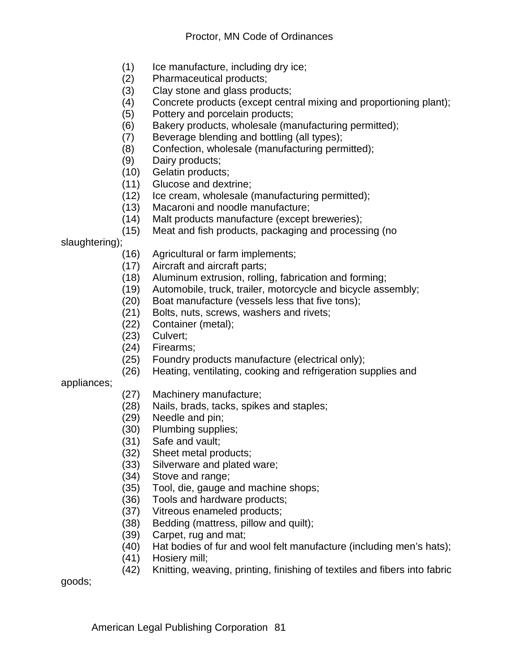- $(1)$  Ice manufacture, including dry ice;
- (2) Pharmaceutical products;
- (3) Clay stone and glass products;
- (4) Concrete products (except central mixing and proportioning plant);
- (5) Pottery and porcelain products;
- (6) Bakery products, wholesale (manufacturing permitted);
- (7) Beverage blending and bottling (all types);
- (8) Confection, wholesale (manufacturing permitted);
- (9) Dairy products;
- (10) Gelatin products;
- (11) Glucose and dextrine;
- (12) Ice cream, wholesale (manufacturing permitted);
- (13) Macaroni and noodle manufacture;
- (14) Malt products manufacture (except breweries);
- (15) Meat and fish products, packaging and processing (no

slaughtering);

- (16) Agricultural or farm implements;
- (17) Aircraft and aircraft parts;
- (18) Aluminum extrusion, rolling, fabrication and forming;
- (19) Automobile, truck, trailer, motorcycle and bicycle assembly;
- (20) Boat manufacture (vessels less that five tons);
- (21) Bolts, nuts, screws, washers and rivets;
- (22) Container (metal);
- (23) Culvert;
- (24) Firearms;
- (25) Foundry products manufacture (electrical only);
- (26) Heating, ventilating, cooking and refrigeration supplies and

#### appliances;

- (27) Machinery manufacture;
- (28) Nails, brads, tacks, spikes and staples;
- (29) Needle and pin;
- (30) Plumbing supplies;
- (31) Safe and vault;
- (32) Sheet metal products;
- (33) Silverware and plated ware;
- (34) Stove and range;
- (35) Tool, die, gauge and machine shops;
- (36) Tools and hardware products;
- (37) Vitreous enameled products;
- (38) Bedding (mattress, pillow and quilt);
- (39) Carpet, rug and mat;
- (40) Hat bodies of fur and wool felt manufacture (including men's hats);
- (41) Hosiery mill;
- (42) Knitting, weaving, printing, finishing of textiles and fibers into fabric

goods;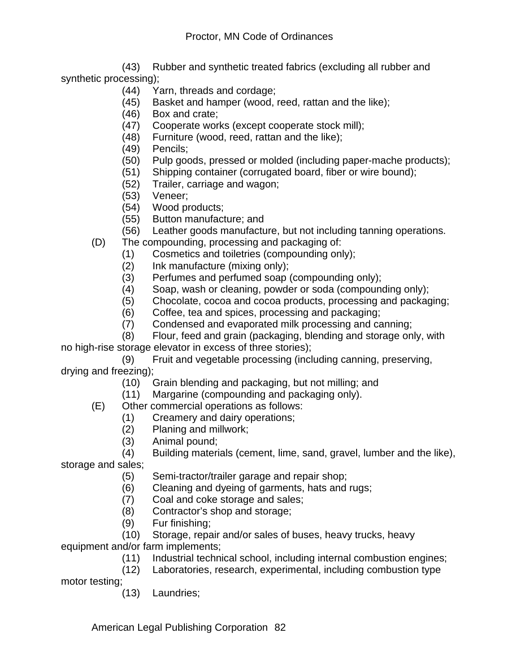(43) Rubber and synthetic treated fabrics (excluding all rubber and synthetic processing);

- (44) Yarn, threads and cordage;
- (45) Basket and hamper (wood, reed, rattan and the like);
- (46) Box and crate;
- (47) Cooperate works (except cooperate stock mill);
- (48) Furniture (wood, reed, rattan and the like);
- (49) Pencils;
- (50) Pulp goods, pressed or molded (including paper-mache products);
- (51) Shipping container (corrugated board, fiber or wire bound);
- (52) Trailer, carriage and wagon;
- (53) Veneer;
- (54) Wood products;
- (55) Button manufacture; and
- (56) Leather goods manufacture, but not including tanning operations.
- (D) The compounding, processing and packaging of:
	- (1) Cosmetics and toiletries (compounding only);
	- (2) Ink manufacture (mixing only);
	- (3) Perfumes and perfumed soap (compounding only);
	- (4) Soap, wash or cleaning, powder or soda (compounding only);
	- (5) Chocolate, cocoa and cocoa products, processing and packaging;
	- (6) Coffee, tea and spices, processing and packaging;
	- (7) Condensed and evaporated milk processing and canning;
	- (8) Flour, feed and grain (packaging, blending and storage only, with

no high-rise storage elevator in excess of three stories);

 (9) Fruit and vegetable processing (including canning, preserving, drying and freezing);

- (10) Grain blending and packaging, but not milling; and
- (11) Margarine (compounding and packaging only).

(E) Other commercial operations as follows:

- (1) Creamery and dairy operations;
- (2) Planing and millwork;
- (3) Animal pound;

```
 (4) Building materials (cement, lime, sand, gravel, lumber and the like),
```
storage and sales;

- (5) Semi-tractor/trailer garage and repair shop;
- (6) Cleaning and dyeing of garments, hats and rugs;
- (7) Coal and coke storage and sales;
- (8) Contractor's shop and storage;
- (9) Fur finishing;

 (10) Storage, repair and/or sales of buses, heavy trucks, heavy equipment and/or farm implements;

- (11) Industrial technical school, including internal combustion engines;
- (12) Laboratories, research, experimental, including combustion type

motor testing;

(13) Laundries;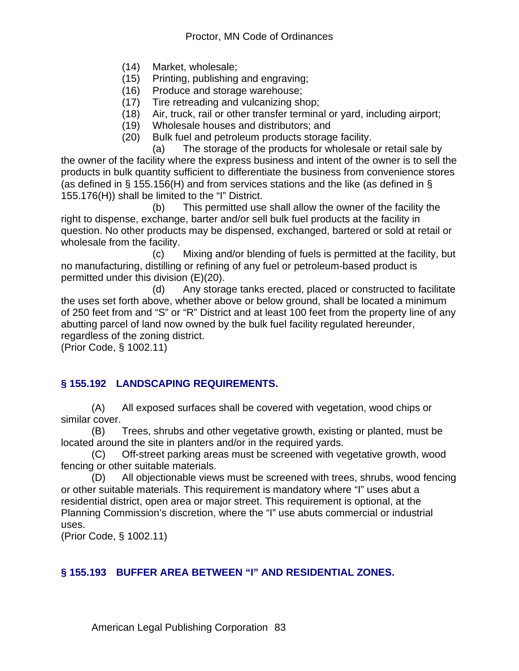- (14) Market, wholesale;
- (15) Printing, publishing and engraving;
- (16) Produce and storage warehouse;
- (17) Tire retreading and vulcanizing shop;
- (18) Air, truck, rail or other transfer terminal or yard, including airport;
- (19) Wholesale houses and distributors; and
- (20) Bulk fuel and petroleum products storage facility.

 (a) The storage of the products for wholesale or retail sale by the owner of the facility where the express business and intent of the owner is to sell the products in bulk quantity sufficient to differentiate the business from convenience stores (as defined in § 155.156(H) and from services stations and the like (as defined in § 155.176(H)) shall be limited to the "I" District.

 (b) This permitted use shall allow the owner of the facility the right to dispense, exchange, barter and/or sell bulk fuel products at the facility in question. No other products may be dispensed, exchanged, bartered or sold at retail or wholesale from the facility.

 (c) Mixing and/or blending of fuels is permitted at the facility, but no manufacturing, distilling or refining of any fuel or petroleum-based product is permitted under this division (E)(20).

 (d) Any storage tanks erected, placed or constructed to facilitate the uses set forth above, whether above or below ground, shall be located a minimum of 250 feet from and "S" or "R" District and at least 100 feet from the property line of any abutting parcel of land now owned by the bulk fuel facility regulated hereunder, regardless of the zoning district.

(Prior Code, § 1002.11)

## **§ 155.192 LANDSCAPING REQUIREMENTS.**

(A) All exposed surfaces shall be covered with vegetation, wood chips or similar cover.

(B) Trees, shrubs and other vegetative growth, existing or planted, must be located around the site in planters and/or in the required yards.

(C) Off-street parking areas must be screened with vegetative growth, wood fencing or other suitable materials.

(D) All objectionable views must be screened with trees, shrubs, wood fencing or other suitable materials. This requirement is mandatory where "I" uses abut a residential district, open area or major street. This requirement is optional, at the Planning Commission's discretion, where the "I" use abuts commercial or industrial uses.

(Prior Code, § 1002.11)

#### **§ 155.193 BUFFER AREA BETWEEN "I" AND RESIDENTIAL ZONES.**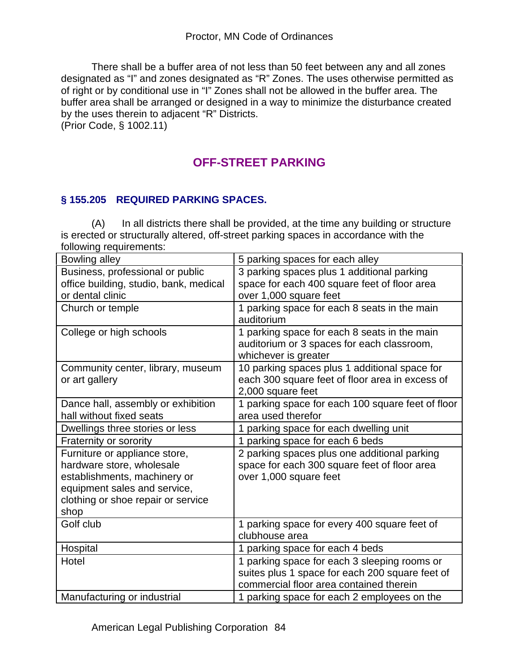There shall be a buffer area of not less than 50 feet between any and all zones designated as "I" and zones designated as "R" Zones. The uses otherwise permitted as of right or by conditional use in "I" Zones shall not be allowed in the buffer area. The buffer area shall be arranged or designed in a way to minimize the disturbance created by the uses therein to adjacent "R" Districts.

(Prior Code, § 1002.11)

# **OFF-STREET PARKING**

## **§ 155.205 REQUIRED PARKING SPACES.**

(A) In all districts there shall be provided, at the time any building or structure is erected or structurally altered, off-street parking spaces in accordance with the following requirements:

| Bowling alley                          | 5 parking spaces for each alley                   |
|----------------------------------------|---------------------------------------------------|
| Business, professional or public       | 3 parking spaces plus 1 additional parking        |
| office building, studio, bank, medical | space for each 400 square feet of floor area      |
| or dental clinic                       | over 1,000 square feet                            |
| Church or temple                       | 1 parking space for each 8 seats in the main      |
|                                        | auditorium                                        |
| College or high schools                | 1 parking space for each 8 seats in the main      |
|                                        | auditorium or 3 spaces for each classroom,        |
|                                        | whichever is greater                              |
| Community center, library, museum      | 10 parking spaces plus 1 additional space for     |
| or art gallery                         | each 300 square feet of floor area in excess of   |
|                                        | 2,000 square feet                                 |
| Dance hall, assembly or exhibition     | 1 parking space for each 100 square feet of floor |
| hall without fixed seats               | area used therefor                                |
| Dwellings three stories or less        | 1 parking space for each dwelling unit            |
| Fraternity or sorority                 | 1 parking space for each 6 beds                   |
| Furniture or appliance store,          | 2 parking spaces plus one additional parking      |
| hardware store, wholesale              | space for each 300 square feet of floor area      |
| establishments, machinery or           | over 1,000 square feet                            |
| equipment sales and service,           |                                                   |
| clothing or shoe repair or service     |                                                   |
| shop                                   |                                                   |
| Golf club                              | 1 parking space for every 400 square feet of      |
|                                        | clubhouse area                                    |
| Hospital                               | 1 parking space for each 4 beds                   |
| Hotel                                  | 1 parking space for each 3 sleeping rooms or      |
|                                        | suites plus 1 space for each 200 square feet of   |
|                                        | commercial floor area contained therein           |
| Manufacturing or industrial            | 1 parking space for each 2 employees on the       |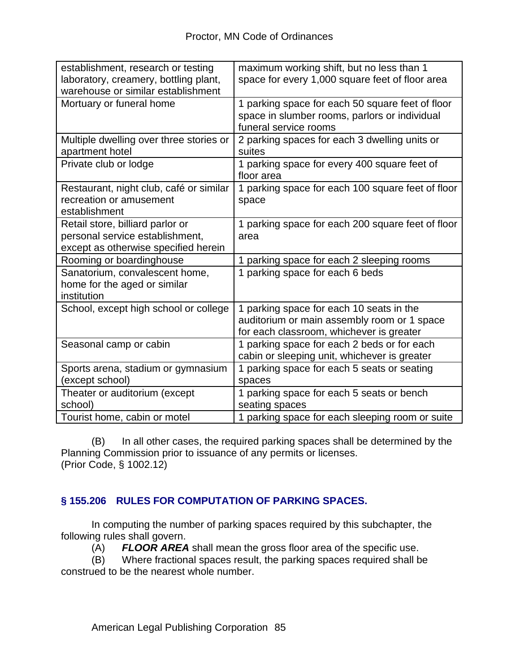| establishment, research or testing<br>laboratory, creamery, bottling plant,<br>warehouse or similar establishment | maximum working shift, but no less than 1<br>space for every 1,000 square feet of floor area                                        |
|-------------------------------------------------------------------------------------------------------------------|-------------------------------------------------------------------------------------------------------------------------------------|
| Mortuary or funeral home                                                                                          | 1 parking space for each 50 square feet of floor<br>space in slumber rooms, parlors or individual<br>funeral service rooms          |
| Multiple dwelling over three stories or<br>apartment hotel                                                        | 2 parking spaces for each 3 dwelling units or<br>suites                                                                             |
| Private club or lodge                                                                                             | 1 parking space for every 400 square feet of<br>floor area                                                                          |
| Restaurant, night club, café or similar<br>recreation or amusement<br>establishment                               | 1 parking space for each 100 square feet of floor<br>space                                                                          |
| Retail store, billiard parlor or<br>personal service establishment,<br>except as otherwise specified herein       | 1 parking space for each 200 square feet of floor<br>area                                                                           |
| Rooming or boardinghouse                                                                                          | parking space for each 2 sleeping rooms                                                                                             |
| Sanatorium, convalescent home,<br>home for the aged or similar<br>institution                                     | 1 parking space for each 6 beds                                                                                                     |
| School, except high school or college                                                                             | 1 parking space for each 10 seats in the<br>auditorium or main assembly room or 1 space<br>for each classroom, whichever is greater |
| Seasonal camp or cabin                                                                                            | 1 parking space for each 2 beds or for each<br>cabin or sleeping unit, whichever is greater                                         |
| Sports arena, stadium or gymnasium<br>(except school)                                                             | 1 parking space for each 5 seats or seating<br>spaces                                                                               |
| Theater or auditorium (except<br>school)                                                                          | 1 parking space for each 5 seats or bench<br>seating spaces                                                                         |
| Tourist home, cabin or motel                                                                                      | 1 parking space for each sleeping room or suite                                                                                     |

(B) In all other cases, the required parking spaces shall be determined by the Planning Commission prior to issuance of any permits or licenses. (Prior Code, § 1002.12)

## **§ 155.206 RULES FOR COMPUTATION OF PARKING SPACES.**

In computing the number of parking spaces required by this subchapter, the following rules shall govern.

(A) **FLOOR AREA** shall mean the gross floor area of the specific use.<br>(B) Where fractional spaces result, the parking spaces required shall b

Where fractional spaces result, the parking spaces required shall be construed to be the nearest whole number.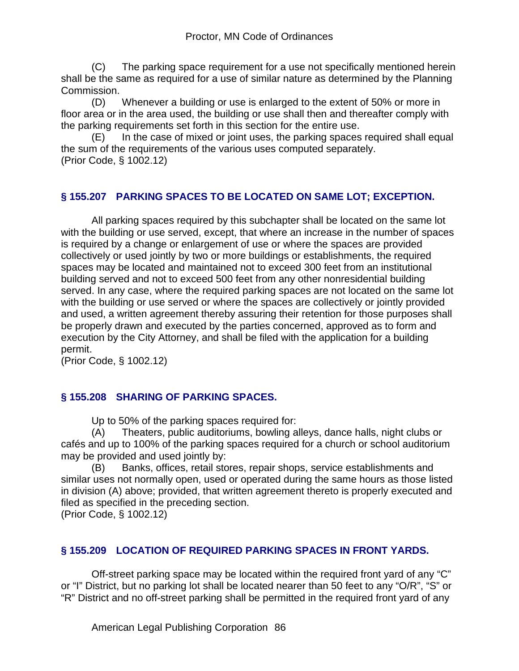(C) The parking space requirement for a use not specifically mentioned herein shall be the same as required for a use of similar nature as determined by the Planning Commission.

(D) Whenever a building or use is enlarged to the extent of 50% or more in floor area or in the area used, the building or use shall then and thereafter comply with the parking requirements set forth in this section for the entire use.

(E) In the case of mixed or joint uses, the parking spaces required shall equal the sum of the requirements of the various uses computed separately. (Prior Code, § 1002.12)

### **§ 155.207 PARKING SPACES TO BE LOCATED ON SAME LOT; EXCEPTION.**

All parking spaces required by this subchapter shall be located on the same lot with the building or use served, except, that where an increase in the number of spaces is required by a change or enlargement of use or where the spaces are provided collectively or used jointly by two or more buildings or establishments, the required spaces may be located and maintained not to exceed 300 feet from an institutional building served and not to exceed 500 feet from any other nonresidential building served. In any case, where the required parking spaces are not located on the same lot with the building or use served or where the spaces are collectively or jointly provided and used, a written agreement thereby assuring their retention for those purposes shall be properly drawn and executed by the parties concerned, approved as to form and execution by the City Attorney, and shall be filed with the application for a building permit.

(Prior Code, § 1002.12)

#### **§ 155.208 SHARING OF PARKING SPACES.**

Up to 50% of the parking spaces required for:

(A) Theaters, public auditoriums, bowling alleys, dance halls, night clubs or cafés and up to 100% of the parking spaces required for a church or school auditorium may be provided and used jointly by:

(B) Banks, offices, retail stores, repair shops, service establishments and similar uses not normally open, used or operated during the same hours as those listed in division (A) above; provided, that written agreement thereto is properly executed and filed as specified in the preceding section.

(Prior Code, § 1002.12)

#### **§ 155.209 LOCATION OF REQUIRED PARKING SPACES IN FRONT YARDS.**

Off-street parking space may be located within the required front yard of any "C" or "I" District, but no parking lot shall be located nearer than 50 feet to any "O/R", "S" or "R" District and no off-street parking shall be permitted in the required front yard of any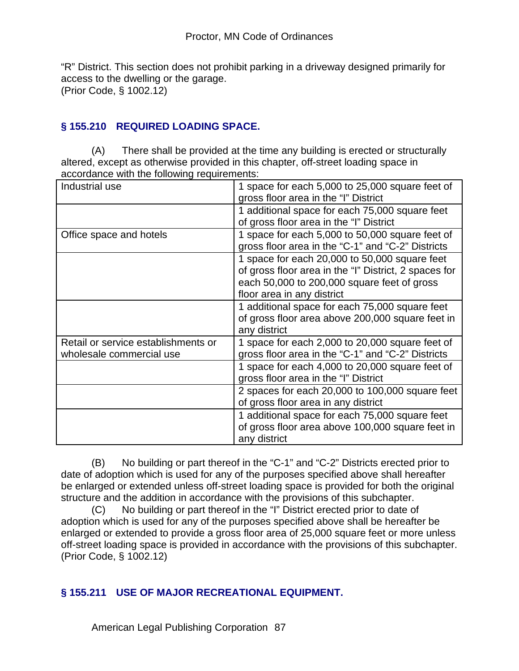"R" District. This section does not prohibit parking in a driveway designed primarily for access to the dwelling or the garage. (Prior Code, § 1002.12)

## **§ 155.210 REQUIRED LOADING SPACE.**

(A) There shall be provided at the time any building is erected or structurally altered, except as otherwise provided in this chapter, off-street loading space in accordance with the following requirements:

| Industrial use                                                  | 1 space for each 5,000 to 25,000 square feet of<br>gross floor area in the "I" District                                                                                             |
|-----------------------------------------------------------------|-------------------------------------------------------------------------------------------------------------------------------------------------------------------------------------|
|                                                                 | 1 additional space for each 75,000 square feet<br>of gross floor area in the "I" District                                                                                           |
| Office space and hotels                                         | 1 space for each 5,000 to 50,000 square feet of<br>gross floor area in the "C-1" and "C-2" Districts                                                                                |
|                                                                 | 1 space for each 20,000 to 50,000 square feet<br>of gross floor area in the "I" District, 2 spaces for<br>each 50,000 to 200,000 square feet of gross<br>floor area in any district |
|                                                                 | 1 additional space for each 75,000 square feet<br>of gross floor area above 200,000 square feet in<br>any district                                                                  |
| Retail or service establishments or<br>wholesale commercial use | 1 space for each 2,000 to 20,000 square feet of<br>gross floor area in the "C-1" and "C-2" Districts                                                                                |
|                                                                 | 1 space for each 4,000 to 20,000 square feet of<br>gross floor area in the "I" District                                                                                             |
|                                                                 | 2 spaces for each 20,000 to 100,000 square feet<br>of gross floor area in any district                                                                                              |
|                                                                 | 1 additional space for each 75,000 square feet<br>of gross floor area above 100,000 square feet in<br>any district                                                                  |

(B) No building or part thereof in the "C-1" and "C-2" Districts erected prior to date of adoption which is used for any of the purposes specified above shall hereafter be enlarged or extended unless off-street loading space is provided for both the original structure and the addition in accordance with the provisions of this subchapter.

(C) No building or part thereof in the "I" District erected prior to date of adoption which is used for any of the purposes specified above shall be hereafter be enlarged or extended to provide a gross floor area of 25,000 square feet or more unless off-street loading space is provided in accordance with the provisions of this subchapter. (Prior Code, § 1002.12)

#### **§ 155.211 USE OF MAJOR RECREATIONAL EQUIPMENT.**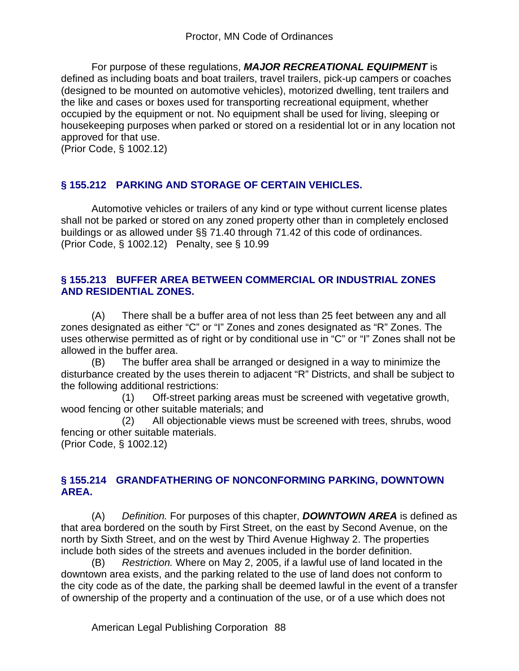For purpose of these regulations, *MAJOR RECREATIONAL EQUIPMENT* is defined as including boats and boat trailers, travel trailers, pick-up campers or coaches (designed to be mounted on automotive vehicles), motorized dwelling, tent trailers and the like and cases or boxes used for transporting recreational equipment, whether occupied by the equipment or not. No equipment shall be used for living, sleeping or housekeeping purposes when parked or stored on a residential lot or in any location not approved for that use.

(Prior Code, § 1002.12)

#### **§ 155.212 PARKING AND STORAGE OF CERTAIN VEHICLES.**

Automotive vehicles or trailers of any kind or type without current license plates shall not be parked or stored on any zoned property other than in completely enclosed buildings or as allowed under §§ 71.40 through 71.42 of this code of ordinances. (Prior Code, § 1002.12) Penalty, see § 10.99

#### **§ 155.213 BUFFER AREA BETWEEN COMMERCIAL OR INDUSTRIAL ZONES AND RESIDENTIAL ZONES.**

(A) There shall be a buffer area of not less than 25 feet between any and all zones designated as either "C" or "I" Zones and zones designated as "R" Zones. The uses otherwise permitted as of right or by conditional use in "C" or "I" Zones shall not be allowed in the buffer area.

(B) The buffer area shall be arranged or designed in a way to minimize the disturbance created by the uses therein to adjacent "R" Districts, and shall be subject to the following additional restrictions:

 (1) Off-street parking areas must be screened with vegetative growth, wood fencing or other suitable materials; and

 (2) All objectionable views must be screened with trees, shrubs, wood fencing or other suitable materials.

(Prior Code, § 1002.12)

#### **§ 155.214 GRANDFATHERING OF NONCONFORMING PARKING, DOWNTOWN AREA.**

(A) *Definition.* For purposes of this chapter, *DOWNTOWN AREA* is defined as that area bordered on the south by First Street, on the east by Second Avenue, on the north by Sixth Street, and on the west by Third Avenue Highway 2. The properties include both sides of the streets and avenues included in the border definition.

(B) *Restriction.* Where on May 2, 2005, if a lawful use of land located in the downtown area exists, and the parking related to the use of land does not conform to the city code as of the date, the parking shall be deemed lawful in the event of a transfer of ownership of the property and a continuation of the use, or of a use which does not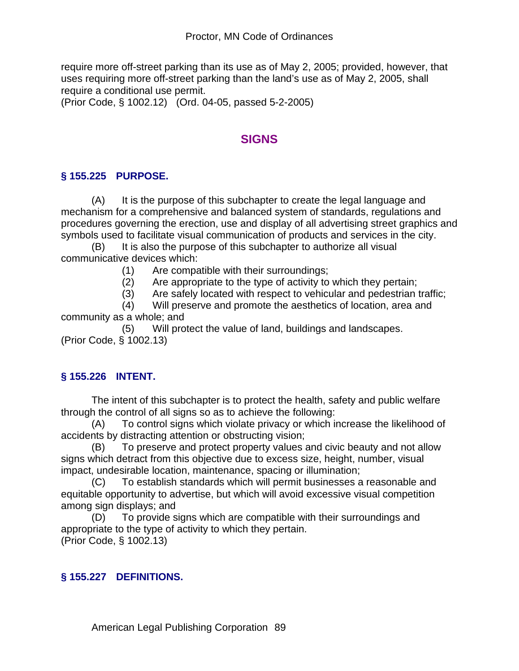require more off-street parking than its use as of May 2, 2005; provided, however, that uses requiring more off-street parking than the land's use as of May 2, 2005, shall require a conditional use permit.

(Prior Code, § 1002.12) (Ord. 04-05, passed 5-2-2005)

# **SIGNS**

### **§ 155.225 PURPOSE.**

(A) It is the purpose of this subchapter to create the legal language and mechanism for a comprehensive and balanced system of standards, regulations and procedures governing the erection, use and display of all advertising street graphics and symbols used to facilitate visual communication of products and services in the city.

(B) It is also the purpose of this subchapter to authorize all visual communicative devices which:

(1) Are compatible with their surroundings;

(2) Are appropriate to the type of activity to which they pertain;

(3) Are safely located with respect to vehicular and pedestrian traffic;

 (4) Will preserve and promote the aesthetics of location, area and community as a whole; and

 (5) Will protect the value of land, buildings and landscapes. (Prior Code, § 1002.13)

## **§ 155.226 INTENT.**

The intent of this subchapter is to protect the health, safety and public welfare through the control of all signs so as to achieve the following:

(A) To control signs which violate privacy or which increase the likelihood of accidents by distracting attention or obstructing vision;

(B) To preserve and protect property values and civic beauty and not allow signs which detract from this objective due to excess size, height, number, visual impact, undesirable location, maintenance, spacing or illumination;

(C) To establish standards which will permit businesses a reasonable and equitable opportunity to advertise, but which will avoid excessive visual competition among sign displays; and

(D) To provide signs which are compatible with their surroundings and appropriate to the type of activity to which they pertain. (Prior Code, § 1002.13)

#### **§ 155.227 DEFINITIONS.**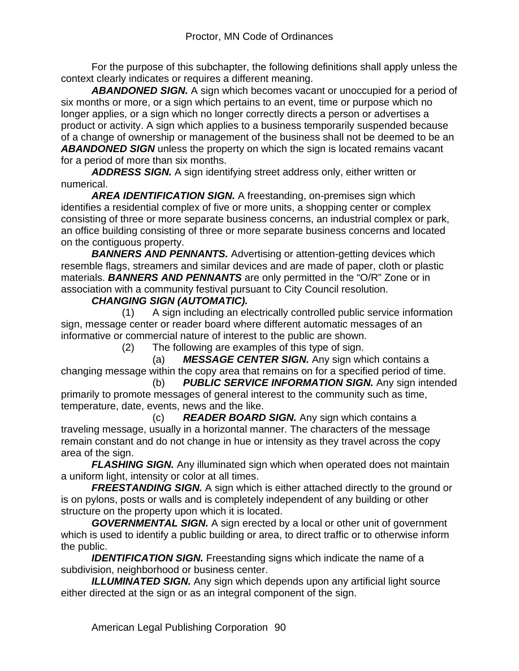For the purpose of this subchapter, the following definitions shall apply unless the context clearly indicates or requires a different meaning.

*ABANDONED SIGN.* A sign which becomes vacant or unoccupied for a period of six months or more, or a sign which pertains to an event, time or purpose which no longer applies, or a sign which no longer correctly directs a person or advertises a product or activity. A sign which applies to a business temporarily suspended because of a change of ownership or management of the business shall not be deemed to be an *ABANDONED SIGN* unless the property on which the sign is located remains vacant for a period of more than six months.

*ADDRESS SIGN.* A sign identifying street address only, either written or numerical.

*AREA IDENTIFICATION SIGN.* A freestanding, on-premises sign which identifies a residential complex of five or more units, a shopping center or complex consisting of three or more separate business concerns, an industrial complex or park, an office building consisting of three or more separate business concerns and located on the contiguous property.

**BANNERS AND PENNANTS.** Advertising or attention-getting devices which resemble flags, streamers and similar devices and are made of paper, cloth or plastic materials. *BANNERS AND PENNANTS* are only permitted in the "O/R" Zone or in association with a community festival pursuant to City Council resolution.

#### *CHANGING SIGN (AUTOMATIC).*

 (1) A sign including an electrically controlled public service information sign, message center or reader board where different automatic messages of an informative or commercial nature of interest to the public are shown.

(2) The following are examples of this type of sign.

 (a) *MESSAGE CENTER SIGN.* Any sign which contains a changing message within the copy area that remains on for a specified period of time.

 (b) *PUBLIC SERVICE INFORMATION SIGN.* Any sign intended primarily to promote messages of general interest to the community such as time, temperature, date, events, news and the like.

 (c) *READER BOARD SIGN.* Any sign which contains a traveling message, usually in a horizontal manner. The characters of the message remain constant and do not change in hue or intensity as they travel across the copy area of the sign.

*FLASHING SIGN.* Any illuminated sign which when operated does not maintain a uniform light, intensity or color at all times.

**FREESTANDING SIGN.** A sign which is either attached directly to the ground or is on pylons, posts or walls and is completely independent of any building or other structure on the property upon which it is located.

*GOVERNMENTAL SIGN.* A sign erected by a local or other unit of government which is used to identify a public building or area, to direct traffic or to otherwise inform the public.

**IDENTIFICATION SIGN.** Freestanding signs which indicate the name of a subdivision, neighborhood or business center.

*ILLUMINATED SIGN.* Any sign which depends upon any artificial light source either directed at the sign or as an integral component of the sign.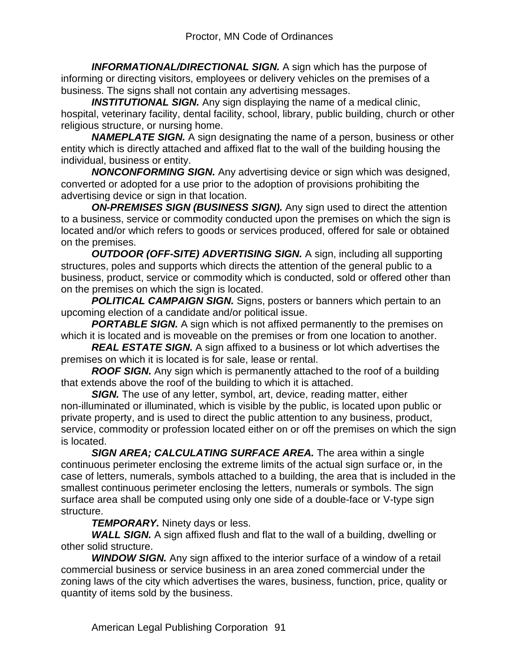**INFORMATIONAL/DIRECTIONAL SIGN.** A sign which has the purpose of informing or directing visitors, employees or delivery vehicles on the premises of a business. The signs shall not contain any advertising messages.

**INSTITUTIONAL SIGN.** Any sign displaying the name of a medical clinic, hospital, veterinary facility, dental facility, school, library, public building, church or other religious structure, or nursing home.

*NAMEPLATE SIGN.* A sign designating the name of a person, business or other entity which is directly attached and affixed flat to the wall of the building housing the individual, business or entity.

*NONCONFORMING SIGN.* Any advertising device or sign which was designed, converted or adopted for a use prior to the adoption of provisions prohibiting the advertising device or sign in that location.

**ON-PREMISES SIGN (BUSINESS SIGN).** Any sign used to direct the attention to a business, service or commodity conducted upon the premises on which the sign is located and/or which refers to goods or services produced, offered for sale or obtained on the premises.

*OUTDOOR (OFF-SITE) ADVERTISING SIGN.* A sign, including all supporting structures, poles and supports which directs the attention of the general public to a business, product, service or commodity which is conducted, sold or offered other than on the premises on which the sign is located.

**POLITICAL CAMPAIGN SIGN.** Signs, posters or banners which pertain to an upcoming election of a candidate and/or political issue.

**PORTABLE SIGN.** A sign which is not affixed permanently to the premises on which it is located and is moveable on the premises or from one location to another.

*REAL ESTATE SIGN.* A sign affixed to a business or lot which advertises the premises on which it is located is for sale, lease or rental.

*ROOF SIGN.* Any sign which is permanently attached to the roof of a building that extends above the roof of the building to which it is attached.

**SIGN.** The use of any letter, symbol, art, device, reading matter, either non-illuminated or illuminated, which is visible by the public, is located upon public or private property, and is used to direct the public attention to any business, product, service, commodity or profession located either on or off the premises on which the sign is located.

*SIGN AREA; CALCULATING SURFACE AREA.* The area within a single continuous perimeter enclosing the extreme limits of the actual sign surface or, in the case of letters, numerals, symbols attached to a building, the area that is included in the smallest continuous perimeter enclosing the letters, numerals or symbols. The sign surface area shall be computed using only one side of a double-face or V-type sign structure.

*TEMPORARY.* Ninety days or less.

*WALL SIGN.* A sign affixed flush and flat to the wall of a building, dwelling or other solid structure.

*WINDOW SIGN.* Any sign affixed to the interior surface of a window of a retail commercial business or service business in an area zoned commercial under the zoning laws of the city which advertises the wares, business, function, price, quality or quantity of items sold by the business.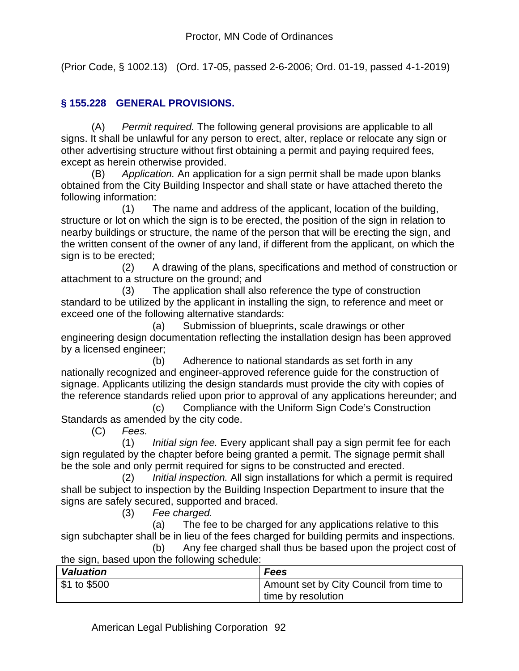(Prior Code, § 1002.13) (Ord. 17-05, passed 2-6-2006; Ord. 01-19, passed 4-1-2019)

## **§ 155.228 GENERAL PROVISIONS.**

(A) *Permit required.* The following general provisions are applicable to all signs. It shall be unlawful for any person to erect, alter, replace or relocate any sign or other advertising structure without first obtaining a permit and paying required fees, except as herein otherwise provided.

(B) *Application.* An application for a sign permit shall be made upon blanks obtained from the City Building Inspector and shall state or have attached thereto the following information:

 (1) The name and address of the applicant, location of the building, structure or lot on which the sign is to be erected, the position of the sign in relation to nearby buildings or structure, the name of the person that will be erecting the sign, and the written consent of the owner of any land, if different from the applicant, on which the sign is to be erected;

 (2) A drawing of the plans, specifications and method of construction or attachment to a structure on the ground; and

 (3) The application shall also reference the type of construction standard to be utilized by the applicant in installing the sign, to reference and meet or exceed one of the following alternative standards:

 (a) Submission of blueprints, scale drawings or other engineering design documentation reflecting the installation design has been approved by a licensed engineer;

 (b) Adherence to national standards as set forth in any nationally recognized and engineer-approved reference guide for the construction of signage. Applicants utilizing the design standards must provide the city with copies of the reference standards relied upon prior to approval of any applications hereunder; and

 (c) Compliance with the Uniform Sign Code's Construction Standards as amended by the city code.

(C) *Fees.*

 (1) *Initial sign fee.* Every applicant shall pay a sign permit fee for each sign regulated by the chapter before being granted a permit. The signage permit shall be the sole and only permit required for signs to be constructed and erected.

 (2) *Initial inspection.* All sign installations for which a permit is required shall be subject to inspection by the Building Inspection Department to insure that the signs are safely secured, supported and braced.

(3) *Fee charged.*

 (a) The fee to be charged for any applications relative to this sign subchapter shall be in lieu of the fees charged for building permits and inspections.

|                                              | Any fee charged shall thus be based upon the project cost of |
|----------------------------------------------|--------------------------------------------------------------|
| the sign, based upon the following schedule: |                                                              |

| <b>Valuation</b> | <b>Fees</b>                               |
|------------------|-------------------------------------------|
| \$1 to \$500     | I Amount set by City Council from time to |
|                  | time by resolution                        |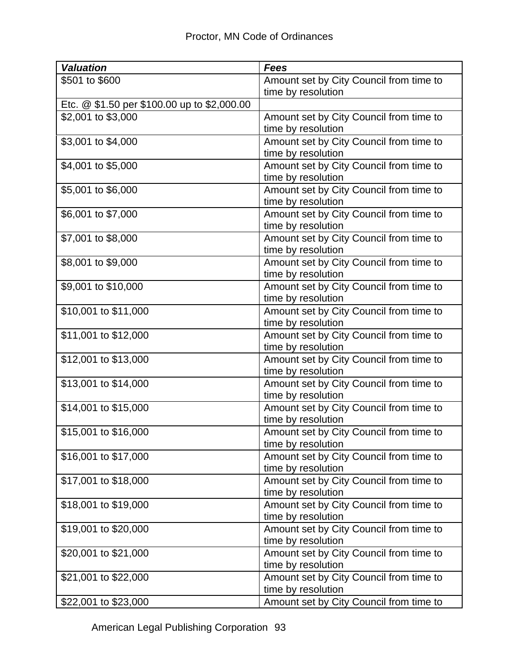| <b>Valuation</b>                            | Fees                                    |
|---------------------------------------------|-----------------------------------------|
| \$501 to \$600                              | Amount set by City Council from time to |
|                                             | time by resolution                      |
| Etc. @ \$1.50 per \$100.00 up to \$2,000.00 |                                         |
| \$2,001 to \$3,000                          | Amount set by City Council from time to |
|                                             | time by resolution                      |
| \$3,001 to \$4,000                          | Amount set by City Council from time to |
|                                             | time by resolution                      |
| \$4,001 to \$5,000                          | Amount set by City Council from time to |
|                                             | time by resolution                      |
| \$5,001 to \$6,000                          | Amount set by City Council from time to |
|                                             | time by resolution                      |
| \$6,001 to \$7,000                          | Amount set by City Council from time to |
|                                             | time by resolution                      |
| \$7,001 to \$8,000                          | Amount set by City Council from time to |
|                                             | time by resolution                      |
| \$8,001 to \$9,000                          | Amount set by City Council from time to |
|                                             | time by resolution                      |
| \$9,001 to \$10,000                         | Amount set by City Council from time to |
|                                             | time by resolution                      |
| \$10,001 to \$11,000                        | Amount set by City Council from time to |
|                                             | time by resolution                      |
| \$11,001 to \$12,000                        | Amount set by City Council from time to |
|                                             | time by resolution                      |
| \$12,001 to \$13,000                        | Amount set by City Council from time to |
|                                             | time by resolution                      |
| \$13,001 to \$14,000                        | Amount set by City Council from time to |
|                                             | time by resolution                      |
| \$14,001 to \$15,000                        | Amount set by City Council from time to |
|                                             | time by resolution                      |
| \$15,001 to \$16,000                        | Amount set by City Council from time to |
|                                             | time by resolution                      |
| \$16,001 to \$17,000                        | Amount set by City Council from time to |
|                                             | time by resolution                      |
| \$17,001 to \$18,000                        | Amount set by City Council from time to |
|                                             | time by resolution                      |
| \$18,001 to \$19,000                        | Amount set by City Council from time to |
|                                             | time by resolution                      |
| \$19,001 to \$20,000                        | Amount set by City Council from time to |
|                                             | time by resolution                      |
| \$20,001 to \$21,000                        | Amount set by City Council from time to |
|                                             | time by resolution                      |
| \$21,001 to \$22,000                        | Amount set by City Council from time to |
|                                             | time by resolution                      |
| \$22,001 to \$23,000                        | Amount set by City Council from time to |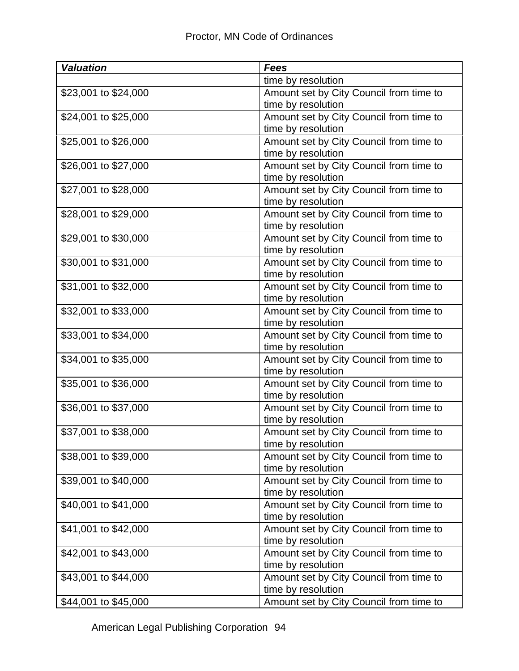| <b>Valuation</b>                                                                                                     | <b>Fees</b>                                                                                                                                                                                                                                                                                                                       |
|----------------------------------------------------------------------------------------------------------------------|-----------------------------------------------------------------------------------------------------------------------------------------------------------------------------------------------------------------------------------------------------------------------------------------------------------------------------------|
|                                                                                                                      | time by resolution                                                                                                                                                                                                                                                                                                                |
| \$23,001 to \$24,000                                                                                                 | Amount set by City Council from time to                                                                                                                                                                                                                                                                                           |
|                                                                                                                      | time by resolution                                                                                                                                                                                                                                                                                                                |
| \$24,001 to \$25,000                                                                                                 | Amount set by City Council from time to                                                                                                                                                                                                                                                                                           |
|                                                                                                                      | time by resolution                                                                                                                                                                                                                                                                                                                |
| \$25,001 to \$26,000                                                                                                 | Amount set by City Council from time to                                                                                                                                                                                                                                                                                           |
|                                                                                                                      | time by resolution                                                                                                                                                                                                                                                                                                                |
| \$26,001 to \$27,000                                                                                                 | Amount set by City Council from time to                                                                                                                                                                                                                                                                                           |
|                                                                                                                      | time by resolution                                                                                                                                                                                                                                                                                                                |
| \$27,001 to \$28,000                                                                                                 | Amount set by City Council from time to                                                                                                                                                                                                                                                                                           |
|                                                                                                                      | time by resolution                                                                                                                                                                                                                                                                                                                |
| \$28,001 to \$29,000                                                                                                 | Amount set by City Council from time to                                                                                                                                                                                                                                                                                           |
|                                                                                                                      | time by resolution                                                                                                                                                                                                                                                                                                                |
| \$29,001 to \$30,000                                                                                                 | Amount set by City Council from time to                                                                                                                                                                                                                                                                                           |
|                                                                                                                      | time by resolution                                                                                                                                                                                                                                                                                                                |
| \$30,001 to \$31,000                                                                                                 | Amount set by City Council from time to                                                                                                                                                                                                                                                                                           |
|                                                                                                                      | time by resolution                                                                                                                                                                                                                                                                                                                |
| \$31,001 to \$32,000                                                                                                 | Amount set by City Council from time to                                                                                                                                                                                                                                                                                           |
|                                                                                                                      | time by resolution                                                                                                                                                                                                                                                                                                                |
| \$32,001 to \$33,000                                                                                                 | Amount set by City Council from time to                                                                                                                                                                                                                                                                                           |
|                                                                                                                      | time by resolution                                                                                                                                                                                                                                                                                                                |
| \$33,001 to \$34,000                                                                                                 | Amount set by City Council from time to                                                                                                                                                                                                                                                                                           |
|                                                                                                                      | time by resolution                                                                                                                                                                                                                                                                                                                |
| \$34,001 to \$35,000                                                                                                 | Amount set by City Council from time to                                                                                                                                                                                                                                                                                           |
|                                                                                                                      | time by resolution                                                                                                                                                                                                                                                                                                                |
| \$35,001 to \$36,000                                                                                                 | Amount set by City Council from time to                                                                                                                                                                                                                                                                                           |
|                                                                                                                      | time by resolution                                                                                                                                                                                                                                                                                                                |
| \$36,001 to \$37,000                                                                                                 | Amount set by City Council from time to                                                                                                                                                                                                                                                                                           |
|                                                                                                                      | time by resolution                                                                                                                                                                                                                                                                                                                |
| \$37,001 to \$38,000                                                                                                 | Amount set by City Council from time to                                                                                                                                                                                                                                                                                           |
|                                                                                                                      | time by resolution                                                                                                                                                                                                                                                                                                                |
| \$38,001 to \$39,000                                                                                                 | Amount set by City Council from time to                                                                                                                                                                                                                                                                                           |
|                                                                                                                      | time by resolution                                                                                                                                                                                                                                                                                                                |
| \$39,001 to \$40,000                                                                                                 | Amount set by City Council from time to                                                                                                                                                                                                                                                                                           |
|                                                                                                                      |                                                                                                                                                                                                                                                                                                                                   |
|                                                                                                                      |                                                                                                                                                                                                                                                                                                                                   |
|                                                                                                                      |                                                                                                                                                                                                                                                                                                                                   |
|                                                                                                                      |                                                                                                                                                                                                                                                                                                                                   |
|                                                                                                                      |                                                                                                                                                                                                                                                                                                                                   |
|                                                                                                                      |                                                                                                                                                                                                                                                                                                                                   |
|                                                                                                                      |                                                                                                                                                                                                                                                                                                                                   |
|                                                                                                                      |                                                                                                                                                                                                                                                                                                                                   |
|                                                                                                                      |                                                                                                                                                                                                                                                                                                                                   |
| \$40,001 to \$41,000<br>\$41,001 to \$42,000<br>\$42,001 to \$43,000<br>\$43,001 to \$44,000<br>\$44,001 to \$45,000 | time by resolution<br>Amount set by City Council from time to<br>time by resolution<br>Amount set by City Council from time to<br>time by resolution<br>Amount set by City Council from time to<br>time by resolution<br>Amount set by City Council from time to<br>time by resolution<br>Amount set by City Council from time to |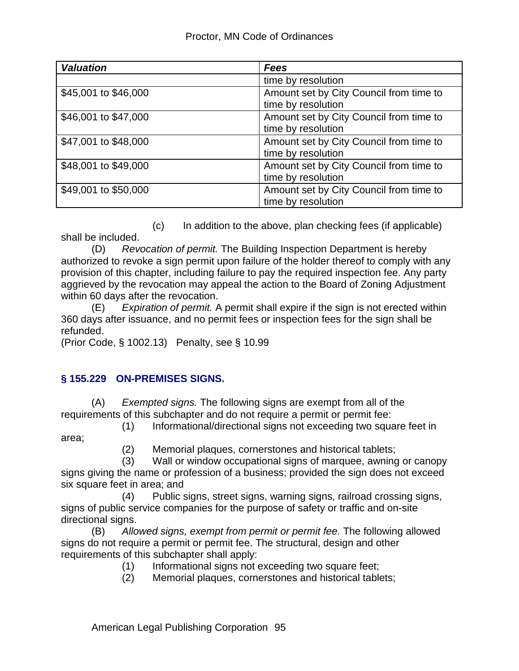| <b>Valuation</b>     | <b>Fees</b>                                                   |
|----------------------|---------------------------------------------------------------|
|                      | time by resolution                                            |
| \$45,001 to \$46,000 | Amount set by City Council from time to<br>time by resolution |
| \$46,001 to \$47,000 | Amount set by City Council from time to<br>time by resolution |
| \$47,001 to \$48,000 | Amount set by City Council from time to<br>time by resolution |
| \$48,001 to \$49,000 | Amount set by City Council from time to<br>time by resolution |
| \$49,001 to \$50,000 | Amount set by City Council from time to<br>time by resolution |

 (c) In addition to the above, plan checking fees (if applicable) shall be included.

(D) *Revocation of permit.* The Building Inspection Department is hereby authorized to revoke a sign permit upon failure of the holder thereof to comply with any provision of this chapter, including failure to pay the required inspection fee. Any party aggrieved by the revocation may appeal the action to the Board of Zoning Adjustment within 60 days after the revocation.

(E) *Expiration of permit.* A permit shall expire if the sign is not erected within 360 days after issuance, and no permit fees or inspection fees for the sign shall be refunded.

(Prior Code, § 1002.13) Penalty, see § 10.99

## **§ 155.229 ON-PREMISES SIGNS.**

(A) *Exempted signs.* The following signs are exempt from all of the requirements of this subchapter and do not require a permit or permit fee:

 (1) Informational/directional signs not exceeding two square feet in area;

(2) Memorial plaques, cornerstones and historical tablets;

 (3) Wall or window occupational signs of marquee, awning or canopy signs giving the name or profession of a business; provided the sign does not exceed six square feet in area; and

 (4) Public signs, street signs, warning signs, railroad crossing signs, signs of public service companies for the purpose of safety or traffic and on-site directional signs.

(B) *Allowed signs, exempt from permit or permit fee.* The following allowed signs do not require a permit or permit fee. The structural, design and other requirements of this subchapter shall apply:

- (1) Informational signs not exceeding two square feet;
- (2) Memorial plaques, cornerstones and historical tablets;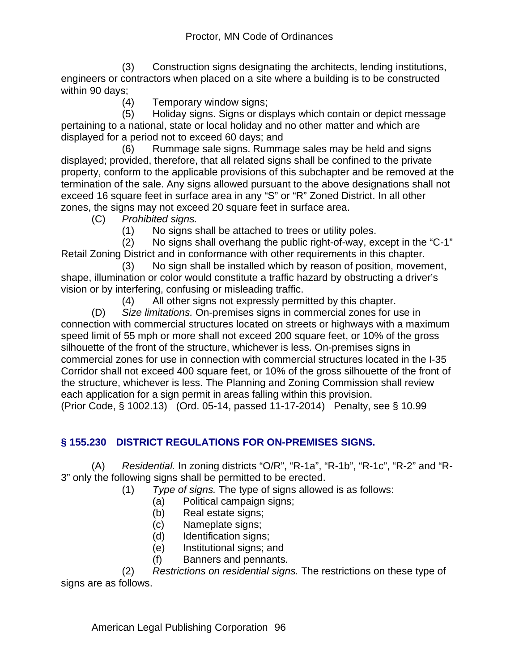(3) Construction signs designating the architects, lending institutions, engineers or contractors when placed on a site where a building is to be constructed within 90 days;

(4) Temporary window signs;

 (5) Holiday signs. Signs or displays which contain or depict message pertaining to a national, state or local holiday and no other matter and which are displayed for a period not to exceed 60 days; and

 (6) Rummage sale signs. Rummage sales may be held and signs displayed; provided, therefore, that all related signs shall be confined to the private property, conform to the applicable provisions of this subchapter and be removed at the termination of the sale. Any signs allowed pursuant to the above designations shall not exceed 16 square feet in surface area in any "S" or "R" Zoned District. In all other zones, the signs may not exceed 20 square feet in surface area.

(C) *Prohibited signs.*

(1) No signs shall be attached to trees or utility poles.

 (2) No signs shall overhang the public right-of-way, except in the "C-1" Retail Zoning District and in conformance with other requirements in this chapter.

 (3) No sign shall be installed which by reason of position, movement, shape, illumination or color would constitute a traffic hazard by obstructing a driver's vision or by interfering, confusing or misleading traffic.

(4) All other signs not expressly permitted by this chapter.

(D) *Size limitations.* On-premises signs in commercial zones for use in connection with commercial structures located on streets or highways with a maximum speed limit of 55 mph or more shall not exceed 200 square feet, or 10% of the gross silhouette of the front of the structure, whichever is less. On-premises signs in commercial zones for use in connection with commercial structures located in the I-35 Corridor shall not exceed 400 square feet, or 10% of the gross silhouette of the front of the structure, whichever is less. The Planning and Zoning Commission shall review each application for a sign permit in areas falling within this provision.

(Prior Code, § 1002.13) (Ord. 05-14, passed 11-17-2014) Penalty, see § 10.99

## **§ 155.230 DISTRICT REGULATIONS FOR ON-PREMISES SIGNS.**

(A) *Residential.* In zoning districts "O/R", "R-1a", "R-1b", "R-1c", "R-2" and "R-3" only the following signs shall be permitted to be erected.

(1) *Type of signs.* The type of signs allowed is as follows:

- (a) Political campaign signs;
- (b) Real estate signs;
- (c) Nameplate signs;
- (d) Identification signs;
- (e) Institutional signs; and
- (f) Banners and pennants.

 (2) *Restrictions on residential signs.* The restrictions on these type of signs are as follows.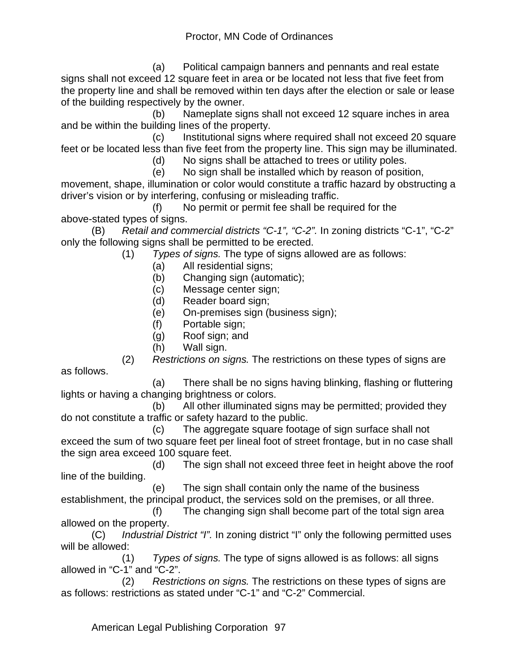(a) Political campaign banners and pennants and real estate signs shall not exceed 12 square feet in area or be located not less that five feet from the property line and shall be removed within ten days after the election or sale or lease of the building respectively by the owner.

 (b) Nameplate signs shall not exceed 12 square inches in area and be within the building lines of the property.

 (c) Institutional signs where required shall not exceed 20 square feet or be located less than five feet from the property line. This sign may be illuminated.

(d) No signs shall be attached to trees or utility poles.

(e) No sign shall be installed which by reason of position,

movement, shape, illumination or color would constitute a traffic hazard by obstructing a driver's vision or by interfering, confusing or misleading traffic.

 (f) No permit or permit fee shall be required for the above-stated types of signs.

(B) *Retail and commercial districts "C-1", "C-2".* In zoning districts "C-1", "C-2" only the following signs shall be permitted to be erected.

(1) *Types of signs.* The type of signs allowed are as follows:

- (a) All residential signs;
- (b) Changing sign (automatic);
- (c) Message center sign;
- (d) Reader board sign;
- (e) On-premises sign (business sign);
- (f) Portable sign;
- (g) Roof sign; and
- (h) Wall sign.

 (2) *Restrictions on signs.* The restrictions on these types of signs are as follows.

 (a) There shall be no signs having blinking, flashing or fluttering lights or having a changing brightness or colors.

 (b) All other illuminated signs may be permitted; provided they do not constitute a traffic or safety hazard to the public.

 (c) The aggregate square footage of sign surface shall not exceed the sum of two square feet per lineal foot of street frontage, but in no case shall the sign area exceed 100 square feet.

 (d) The sign shall not exceed three feet in height above the roof line of the building.

 (e) The sign shall contain only the name of the business establishment, the principal product, the services sold on the premises, or all three.

 (f) The changing sign shall become part of the total sign area allowed on the property.

(C) *Industrial District "I".* In zoning district "I" only the following permitted uses will be allowed:

 (1) *Types of signs.* The type of signs allowed is as follows: all signs allowed in "C-1" and "C-2".

 (2) *Restrictions on signs.* The restrictions on these types of signs are as follows: restrictions as stated under "C-1" and "C-2" Commercial.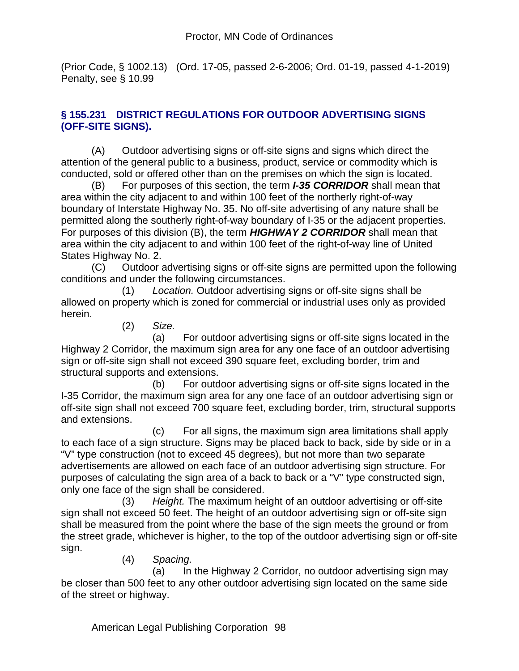(Prior Code, § 1002.13) (Ord. 17-05, passed 2-6-2006; Ord. 01-19, passed 4-1-2019) Penalty, see § 10.99

### **§ 155.231 DISTRICT REGULATIONS FOR OUTDOOR ADVERTISING SIGNS (OFF-SITE SIGNS).**

(A) Outdoor advertising signs or off-site signs and signs which direct the attention of the general public to a business, product, service or commodity which is conducted, sold or offered other than on the premises on which the sign is located.

(B) For purposes of this section, the term *I-35 CORRIDOR* shall mean that area within the city adjacent to and within 100 feet of the northerly right-of-way boundary of Interstate Highway No. 35. No off-site advertising of any nature shall be permitted along the southerly right-of-way boundary of I-35 or the adjacent properties. For purposes of this division (B), the term *HIGHWAY 2 CORRIDOR* shall mean that area within the city adjacent to and within 100 feet of the right-of-way line of United States Highway No. 2.

(C) Outdoor advertising signs or off-site signs are permitted upon the following conditions and under the following circumstances.

 (1) *Location.* Outdoor advertising signs or off-site signs shall be allowed on property which is zoned for commercial or industrial uses only as provided herein.

(2) *Size.*

 (a) For outdoor advertising signs or off-site signs located in the Highway 2 Corridor, the maximum sign area for any one face of an outdoor advertising sign or off-site sign shall not exceed 390 square feet, excluding border, trim and structural supports and extensions.

 (b) For outdoor advertising signs or off-site signs located in the I-35 Corridor, the maximum sign area for any one face of an outdoor advertising sign or off-site sign shall not exceed 700 square feet, excluding border, trim, structural supports and extensions.

 (c) For all signs, the maximum sign area limitations shall apply to each face of a sign structure. Signs may be placed back to back, side by side or in a "V" type construction (not to exceed 45 degrees), but not more than two separate advertisements are allowed on each face of an outdoor advertising sign structure. For purposes of calculating the sign area of a back to back or a "V" type constructed sign, only one face of the sign shall be considered.

 (3) *Height.* The maximum height of an outdoor advertising or off-site sign shall not exceed 50 feet. The height of an outdoor advertising sign or off-site sign shall be measured from the point where the base of the sign meets the ground or from the street grade, whichever is higher, to the top of the outdoor advertising sign or off-site sign.

(4) *Spacing.*

 (a) In the Highway 2 Corridor, no outdoor advertising sign may be closer than 500 feet to any other outdoor advertising sign located on the same side of the street or highway.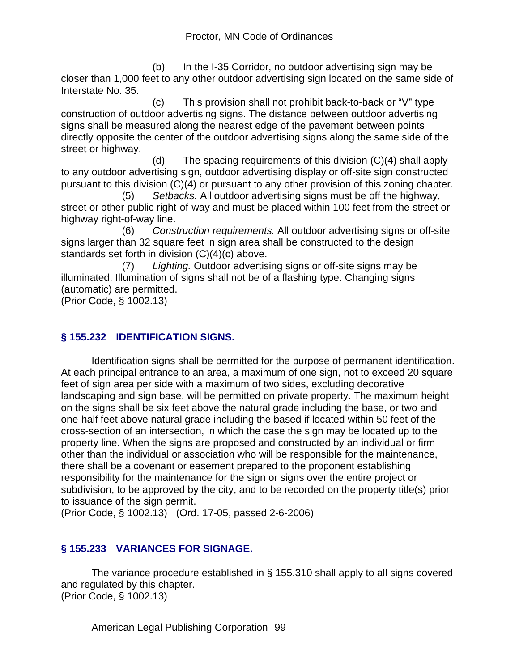(b) In the I-35 Corridor, no outdoor advertising sign may be closer than 1,000 feet to any other outdoor advertising sign located on the same side of Interstate No. 35.

 (c) This provision shall not prohibit back-to-back or "V" type construction of outdoor advertising signs. The distance between outdoor advertising signs shall be measured along the nearest edge of the pavement between points directly opposite the center of the outdoor advertising signs along the same side of the street or highway.

 (d) The spacing requirements of this division (C)(4) shall apply to any outdoor advertising sign, outdoor advertising display or off-site sign constructed pursuant to this division (C)(4) or pursuant to any other provision of this zoning chapter.

 (5) *Setbacks.* All outdoor advertising signs must be off the highway, street or other public right-of-way and must be placed within 100 feet from the street or highway right-of-way line.

 (6) *Construction requirements.* All outdoor advertising signs or off-site signs larger than 32 square feet in sign area shall be constructed to the design standards set forth in division (C)(4)(c) above.

 (7) *Lighting.* Outdoor advertising signs or off-site signs may be illuminated. Illumination of signs shall not be of a flashing type. Changing signs (automatic) are permitted.

(Prior Code, § 1002.13)

## **§ 155.232 IDENTIFICATION SIGNS.**

Identification signs shall be permitted for the purpose of permanent identification. At each principal entrance to an area, a maximum of one sign, not to exceed 20 square feet of sign area per side with a maximum of two sides, excluding decorative landscaping and sign base, will be permitted on private property. The maximum height on the signs shall be six feet above the natural grade including the base, or two and one-half feet above natural grade including the based if located within 50 feet of the cross-section of an intersection, in which the case the sign may be located up to the property line. When the signs are proposed and constructed by an individual or firm other than the individual or association who will be responsible for the maintenance, there shall be a covenant or easement prepared to the proponent establishing responsibility for the maintenance for the sign or signs over the entire project or subdivision, to be approved by the city, and to be recorded on the property title(s) prior to issuance of the sign permit.

(Prior Code, § 1002.13) (Ord. 17-05, passed 2-6-2006)

## **§ 155.233 VARIANCES FOR SIGNAGE.**

The variance procedure established in § 155.310 shall apply to all signs covered and regulated by this chapter. (Prior Code, § 1002.13)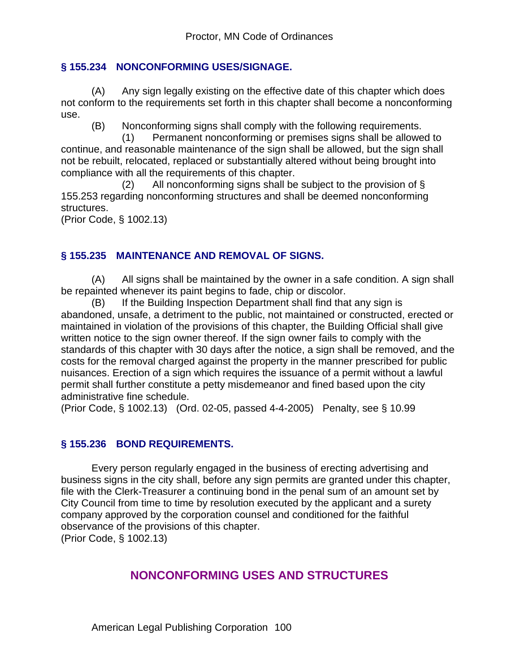#### **§ 155.234 NONCONFORMING USES/SIGNAGE.**

(A) Any sign legally existing on the effective date of this chapter which does not conform to the requirements set forth in this chapter shall become a nonconforming use.

(B) Nonconforming signs shall comply with the following requirements.

 (1) Permanent nonconforming or premises signs shall be allowed to continue, and reasonable maintenance of the sign shall be allowed, but the sign shall not be rebuilt, relocated, replaced or substantially altered without being brought into compliance with all the requirements of this chapter.

(2) All nonconforming signs shall be subject to the provision of  $\S$ 155.253 regarding nonconforming structures and shall be deemed nonconforming structures.

(Prior Code, § 1002.13)

#### **§ 155.235 MAINTENANCE AND REMOVAL OF SIGNS.**

(A) All signs shall be maintained by the owner in a safe condition. A sign shall be repainted whenever its paint begins to fade, chip or discolor.

(B) If the Building Inspection Department shall find that any sign is abandoned, unsafe, a detriment to the public, not maintained or constructed, erected or maintained in violation of the provisions of this chapter, the Building Official shall give written notice to the sign owner thereof. If the sign owner fails to comply with the standards of this chapter with 30 days after the notice, a sign shall be removed, and the costs for the removal charged against the property in the manner prescribed for public nuisances. Erection of a sign which requires the issuance of a permit without a lawful permit shall further constitute a petty misdemeanor and fined based upon the city administrative fine schedule.

(Prior Code, § 1002.13) (Ord. 02-05, passed 4-4-2005) Penalty, see § 10.99

#### **§ 155.236 BOND REQUIREMENTS.**

Every person regularly engaged in the business of erecting advertising and business signs in the city shall, before any sign permits are granted under this chapter, file with the Clerk-Treasurer a continuing bond in the penal sum of an amount set by City Council from time to time by resolution executed by the applicant and a surety company approved by the corporation counsel and conditioned for the faithful observance of the provisions of this chapter.

(Prior Code, § 1002.13)

## **NONCONFORMING USES AND STRUCTURES**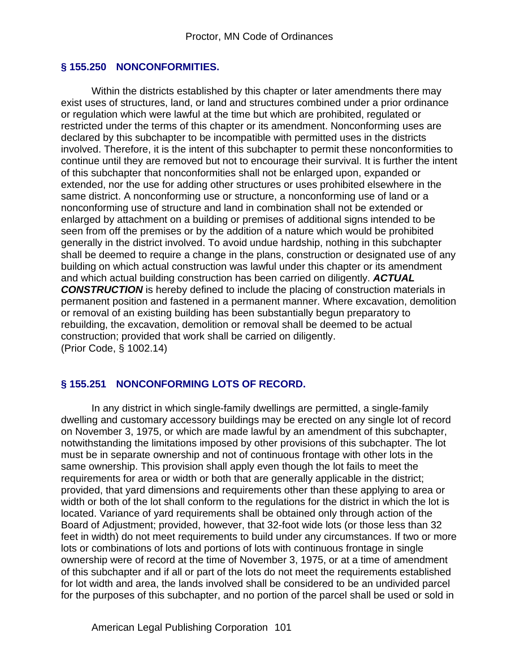#### **§ 155.250 NONCONFORMITIES.**

Within the districts established by this chapter or later amendments there may exist uses of structures, land, or land and structures combined under a prior ordinance or regulation which were lawful at the time but which are prohibited, regulated or restricted under the terms of this chapter or its amendment. Nonconforming uses are declared by this subchapter to be incompatible with permitted uses in the districts involved. Therefore, it is the intent of this subchapter to permit these nonconformities to continue until they are removed but not to encourage their survival. It is further the intent of this subchapter that nonconformities shall not be enlarged upon, expanded or extended, nor the use for adding other structures or uses prohibited elsewhere in the same district. A nonconforming use or structure, a nonconforming use of land or a nonconforming use of structure and land in combination shall not be extended or enlarged by attachment on a building or premises of additional signs intended to be seen from off the premises or by the addition of a nature which would be prohibited generally in the district involved. To avoid undue hardship, nothing in this subchapter shall be deemed to require a change in the plans, construction or designated use of any building on which actual construction was lawful under this chapter or its amendment and which actual building construction has been carried on diligently. *ACTUAL CONSTRUCTION* is hereby defined to include the placing of construction materials in permanent position and fastened in a permanent manner. Where excavation, demolition or removal of an existing building has been substantially begun preparatory to rebuilding, the excavation, demolition or removal shall be deemed to be actual construction; provided that work shall be carried on diligently. (Prior Code, § 1002.14)

#### **§ 155.251 NONCONFORMING LOTS OF RECORD.**

In any district in which single-family dwellings are permitted, a single-family dwelling and customary accessory buildings may be erected on any single lot of record on November 3, 1975, or which are made lawful by an amendment of this subchapter, notwithstanding the limitations imposed by other provisions of this subchapter. The lot must be in separate ownership and not of continuous frontage with other lots in the same ownership. This provision shall apply even though the lot fails to meet the requirements for area or width or both that are generally applicable in the district; provided, that yard dimensions and requirements other than these applying to area or width or both of the lot shall conform to the regulations for the district in which the lot is located. Variance of yard requirements shall be obtained only through action of the Board of Adjustment; provided, however, that 32-foot wide lots (or those less than 32 feet in width) do not meet requirements to build under any circumstances. If two or more lots or combinations of lots and portions of lots with continuous frontage in single ownership were of record at the time of November 3, 1975, or at a time of amendment of this subchapter and if all or part of the lots do not meet the requirements established for lot width and area, the lands involved shall be considered to be an undivided parcel for the purposes of this subchapter, and no portion of the parcel shall be used or sold in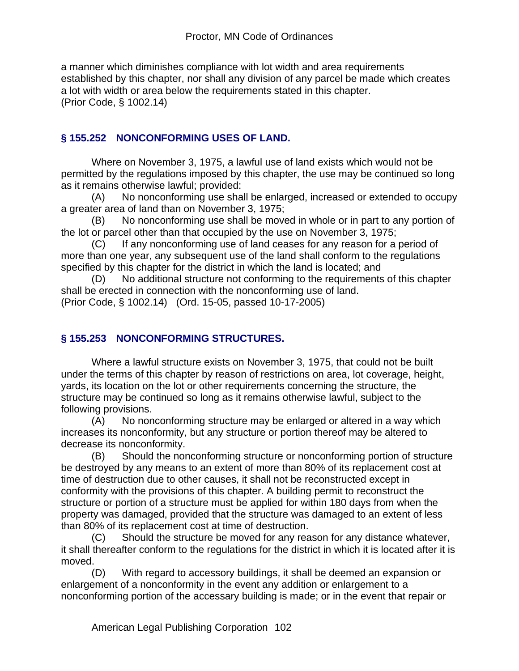a manner which diminishes compliance with lot width and area requirements established by this chapter, nor shall any division of any parcel be made which creates a lot with width or area below the requirements stated in this chapter. (Prior Code, § 1002.14)

#### **§ 155.252 NONCONFORMING USES OF LAND.**

Where on November 3, 1975, a lawful use of land exists which would not be permitted by the regulations imposed by this chapter, the use may be continued so long as it remains otherwise lawful; provided:

(A) No nonconforming use shall be enlarged, increased or extended to occupy a greater area of land than on November 3, 1975;

(B) No nonconforming use shall be moved in whole or in part to any portion of the lot or parcel other than that occupied by the use on November 3, 1975;

(C) If any nonconforming use of land ceases for any reason for a period of more than one year, any subsequent use of the land shall conform to the regulations specified by this chapter for the district in which the land is located; and

(D) No additional structure not conforming to the requirements of this chapter shall be erected in connection with the nonconforming use of land. (Prior Code, § 1002.14) (Ord. 15-05, passed 10-17-2005)

## **§ 155.253 NONCONFORMING STRUCTURES.**

Where a lawful structure exists on November 3, 1975, that could not be built under the terms of this chapter by reason of restrictions on area, lot coverage, height, yards, its location on the lot or other requirements concerning the structure, the structure may be continued so long as it remains otherwise lawful, subject to the following provisions.

(A) No nonconforming structure may be enlarged or altered in a way which increases its nonconformity, but any structure or portion thereof may be altered to decrease its nonconformity.

(B) Should the nonconforming structure or nonconforming portion of structure be destroyed by any means to an extent of more than 80% of its replacement cost at time of destruction due to other causes, it shall not be reconstructed except in conformity with the provisions of this chapter. A building permit to reconstruct the structure or portion of a structure must be applied for within 180 days from when the property was damaged, provided that the structure was damaged to an extent of less than 80% of its replacement cost at time of destruction.

(C) Should the structure be moved for any reason for any distance whatever, it shall thereafter conform to the regulations for the district in which it is located after it is moved.

(D) With regard to accessory buildings, it shall be deemed an expansion or enlargement of a nonconformity in the event any addition or enlargement to a nonconforming portion of the accessary building is made; or in the event that repair or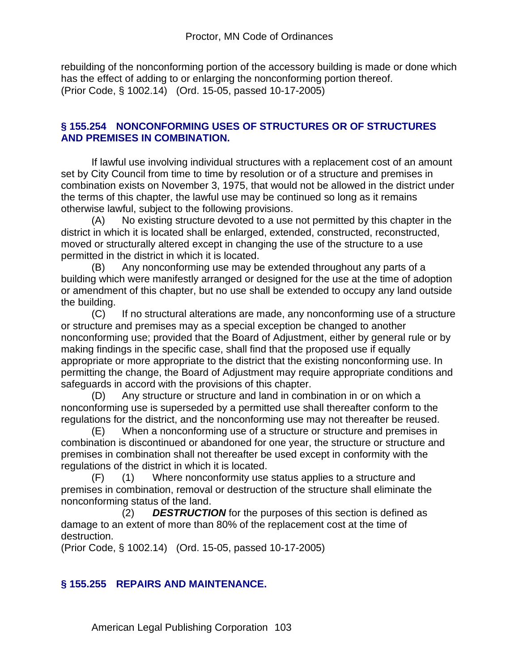rebuilding of the nonconforming portion of the accessory building is made or done which has the effect of adding to or enlarging the nonconforming portion thereof. (Prior Code, § 1002.14) (Ord. 15-05, passed 10-17-2005)

#### **§ 155.254 NONCONFORMING USES OF STRUCTURES OR OF STRUCTURES AND PREMISES IN COMBINATION.**

If lawful use involving individual structures with a replacement cost of an amount set by City Council from time to time by resolution or of a structure and premises in combination exists on November 3, 1975, that would not be allowed in the district under the terms of this chapter, the lawful use may be continued so long as it remains otherwise lawful, subject to the following provisions.

(A) No existing structure devoted to a use not permitted by this chapter in the district in which it is located shall be enlarged, extended, constructed, reconstructed, moved or structurally altered except in changing the use of the structure to a use permitted in the district in which it is located.

(B) Any nonconforming use may be extended throughout any parts of a building which were manifestly arranged or designed for the use at the time of adoption or amendment of this chapter, but no use shall be extended to occupy any land outside the building.

(C) If no structural alterations are made, any nonconforming use of a structure or structure and premises may as a special exception be changed to another nonconforming use; provided that the Board of Adjustment, either by general rule or by making findings in the specific case, shall find that the proposed use if equally appropriate or more appropriate to the district that the existing nonconforming use. In permitting the change, the Board of Adjustment may require appropriate conditions and safeguards in accord with the provisions of this chapter.

(D) Any structure or structure and land in combination in or on which a nonconforming use is superseded by a permitted use shall thereafter conform to the regulations for the district, and the nonconforming use may not thereafter be reused.

(E) When a nonconforming use of a structure or structure and premises in combination is discontinued or abandoned for one year, the structure or structure and premises in combination shall not thereafter be used except in conformity with the regulations of the district in which it is located.

(F) (1) Where nonconformity use status applies to a structure and premises in combination, removal or destruction of the structure shall eliminate the nonconforming status of the land.

 (2) *DESTRUCTION* for the purposes of this section is defined as damage to an extent of more than 80% of the replacement cost at the time of destruction.

(Prior Code, § 1002.14) (Ord. 15-05, passed 10-17-2005)

#### **§ 155.255 REPAIRS AND MAINTENANCE.**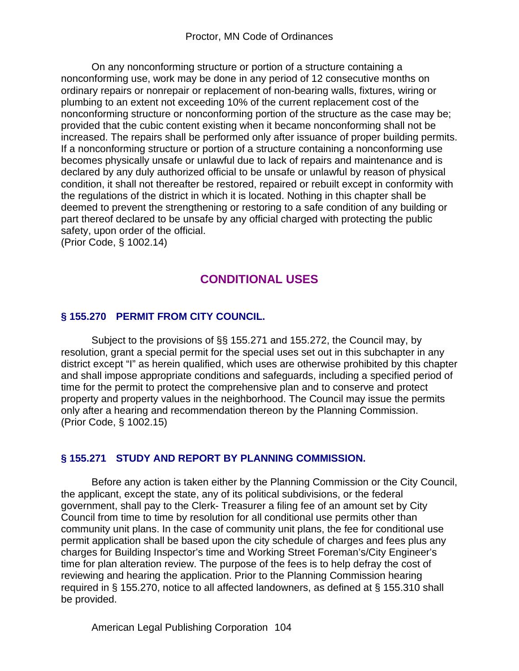On any nonconforming structure or portion of a structure containing a nonconforming use, work may be done in any period of 12 consecutive months on ordinary repairs or nonrepair or replacement of non-bearing walls, fixtures, wiring or plumbing to an extent not exceeding 10% of the current replacement cost of the nonconforming structure or nonconforming portion of the structure as the case may be; provided that the cubic content existing when it became nonconforming shall not be increased. The repairs shall be performed only after issuance of proper building permits. If a nonconforming structure or portion of a structure containing a nonconforming use becomes physically unsafe or unlawful due to lack of repairs and maintenance and is declared by any duly authorized official to be unsafe or unlawful by reason of physical condition, it shall not thereafter be restored, repaired or rebuilt except in conformity with the regulations of the district in which it is located. Nothing in this chapter shall be deemed to prevent the strengthening or restoring to a safe condition of any building or part thereof declared to be unsafe by any official charged with protecting the public safety, upon order of the official.

(Prior Code, § 1002.14)

# **CONDITIONAL USES**

### **§ 155.270 PERMIT FROM CITY COUNCIL.**

Subject to the provisions of §§ 155.271 and 155.272, the Council may, by resolution, grant a special permit for the special uses set out in this subchapter in any district except "I" as herein qualified, which uses are otherwise prohibited by this chapter and shall impose appropriate conditions and safeguards, including a specified period of time for the permit to protect the comprehensive plan and to conserve and protect property and property values in the neighborhood. The Council may issue the permits only after a hearing and recommendation thereon by the Planning Commission. (Prior Code, § 1002.15)

#### **§ 155.271 STUDY AND REPORT BY PLANNING COMMISSION.**

Before any action is taken either by the Planning Commission or the City Council, the applicant, except the state, any of its political subdivisions, or the federal government, shall pay to the Clerk- Treasurer a filing fee of an amount set by City Council from time to time by resolution for all conditional use permits other than community unit plans. In the case of community unit plans, the fee for conditional use permit application shall be based upon the city schedule of charges and fees plus any charges for Building Inspector's time and Working Street Foreman's/City Engineer's time for plan alteration review. The purpose of the fees is to help defray the cost of reviewing and hearing the application. Prior to the Planning Commission hearing required in § 155.270, notice to all affected landowners, as defined at § 155.310 shall be provided.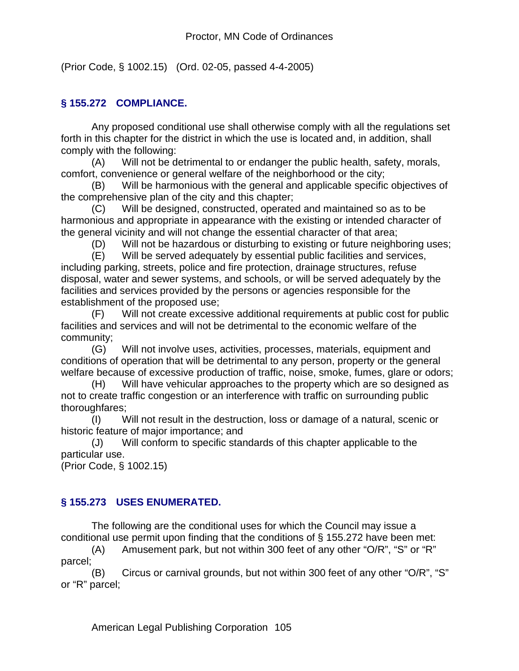(Prior Code, § 1002.15) (Ord. 02-05, passed 4-4-2005)

#### **§ 155.272 COMPLIANCE.**

Any proposed conditional use shall otherwise comply with all the regulations set forth in this chapter for the district in which the use is located and, in addition, shall comply with the following:

(A) Will not be detrimental to or endanger the public health, safety, morals, comfort, convenience or general welfare of the neighborhood or the city;

(B) Will be harmonious with the general and applicable specific objectives of the comprehensive plan of the city and this chapter;

(C) Will be designed, constructed, operated and maintained so as to be harmonious and appropriate in appearance with the existing or intended character of the general vicinity and will not change the essential character of that area;

(D) Will not be hazardous or disturbing to existing or future neighboring uses;

(E) Will be served adequately by essential public facilities and services, including parking, streets, police and fire protection, drainage structures, refuse disposal, water and sewer systems, and schools, or will be served adequately by the facilities and services provided by the persons or agencies responsible for the establishment of the proposed use;

(F) Will not create excessive additional requirements at public cost for public facilities and services and will not be detrimental to the economic welfare of the community;

(G) Will not involve uses, activities, processes, materials, equipment and conditions of operation that will be detrimental to any person, property or the general welfare because of excessive production of traffic, noise, smoke, fumes, glare or odors;

(H) Will have vehicular approaches to the property which are so designed as not to create traffic congestion or an interference with traffic on surrounding public thoroughfares;

(I) Will not result in the destruction, loss or damage of a natural, scenic or historic feature of major importance; and

(J) Will conform to specific standards of this chapter applicable to the particular use.

(Prior Code, § 1002.15)

## **§ 155.273 USES ENUMERATED.**

The following are the conditional uses for which the Council may issue a conditional use permit upon finding that the conditions of § 155.272 have been met:

(A) Amusement park, but not within 300 feet of any other "O/R", "S" or "R" parcel;

(B) Circus or carnival grounds, but not within 300 feet of any other "O/R", "S" or "R" parcel;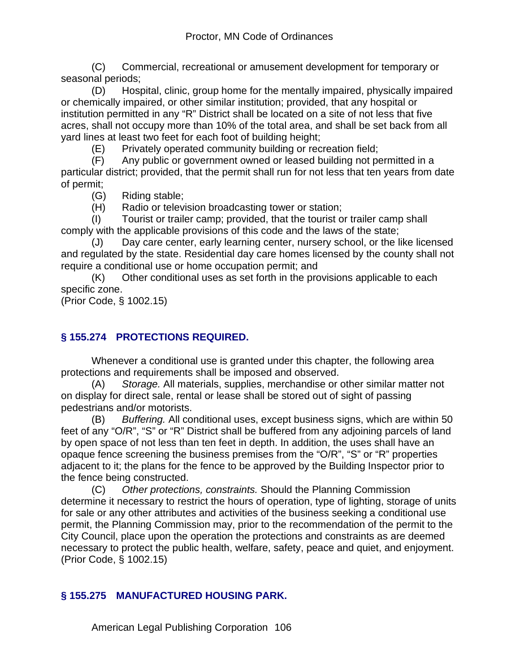(C) Commercial, recreational or amusement development for temporary or seasonal periods;

(D) Hospital, clinic, group home for the mentally impaired, physically impaired or chemically impaired, or other similar institution; provided, that any hospital or institution permitted in any "R" District shall be located on a site of not less that five acres, shall not occupy more than 10% of the total area, and shall be set back from all yard lines at least two feet for each foot of building height;

(E) Privately operated community building or recreation field;

(F) Any public or government owned or leased building not permitted in a particular district; provided, that the permit shall run for not less that ten years from date of permit;

(G) Riding stable;

(H) Radio or television broadcasting tower or station;

(I) Tourist or trailer camp; provided, that the tourist or trailer camp shall comply with the applicable provisions of this code and the laws of the state;

(J) Day care center, early learning center, nursery school, or the like licensed and regulated by the state. Residential day care homes licensed by the county shall not require a conditional use or home occupation permit; and

(K) Other conditional uses as set forth in the provisions applicable to each specific zone.

(Prior Code, § 1002.15)

## **§ 155.274 PROTECTIONS REQUIRED.**

Whenever a conditional use is granted under this chapter, the following area protections and requirements shall be imposed and observed.

(A) *Storage.* All materials, supplies, merchandise or other similar matter not on display for direct sale, rental or lease shall be stored out of sight of passing pedestrians and/or motorists.

(B) *Buffering.* All conditional uses, except business signs, which are within 50 feet of any "O/R", "S" or "R" District shall be buffered from any adjoining parcels of land by open space of not less than ten feet in depth. In addition, the uses shall have an opaque fence screening the business premises from the "O/R", "S" or "R" properties adjacent to it; the plans for the fence to be approved by the Building Inspector prior to the fence being constructed.

(C) *Other protections, constraints.* Should the Planning Commission determine it necessary to restrict the hours of operation, type of lighting, storage of units for sale or any other attributes and activities of the business seeking a conditional use permit, the Planning Commission may, prior to the recommendation of the permit to the City Council, place upon the operation the protections and constraints as are deemed necessary to protect the public health, welfare, safety, peace and quiet, and enjoyment. (Prior Code, § 1002.15)

## **§ 155.275 MANUFACTURED HOUSING PARK.**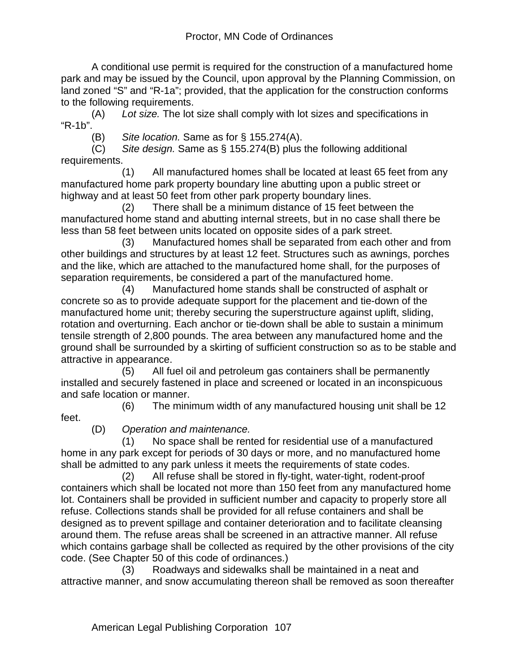A conditional use permit is required for the construction of a manufactured home park and may be issued by the Council, upon approval by the Planning Commission, on land zoned "S" and "R-1a"; provided, that the application for the construction conforms to the following requirements.

(A) *Lot size.* The lot size shall comply with lot sizes and specifications in "R-1b".

(B) *Site location.* Same as for § 155.274(A).

(C) *Site design.* Same as § 155.274(B) plus the following additional requirements.

 (1) All manufactured homes shall be located at least 65 feet from any manufactured home park property boundary line abutting upon a public street or highway and at least 50 feet from other park property boundary lines.

 (2) There shall be a minimum distance of 15 feet between the manufactured home stand and abutting internal streets, but in no case shall there be less than 58 feet between units located on opposite sides of a park street.

 (3) Manufactured homes shall be separated from each other and from other buildings and structures by at least 12 feet. Structures such as awnings, porches and the like, which are attached to the manufactured home shall, for the purposes of separation requirements, be considered a part of the manufactured home.

 (4) Manufactured home stands shall be constructed of asphalt or concrete so as to provide adequate support for the placement and tie-down of the manufactured home unit; thereby securing the superstructure against uplift, sliding, rotation and overturning. Each anchor or tie-down shall be able to sustain a minimum tensile strength of 2,800 pounds. The area between any manufactured home and the ground shall be surrounded by a skirting of sufficient construction so as to be stable and attractive in appearance.

 (5) All fuel oil and petroleum gas containers shall be permanently installed and securely fastened in place and screened or located in an inconspicuous and safe location or manner.

 (6) The minimum width of any manufactured housing unit shall be 12 feet.

(D) *Operation and maintenance.*

 (1) No space shall be rented for residential use of a manufactured home in any park except for periods of 30 days or more, and no manufactured home shall be admitted to any park unless it meets the requirements of state codes.

 (2) All refuse shall be stored in fly-tight, water-tight, rodent-proof containers which shall be located not more than 150 feet from any manufactured home lot. Containers shall be provided in sufficient number and capacity to properly store all refuse. Collections stands shall be provided for all refuse containers and shall be designed as to prevent spillage and container deterioration and to facilitate cleansing around them. The refuse areas shall be screened in an attractive manner. All refuse which contains garbage shall be collected as required by the other provisions of the city code. (See Chapter 50 of this code of ordinances.)

 (3) Roadways and sidewalks shall be maintained in a neat and attractive manner, and snow accumulating thereon shall be removed as soon thereafter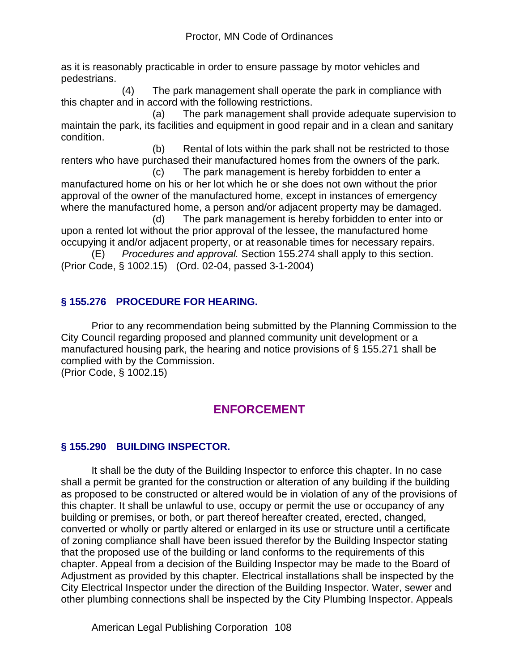as it is reasonably practicable in order to ensure passage by motor vehicles and pedestrians.

 (4) The park management shall operate the park in compliance with this chapter and in accord with the following restrictions.

 (a) The park management shall provide adequate supervision to maintain the park, its facilities and equipment in good repair and in a clean and sanitary condition.

 (b) Rental of lots within the park shall not be restricted to those renters who have purchased their manufactured homes from the owners of the park.

 (c) The park management is hereby forbidden to enter a manufactured home on his or her lot which he or she does not own without the prior approval of the owner of the manufactured home, except in instances of emergency where the manufactured home, a person and/or adjacent property may be damaged.

 (d) The park management is hereby forbidden to enter into or upon a rented lot without the prior approval of the lessee, the manufactured home occupying it and/or adjacent property, or at reasonable times for necessary repairs.

(E) *Procedures and approval.* Section 155.274 shall apply to this section. (Prior Code, § 1002.15) (Ord. 02-04, passed 3-1-2004)

## **§ 155.276 PROCEDURE FOR HEARING.**

Prior to any recommendation being submitted by the Planning Commission to the City Council regarding proposed and planned community unit development or a manufactured housing park, the hearing and notice provisions of § 155.271 shall be complied with by the Commission.

(Prior Code, § 1002.15)

# **ENFORCEMENT**

## **§ 155.290 BUILDING INSPECTOR.**

It shall be the duty of the Building Inspector to enforce this chapter. In no case shall a permit be granted for the construction or alteration of any building if the building as proposed to be constructed or altered would be in violation of any of the provisions of this chapter. It shall be unlawful to use, occupy or permit the use or occupancy of any building or premises, or both, or part thereof hereafter created, erected, changed, converted or wholly or partly altered or enlarged in its use or structure until a certificate of zoning compliance shall have been issued therefor by the Building Inspector stating that the proposed use of the building or land conforms to the requirements of this chapter. Appeal from a decision of the Building Inspector may be made to the Board of Adjustment as provided by this chapter. Electrical installations shall be inspected by the City Electrical Inspector under the direction of the Building Inspector. Water, sewer and other plumbing connections shall be inspected by the City Plumbing Inspector. Appeals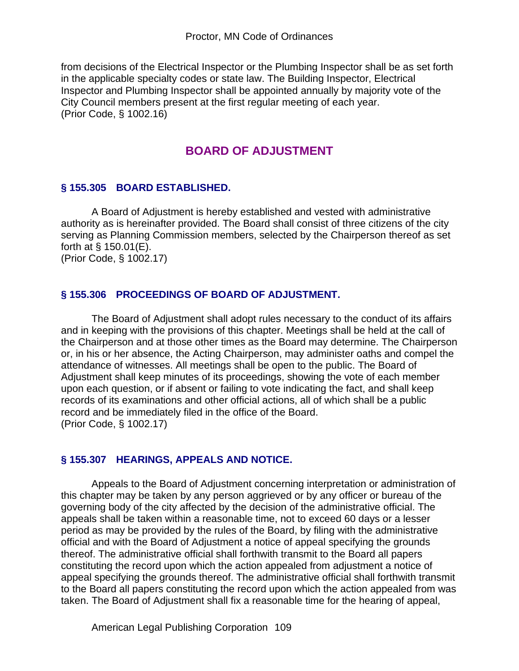from decisions of the Electrical Inspector or the Plumbing Inspector shall be as set forth in the applicable specialty codes or state law. The Building Inspector, Electrical Inspector and Plumbing Inspector shall be appointed annually by majority vote of the City Council members present at the first regular meeting of each year. (Prior Code, § 1002.16)

# **BOARD OF ADJUSTMENT**

### **§ 155.305 BOARD ESTABLISHED.**

A Board of Adjustment is hereby established and vested with administrative authority as is hereinafter provided. The Board shall consist of three citizens of the city serving as Planning Commission members, selected by the Chairperson thereof as set forth at § 150.01(E).

(Prior Code, § 1002.17)

### **§ 155.306 PROCEEDINGS OF BOARD OF ADJUSTMENT.**

The Board of Adjustment shall adopt rules necessary to the conduct of its affairs and in keeping with the provisions of this chapter. Meetings shall be held at the call of the Chairperson and at those other times as the Board may determine. The Chairperson or, in his or her absence, the Acting Chairperson, may administer oaths and compel the attendance of witnesses. All meetings shall be open to the public. The Board of Adjustment shall keep minutes of its proceedings, showing the vote of each member upon each question, or if absent or failing to vote indicating the fact, and shall keep records of its examinations and other official actions, all of which shall be a public record and be immediately filed in the office of the Board. (Prior Code, § 1002.17)

#### **§ 155.307 HEARINGS, APPEALS AND NOTICE.**

Appeals to the Board of Adjustment concerning interpretation or administration of this chapter may be taken by any person aggrieved or by any officer or bureau of the governing body of the city affected by the decision of the administrative official. The appeals shall be taken within a reasonable time, not to exceed 60 days or a lesser period as may be provided by the rules of the Board, by filing with the administrative official and with the Board of Adjustment a notice of appeal specifying the grounds thereof. The administrative official shall forthwith transmit to the Board all papers constituting the record upon which the action appealed from adjustment a notice of appeal specifying the grounds thereof. The administrative official shall forthwith transmit to the Board all papers constituting the record upon which the action appealed from was taken. The Board of Adjustment shall fix a reasonable time for the hearing of appeal,

American Legal Publishing Corporation 109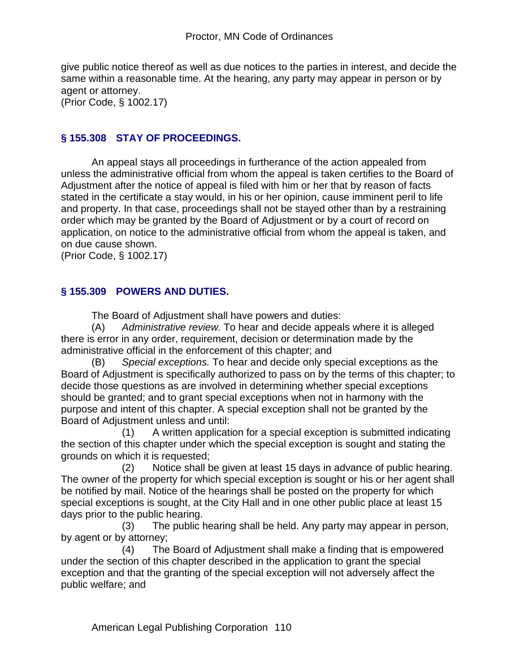give public notice thereof as well as due notices to the parties in interest, and decide the same within a reasonable time. At the hearing, any party may appear in person or by agent or attorney.

(Prior Code, § 1002.17)

#### **§ 155.308 STAY OF PROCEEDINGS.**

An appeal stays all proceedings in furtherance of the action appealed from unless the administrative official from whom the appeal is taken certifies to the Board of Adjustment after the notice of appeal is filed with him or her that by reason of facts stated in the certificate a stay would, in his or her opinion, cause imminent peril to life and property. In that case, proceedings shall not be stayed other than by a restraining order which may be granted by the Board of Adjustment or by a court of record on application, on notice to the administrative official from whom the appeal is taken, and on due cause shown.

(Prior Code, § 1002.17)

#### **§ 155.309 POWERS AND DUTIES.**

The Board of Adjustment shall have powers and duties:

(A) *Administrative review.* To hear and decide appeals where it is alleged there is error in any order, requirement, decision or determination made by the administrative official in the enforcement of this chapter; and

(B) *Special exceptions.* To hear and decide only special exceptions as the Board of Adjustment is specifically authorized to pass on by the terms of this chapter; to decide those questions as are involved in determining whether special exceptions should be granted; and to grant special exceptions when not in harmony with the purpose and intent of this chapter. A special exception shall not be granted by the Board of Adjustment unless and until:

 (1) A written application for a special exception is submitted indicating the section of this chapter under which the special exception is sought and stating the grounds on which it is requested;

 (2) Notice shall be given at least 15 days in advance of public hearing. The owner of the property for which special exception is sought or his or her agent shall be notified by mail. Notice of the hearings shall be posted on the property for which special exceptions is sought, at the City Hall and in one other public place at least 15 days prior to the public hearing.

 (3) The public hearing shall be held. Any party may appear in person, by agent or by attorney;

 (4) The Board of Adjustment shall make a finding that is empowered under the section of this chapter described in the application to grant the special exception and that the granting of the special exception will not adversely affect the public welfare; and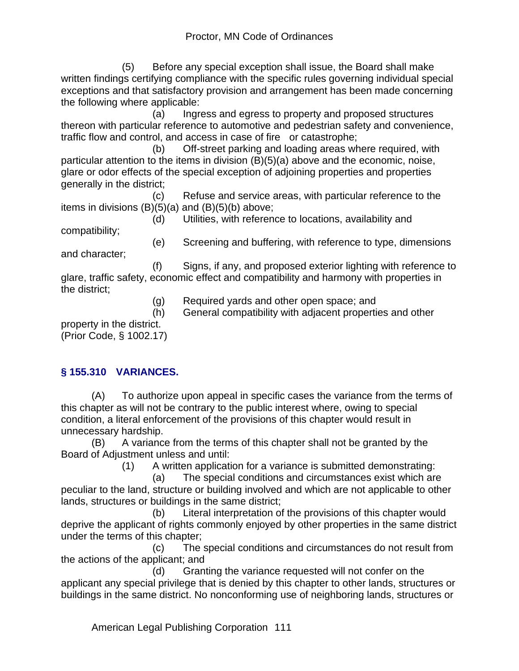(5) Before any special exception shall issue, the Board shall make written findings certifying compliance with the specific rules governing individual special exceptions and that satisfactory provision and arrangement has been made concerning the following where applicable:

 (a) Ingress and egress to property and proposed structures thereon with particular reference to automotive and pedestrian safety and convenience, traffic flow and control, and access in case of fire or catastrophe;

 (b) Off-street parking and loading areas where required, with particular attention to the items in division (B)(5)(a) above and the economic, noise, glare or odor effects of the special exception of adjoining properties and properties generally in the district;

 (c) Refuse and service areas, with particular reference to the items in divisions  $(B)(5)(a)$  and  $(B)(5)(b)$  above;

 (d) Utilities, with reference to locations, availability and compatibility;

(e) Screening and buffering, with reference to type, dimensions

and character;

 (f) Signs, if any, and proposed exterior lighting with reference to glare, traffic safety, economic effect and compatibility and harmony with properties in the district;

- (g) Required yards and other open space; and
- (h) General compatibility with adjacent properties and other

property in the district. (Prior Code, § 1002.17)

## **§ 155.310 VARIANCES.**

(A) To authorize upon appeal in specific cases the variance from the terms of this chapter as will not be contrary to the public interest where, owing to special condition, a literal enforcement of the provisions of this chapter would result in unnecessary hardship.

(B) A variance from the terms of this chapter shall not be granted by the Board of Adjustment unless and until:

(1) A written application for a variance is submitted demonstrating:

 (a) The special conditions and circumstances exist which are peculiar to the land, structure or building involved and which are not applicable to other lands, structures or buildings in the same district;

 (b) Literal interpretation of the provisions of this chapter would deprive the applicant of rights commonly enjoyed by other properties in the same district under the terms of this chapter;

 (c) The special conditions and circumstances do not result from the actions of the applicant; and

 (d) Granting the variance requested will not confer on the applicant any special privilege that is denied by this chapter to other lands, structures or buildings in the same district. No nonconforming use of neighboring lands, structures or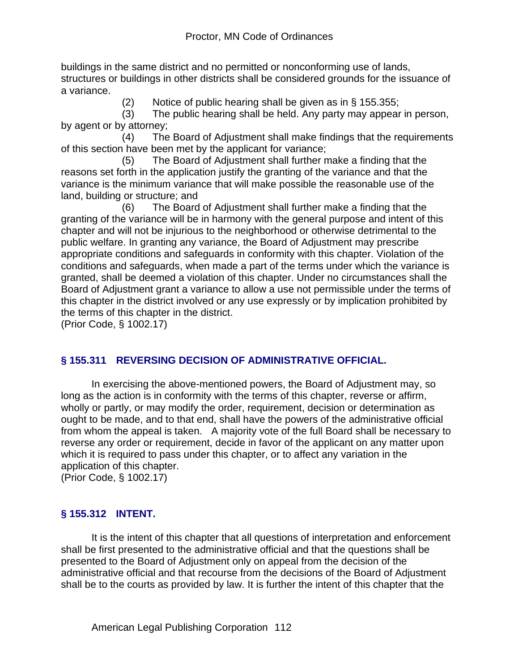buildings in the same district and no permitted or nonconforming use of lands, structures or buildings in other districts shall be considered grounds for the issuance of a variance.

(2) Notice of public hearing shall be given as in § 155.355;

 (3) The public hearing shall be held. Any party may appear in person, by agent or by attorney;

 (4) The Board of Adjustment shall make findings that the requirements of this section have been met by the applicant for variance;

 (5) The Board of Adjustment shall further make a finding that the reasons set forth in the application justify the granting of the variance and that the variance is the minimum variance that will make possible the reasonable use of the land, building or structure; and

 (6) The Board of Adjustment shall further make a finding that the granting of the variance will be in harmony with the general purpose and intent of this chapter and will not be injurious to the neighborhood or otherwise detrimental to the public welfare. In granting any variance, the Board of Adjustment may prescribe appropriate conditions and safeguards in conformity with this chapter. Violation of the conditions and safeguards, when made a part of the terms under which the variance is granted, shall be deemed a violation of this chapter. Under no circumstances shall the Board of Adjustment grant a variance to allow a use not permissible under the terms of this chapter in the district involved or any use expressly or by implication prohibited by the terms of this chapter in the district.

(Prior Code, § 1002.17)

## **§ 155.311 REVERSING DECISION OF ADMINISTRATIVE OFFICIAL.**

In exercising the above-mentioned powers, the Board of Adjustment may, so long as the action is in conformity with the terms of this chapter, reverse or affirm, wholly or partly, or may modify the order, requirement, decision or determination as ought to be made, and to that end, shall have the powers of the administrative official from whom the appeal is taken. A majority vote of the full Board shall be necessary to reverse any order or requirement, decide in favor of the applicant on any matter upon which it is required to pass under this chapter, or to affect any variation in the application of this chapter.

(Prior Code, § 1002.17)

## **§ 155.312 INTENT.**

It is the intent of this chapter that all questions of interpretation and enforcement shall be first presented to the administrative official and that the questions shall be presented to the Board of Adjustment only on appeal from the decision of the administrative official and that recourse from the decisions of the Board of Adjustment shall be to the courts as provided by law. It is further the intent of this chapter that the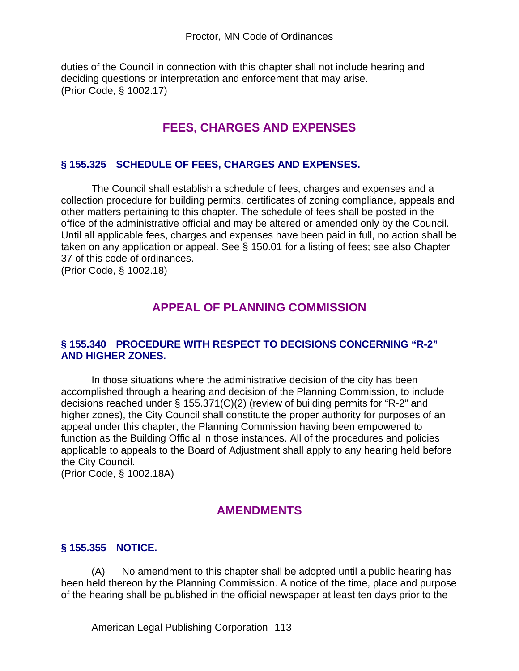duties of the Council in connection with this chapter shall not include hearing and deciding questions or interpretation and enforcement that may arise. (Prior Code, § 1002.17)

# **FEES, CHARGES AND EXPENSES**

#### **§ 155.325 SCHEDULE OF FEES, CHARGES AND EXPENSES.**

The Council shall establish a schedule of fees, charges and expenses and a collection procedure for building permits, certificates of zoning compliance, appeals and other matters pertaining to this chapter. The schedule of fees shall be posted in the office of the administrative official and may be altered or amended only by the Council. Until all applicable fees, charges and expenses have been paid in full, no action shall be taken on any application or appeal. See § 150.01 for a listing of fees; see also Chapter 37 of this code of ordinances.

(Prior Code, § 1002.18)

## **APPEAL OF PLANNING COMMISSION**

#### **§ 155.340 PROCEDURE WITH RESPECT TO DECISIONS CONCERNING "R-2" AND HIGHER ZONES.**

In those situations where the administrative decision of the city has been accomplished through a hearing and decision of the Planning Commission, to include decisions reached under § 155.371(C)(2) (review of building permits for "R-2" and higher zones), the City Council shall constitute the proper authority for purposes of an appeal under this chapter, the Planning Commission having been empowered to function as the Building Official in those instances. All of the procedures and policies applicable to appeals to the Board of Adjustment shall apply to any hearing held before the City Council.

(Prior Code, § 1002.18A)

## **AMENDMENTS**

#### **§ 155.355 NOTICE.**

(A) No amendment to this chapter shall be adopted until a public hearing has been held thereon by the Planning Commission. A notice of the time, place and purpose of the hearing shall be published in the official newspaper at least ten days prior to the

American Legal Publishing Corporation 113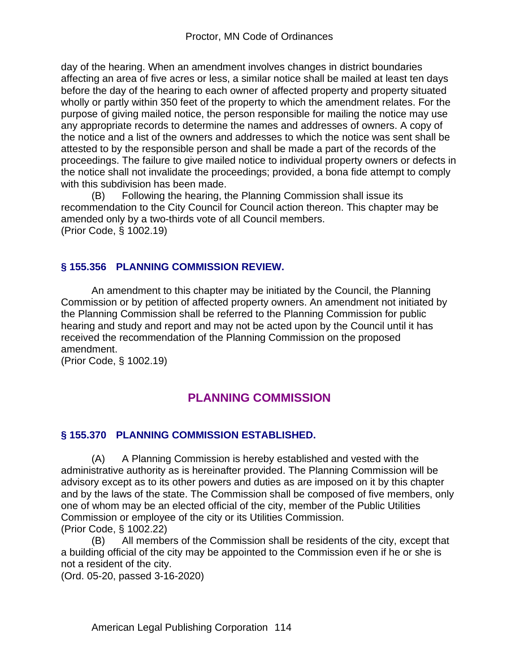day of the hearing. When an amendment involves changes in district boundaries affecting an area of five acres or less, a similar notice shall be mailed at least ten days before the day of the hearing to each owner of affected property and property situated wholly or partly within 350 feet of the property to which the amendment relates. For the purpose of giving mailed notice, the person responsible for mailing the notice may use any appropriate records to determine the names and addresses of owners. A copy of the notice and a list of the owners and addresses to which the notice was sent shall be attested to by the responsible person and shall be made a part of the records of the proceedings. The failure to give mailed notice to individual property owners or defects in the notice shall not invalidate the proceedings; provided, a bona fide attempt to comply with this subdivision has been made.

(B) Following the hearing, the Planning Commission shall issue its recommendation to the City Council for Council action thereon. This chapter may be amended only by a two-thirds vote of all Council members. (Prior Code, § 1002.19)

## **§ 155.356 PLANNING COMMISSION REVIEW.**

An amendment to this chapter may be initiated by the Council, the Planning Commission or by petition of affected property owners. An amendment not initiated by the Planning Commission shall be referred to the Planning Commission for public hearing and study and report and may not be acted upon by the Council until it has received the recommendation of the Planning Commission on the proposed amendment.

(Prior Code, § 1002.19)

# **PLANNING COMMISSION**

## **§ 155.370 PLANNING COMMISSION ESTABLISHED.**

(A) A Planning Commission is hereby established and vested with the administrative authority as is hereinafter provided. The Planning Commission will be advisory except as to its other powers and duties as are imposed on it by this chapter and by the laws of the state. The Commission shall be composed of five members, only one of whom may be an elected official of the city, member of the Public Utilities Commission or employee of the city or its Utilities Commission. (Prior Code, § 1002.22)

(B) All members of the Commission shall be residents of the city, except that a building official of the city may be appointed to the Commission even if he or she is not a resident of the city.

(Ord. 05-20, passed 3-16-2020)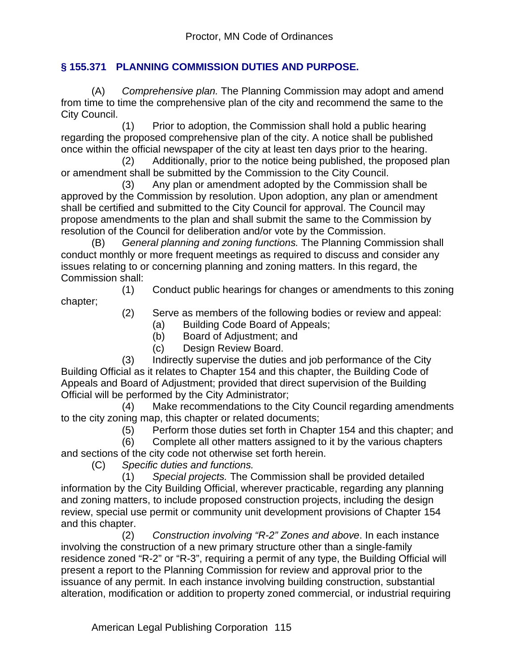### **§ 155.371 PLANNING COMMISSION DUTIES AND PURPOSE.**

(A) *Comprehensive plan.* The Planning Commission may adopt and amend from time to time the comprehensive plan of the city and recommend the same to the City Council.

 (1) Prior to adoption, the Commission shall hold a public hearing regarding the proposed comprehensive plan of the city. A notice shall be published once within the official newspaper of the city at least ten days prior to the hearing.

 (2) Additionally, prior to the notice being published, the proposed plan or amendment shall be submitted by the Commission to the City Council.

 (3) Any plan or amendment adopted by the Commission shall be approved by the Commission by resolution. Upon adoption, any plan or amendment shall be certified and submitted to the City Council for approval. The Council may propose amendments to the plan and shall submit the same to the Commission by resolution of the Council for deliberation and/or vote by the Commission.

(B) *General planning and zoning functions.* The Planning Commission shall conduct monthly or more frequent meetings as required to discuss and consider any issues relating to or concerning planning and zoning matters. In this regard, the Commission shall:

 (1) Conduct public hearings for changes or amendments to this zoning chapter;

- 
- (2) Serve as members of the following bodies or review and appeal:
	- (a) Building Code Board of Appeals;
	- (b) Board of Adjustment; and
	- (c) Design Review Board.

 (3) Indirectly supervise the duties and job performance of the City Building Official as it relates to Chapter 154 and this chapter, the Building Code of Appeals and Board of Adjustment; provided that direct supervision of the Building Official will be performed by the City Administrator;

 (4) Make recommendations to the City Council regarding amendments to the city zoning map, this chapter or related documents;

(5) Perform those duties set forth in Chapter 154 and this chapter; and

 (6) Complete all other matters assigned to it by the various chapters and sections of the city code not otherwise set forth herein.

(C) *Specific duties and functions.*

 (1) *Special projects.* The Commission shall be provided detailed information by the City Building Official, wherever practicable, regarding any planning and zoning matters, to include proposed construction projects, including the design review, special use permit or community unit development provisions of Chapter 154 and this chapter.

 (2) *Construction involving "R-2" Zones and above*. In each instance involving the construction of a new primary structure other than a single-family residence zoned "R-2" or "R-3", requiring a permit of any type, the Building Official will present a report to the Planning Commission for review and approval prior to the issuance of any permit. In each instance involving building construction, substantial alteration, modification or addition to property zoned commercial, or industrial requiring